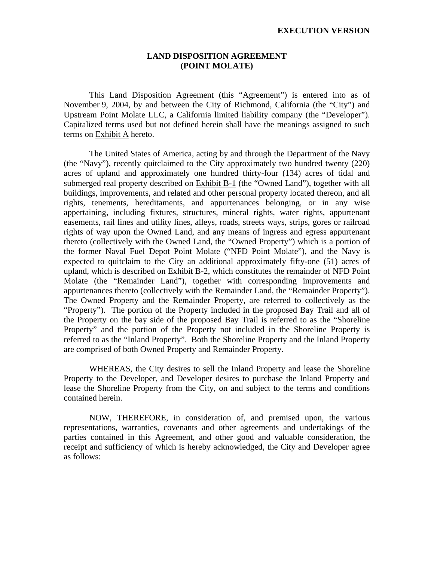#### **LAND DISPOSITION AGREEMENT (POINT MOLATE)**

 This Land Disposition Agreement (this "Agreement") is entered into as of November 9, 2004, by and between the City of Richmond, California (the "City") and Upstream Point Molate LLC, a California limited liability company (the "Developer"). Capitalized terms used but not defined herein shall have the meanings assigned to such terms on Exhibit A hereto.

 The United States of America, acting by and through the Department of the Navy (the "Navy"), recently quitclaimed to the City approximately two hundred twenty (220) acres of upland and approximately one hundred thirty-four (134) acres of tidal and submerged real property described on **Exhibit B-1** (the "Owned Land"), together with all buildings, improvements, and related and other personal property located thereon, and all rights, tenements, hereditaments, and appurtenances belonging, or in any wise appertaining, including fixtures, structures, mineral rights, water rights, appurtenant easements, rail lines and utility lines, alleys, roads, streets ways, strips, gores or railroad rights of way upon the Owned Land, and any means of ingress and egress appurtenant thereto (collectively with the Owned Land, the "Owned Property") which is a portion of the former Naval Fuel Depot Point Molate ("NFD Point Molate"), and the Navy is expected to quitclaim to the City an additional approximately fifty-one (51) acres of upland, which is described on Exhibit B-2, which constitutes the remainder of NFD Point Molate (the "Remainder Land"), together with corresponding improvements and appurtenances thereto (collectively with the Remainder Land, the "Remainder Property"). The Owned Property and the Remainder Property, are referred to collectively as the "Property"). The portion of the Property included in the proposed Bay Trail and all of the Property on the bay side of the proposed Bay Trail is referred to as the "Shoreline Property" and the portion of the Property not included in the Shoreline Property is referred to as the "Inland Property". Both the Shoreline Property and the Inland Property are comprised of both Owned Property and Remainder Property.

 WHEREAS, the City desires to sell the Inland Property and lease the Shoreline Property to the Developer, and Developer desires to purchase the Inland Property and lease the Shoreline Property from the City, on and subject to the terms and conditions contained herein.

 NOW, THEREFORE, in consideration of, and premised upon, the various representations, warranties, covenants and other agreements and undertakings of the parties contained in this Agreement, and other good and valuable consideration, the receipt and sufficiency of which is hereby acknowledged, the City and Developer agree as follows: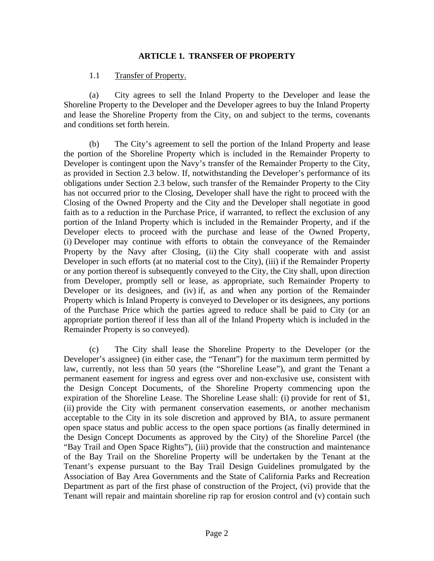#### **ARTICLE 1. TRANSFER OF PROPERTY**

#### 1.1 Transfer of Property.

 (a) City agrees to sell the Inland Property to the Developer and lease the Shoreline Property to the Developer and the Developer agrees to buy the Inland Property and lease the Shoreline Property from the City, on and subject to the terms, covenants and conditions set forth herein.

 (b) The City's agreement to sell the portion of the Inland Property and lease the portion of the Shoreline Property which is included in the Remainder Property to Developer is contingent upon the Navy's transfer of the Remainder Property to the City, as provided in Section 2.3 below. If, notwithstanding the Developer's performance of its obligations under Section 2.3 below, such transfer of the Remainder Property to the City has not occurred prior to the Closing, Developer shall have the right to proceed with the Closing of the Owned Property and the City and the Developer shall negotiate in good faith as to a reduction in the Purchase Price, if warranted, to reflect the exclusion of any portion of the Inland Property which is included in the Remainder Property, and if the Developer elects to proceed with the purchase and lease of the Owned Property, (i) Developer may continue with efforts to obtain the conveyance of the Remainder Property by the Navy after Closing, (ii) the City shall cooperate with and assist Developer in such efforts (at no material cost to the City), (iii) if the Remainder Property or any portion thereof is subsequently conveyed to the City, the City shall, upon direction from Developer, promptly sell or lease, as appropriate, such Remainder Property to Developer or its designees, and (iv) if, as and when any portion of the Remainder Property which is Inland Property is conveyed to Developer or its designees, any portions of the Purchase Price which the parties agreed to reduce shall be paid to City (or an appropriate portion thereof if less than all of the Inland Property which is included in the Remainder Property is so conveyed).

 (c) The City shall lease the Shoreline Property to the Developer (or the Developer's assignee) (in either case, the "Tenant") for the maximum term permitted by law, currently, not less than 50 years (the "Shoreline Lease"), and grant the Tenant a permanent easement for ingress and egress over and non-exclusive use, consistent with the Design Concept Documents, of the Shoreline Property commencing upon the expiration of the Shoreline Lease. The Shoreline Lease shall: (i) provide for rent of \$1, (ii) provide the City with permanent conservation easements, or another mechanism acceptable to the City in its sole discretion and approved by BIA, to assure permanent open space status and public access to the open space portions (as finally determined in the Design Concept Documents as approved by the City) of the Shoreline Parcel (the "Bay Trail and Open Space Rights"), (iii) provide that the construction and maintenance of the Bay Trail on the Shoreline Property will be undertaken by the Tenant at the Tenant's expense pursuant to the Bay Trail Design Guidelines promulgated by the Association of Bay Area Governments and the State of California Parks and Recreation Department as part of the first phase of construction of the Project, (vi) provide that the Tenant will repair and maintain shoreline rip rap for erosion control and (v) contain such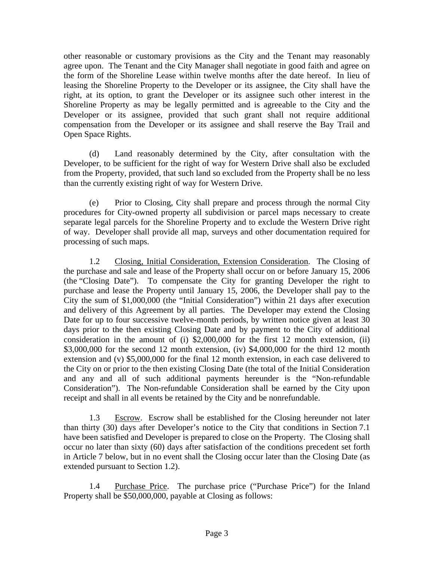other reasonable or customary provisions as the City and the Tenant may reasonably agree upon. The Tenant and the City Manager shall negotiate in good faith and agree on the form of the Shoreline Lease within twelve months after the date hereof. In lieu of leasing the Shoreline Property to the Developer or its assignee, the City shall have the right, at its option, to grant the Developer or its assignee such other interest in the Shoreline Property as may be legally permitted and is agreeable to the City and the Developer or its assignee, provided that such grant shall not require additional compensation from the Developer or its assignee and shall reserve the Bay Trail and Open Space Rights.

 (d) Land reasonably determined by the City, after consultation with the Developer, to be sufficient for the right of way for Western Drive shall also be excluded from the Property, provided, that such land so excluded from the Property shall be no less than the currently existing right of way for Western Drive.

 (e) Prior to Closing, City shall prepare and process through the normal City procedures for City-owned property all subdivision or parcel maps necessary to create separate legal parcels for the Shoreline Property and to exclude the Western Drive right of way. Developer shall provide all map, surveys and other documentation required for processing of such maps.

 1.2 Closing, Initial Consideration, Extension Consideration. The Closing of the purchase and sale and lease of the Property shall occur on or before January 15, 2006 (the "Closing Date"). To compensate the City for granting Developer the right to purchase and lease the Property until January 15, 2006, the Developer shall pay to the City the sum of \$1,000,000 (the "Initial Consideration") within 21 days after execution and delivery of this Agreement by all parties. The Developer may extend the Closing Date for up to four successive twelve-month periods, by written notice given at least 30 days prior to the then existing Closing Date and by payment to the City of additional consideration in the amount of (i) \$2,000,000 for the first 12 month extension, (ii) \$3,000,000 for the second 12 month extension, (iv) \$4,000,000 for the third 12 month extension and (v) \$5,000,000 for the final 12 month extension, in each case delivered to the City on or prior to the then existing Closing Date (the total of the Initial Consideration and any and all of such additional payments hereunder is the "Non-refundable Consideration"). The Non-refundable Consideration shall be earned by the City upon receipt and shall in all events be retained by the City and be nonrefundable.

 1.3 Escrow. Escrow shall be established for the Closing hereunder not later than thirty (30) days after Developer's notice to the City that conditions in Section 7.1 have been satisfied and Developer is prepared to close on the Property. The Closing shall occur no later than sixty (60) days after satisfaction of the conditions precedent set forth in Article 7 below, but in no event shall the Closing occur later than the Closing Date (as extended pursuant to Section 1.2).

 1.4 Purchase Price. The purchase price ("Purchase Price") for the Inland Property shall be \$50,000,000, payable at Closing as follows: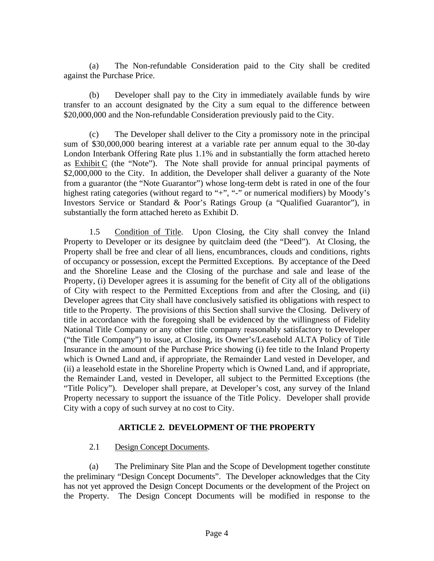(a) The Non-refundable Consideration paid to the City shall be credited against the Purchase Price.

 (b) Developer shall pay to the City in immediately available funds by wire transfer to an account designated by the City a sum equal to the difference between \$20,000,000 and the Non-refundable Consideration previously paid to the City.

 (c) The Developer shall deliver to the City a promissory note in the principal sum of \$30,000,000 bearing interest at a variable rate per annum equal to the 30-day London Interbank Offering Rate plus 1.1% and in substantially the form attached hereto as Exhibit C (the "Note"). The Note shall provide for annual principal payments of \$2,000,000 to the City. In addition, the Developer shall deliver a guaranty of the Note from a guarantor (the "Note Guarantor") whose long-term debt is rated in one of the four highest rating categories (without regard to "+", "-" or numerical modifiers) by Moody's Investors Service or Standard & Poor's Ratings Group (a "Qualified Guarantor"), in substantially the form attached hereto as Exhibit D.

 1.5 Condition of Title. Upon Closing, the City shall convey the Inland Property to Developer or its designee by quitclaim deed (the "Deed"). At Closing, the Property shall be free and clear of all liens, encumbrances, clouds and conditions, rights of occupancy or possession, except the Permitted Exceptions. By acceptance of the Deed and the Shoreline Lease and the Closing of the purchase and sale and lease of the Property, (i) Developer agrees it is assuming for the benefit of City all of the obligations of City with respect to the Permitted Exceptions from and after the Closing, and (ii) Developer agrees that City shall have conclusively satisfied its obligations with respect to title to the Property. The provisions of this Section shall survive the Closing. Delivery of title in accordance with the foregoing shall be evidenced by the willingness of Fidelity National Title Company or any other title company reasonably satisfactory to Developer ("the Title Company") to issue, at Closing, its Owner's/Leasehold ALTA Policy of Title Insurance in the amount of the Purchase Price showing (i) fee title to the Inland Property which is Owned Land and, if appropriate, the Remainder Land vested in Developer, and (ii) a leasehold estate in the Shoreline Property which is Owned Land, and if appropriate, the Remainder Land, vested in Developer, all subject to the Permitted Exceptions (the "Title Policy"). Developer shall prepare, at Developer's cost, any survey of the Inland Property necessary to support the issuance of the Title Policy. Developer shall provide City with a copy of such survey at no cost to City.

#### **ARTICLE 2. DEVELOPMENT OF THE PROPERTY**

2.1 Design Concept Documents.

 (a) The Preliminary Site Plan and the Scope of Development together constitute the preliminary "Design Concept Documents". The Developer acknowledges that the City has not yet approved the Design Concept Documents or the development of the Project on the Property. The Design Concept Documents will be modified in response to the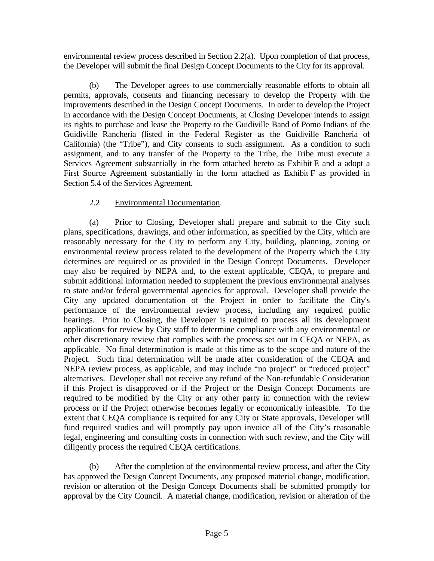environmental review process described in Section 2.2(a). Upon completion of that process, the Developer will submit the final Design Concept Documents to the City for its approval.

 (b) The Developer agrees to use commercially reasonable efforts to obtain all permits, approvals, consents and financing necessary to develop the Property with the improvements described in the Design Concept Documents. In order to develop the Project in accordance with the Design Concept Documents, at Closing Developer intends to assign its rights to purchase and lease the Property to the Guidiville Band of Pomo Indians of the Guidiville Rancheria (listed in the Federal Register as the Guidiville Rancheria of California) (the "Tribe"), and City consents to such assignment. As a condition to such assignment, and to any transfer of the Property to the Tribe, the Tribe must execute a Services Agreement substantially in the form attached hereto as Exhibit E and a adopt a First Source Agreement substantially in the form attached as Exhibit F as provided in Section 5.4 of the Services Agreement.

### 2.2 Environmental Documentation.

 (a) Prior to Closing, Developer shall prepare and submit to the City such plans, specifications, drawings, and other information, as specified by the City, which are reasonably necessary for the City to perform any City, building, planning, zoning or environmental review process related to the development of the Property which the City determines are required or as provided in the Design Concept Documents. Developer may also be required by NEPA and, to the extent applicable, CEQA, to prepare and submit additional information needed to supplement the previous environmental analyses to state and/or federal governmental agencies for approval. Developer shall provide the City any updated documentation of the Project in order to facilitate the City's performance of the environmental review process, including any required public hearings. Prior to Closing, the Developer is required to process all its development applications for review by City staff to determine compliance with any environmental or other discretionary review that complies with the process set out in CEQA or NEPA, as applicable. No final determination is made at this time as to the scope and nature of the Project. Such final determination will be made after consideration of the CEQA and NEPA review process, as applicable, and may include "no project" or "reduced project" alternatives. Developer shall not receive any refund of the Non-refundable Consideration if this Project is disapproved or if the Project or the Design Concept Documents are required to be modified by the City or any other party in connection with the review process or if the Project otherwise becomes legally or economically infeasible. To the extent that CEQA compliance is required for any City or State approvals, Developer will fund required studies and will promptly pay upon invoice all of the City's reasonable legal, engineering and consulting costs in connection with such review, and the City will diligently process the required CEQA certifications.

 (b) After the completion of the environmental review process, and after the City has approved the Design Concept Documents, any proposed material change, modification, revision or alteration of the Design Concept Documents shall be submitted promptly for approval by the City Council. A material change, modification, revision or alteration of the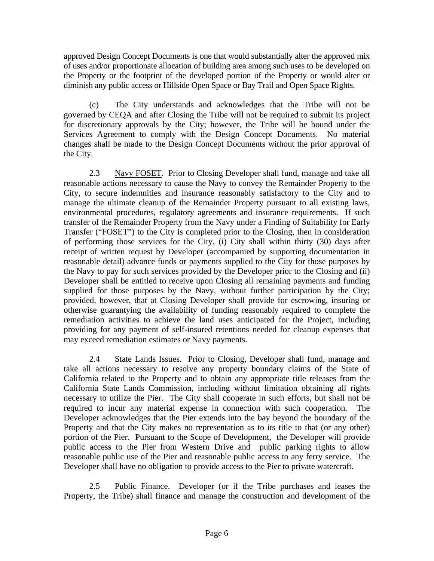approved Design Concept Documents is one that would substantially alter the approved mix of uses and/or proportionate allocation of building area among such uses to be developed on the Property or the footprint of the developed portion of the Property or would alter or diminish any public access or Hillside Open Space or Bay Trail and Open Space Rights.

 (c) The City understands and acknowledges that the Tribe will not be governed by CEQA and after Closing the Tribe will not be required to submit its project for discretionary approvals by the City; however, the Tribe will be bound under the Services Agreement to comply with the Design Concept Documents. No material changes shall be made to the Design Concept Documents without the prior approval of the City.

 2.3 Navy FOSET. Prior to Closing Developer shall fund, manage and take all reasonable actions necessary to cause the Navy to convey the Remainder Property to the City, to secure indemnities and insurance reasonably satisfactory to the City and to manage the ultimate cleanup of the Remainder Property pursuant to all existing laws, environmental procedures, regulatory agreements and insurance requirements. If such transfer of the Remainder Property from the Navy under a Finding of Suitability for Early Transfer ("FOSET") to the City is completed prior to the Closing, then in consideration of performing those services for the City, (i) City shall within thirty (30) days after receipt of written request by Developer (accompanied by supporting documentation in reasonable detail) advance funds or payments supplied to the City for those purposes by the Navy to pay for such services provided by the Developer prior to the Closing and (ii) Developer shall be entitled to receive upon Closing all remaining payments and funding supplied for those purposes by the Navy, without further participation by the City; provided, however, that at Closing Developer shall provide for escrowing, insuring or otherwise guarantying the availability of funding reasonably required to complete the remediation activities to achieve the land uses anticipated for the Project, including providing for any payment of self-insured retentions needed for cleanup expenses that may exceed remediation estimates or Navy payments.

 2.4 State Lands Issues. Prior to Closing, Developer shall fund, manage and take all actions necessary to resolve any property boundary claims of the State of California related to the Property and to obtain any appropriate title releases from the California State Lands Commission, including without limitation obtaining all rights necessary to utilize the Pier. The City shall cooperate in such efforts, but shall not be required to incur any material expense in connection with such cooperation. The Developer acknowledges that the Pier extends into the bay beyond the boundary of the Property and that the City makes no representation as to its title to that (or any other) portion of the Pier. Pursuant to the Scope of Development, the Developer will provide public access to the Pier from Western Drive and public parking rights to allow reasonable public use of the Pier and reasonable public access to any ferry service. The Developer shall have no obligation to provide access to the Pier to private watercraft.

 2.5 Public Finance. Developer (or if the Tribe purchases and leases the Property, the Tribe) shall finance and manage the construction and development of the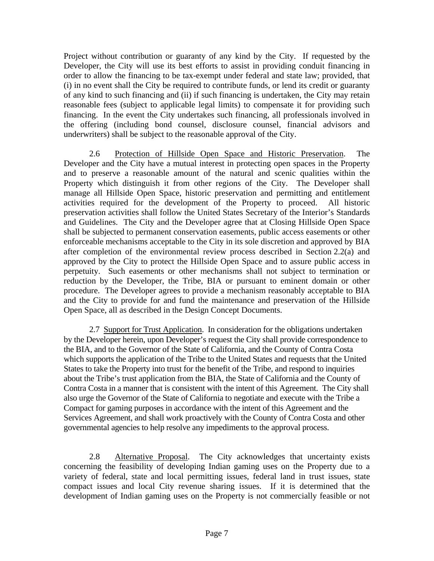Project without contribution or guaranty of any kind by the City. If requested by the Developer, the City will use its best efforts to assist in providing conduit financing in order to allow the financing to be tax-exempt under federal and state law; provided, that (i) in no event shall the City be required to contribute funds, or lend its credit or guaranty of any kind to such financing and (ii) if such financing is undertaken, the City may retain reasonable fees (subject to applicable legal limits) to compensate it for providing such financing. In the event the City undertakes such financing, all professionals involved in the offering (including bond counsel, disclosure counsel, financial advisors and underwriters) shall be subject to the reasonable approval of the City.

 2.6 Protection of Hillside Open Space and Historic Preservation. The Developer and the City have a mutual interest in protecting open spaces in the Property and to preserve a reasonable amount of the natural and scenic qualities within the Property which distinguish it from other regions of the City. The Developer shall manage all Hillside Open Space, historic preservation and permitting and entitlement activities required for the development of the Property to proceed. All historic preservation activities shall follow the United States Secretary of the Interior's Standards and Guidelines. The City and the Developer agree that at Closing Hillside Open Space shall be subjected to permanent conservation easements, public access easements or other enforceable mechanisms acceptable to the City in its sole discretion and approved by BIA after completion of the environmental review process described in Section 2.2(a) and approved by the City to protect the Hillside Open Space and to assure public access in perpetuity. Such easements or other mechanisms shall not subject to termination or reduction by the Developer, the Tribe, BIA or pursuant to eminent domain or other procedure. The Developer agrees to provide a mechanism reasonably acceptable to BIA and the City to provide for and fund the maintenance and preservation of the Hillside Open Space, all as described in the Design Concept Documents.

2.7 Support for Trust Application. In consideration for the obligations undertaken by the Developer herein, upon Developer's request the City shall provide correspondence to the BIA, and to the Governor of the State of California, and the County of Contra Costa which supports the application of the Tribe to the United States and requests that the United States to take the Property into trust for the benefit of the Tribe, and respond to inquiries about the Tribe's trust application from the BIA, the State of California and the County of Contra Costa in a manner that is consistent with the intent of this Agreement. The City shall also urge the Governor of the State of California to negotiate and execute with the Tribe a Compact for gaming purposes in accordance with the intent of this Agreement and the Services Agreement, and shall work proactively with the County of Contra Costa and other governmental agencies to help resolve any impediments to the approval process.

 2.8 Alternative Proposal. The City acknowledges that uncertainty exists concerning the feasibility of developing Indian gaming uses on the Property due to a variety of federal, state and local permitting issues, federal land in trust issues, state compact issues and local City revenue sharing issues. If it is determined that the development of Indian gaming uses on the Property is not commercially feasible or not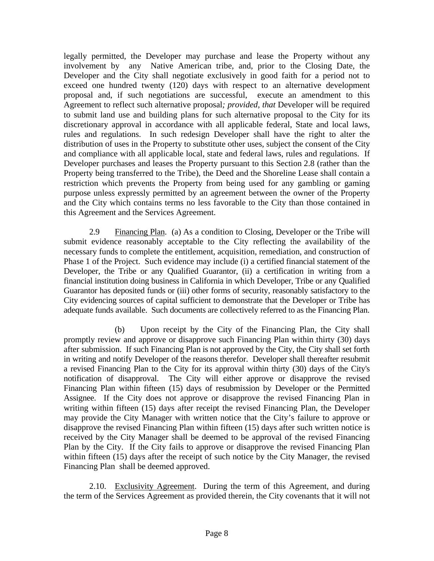legally permitted, the Developer may purchase and lease the Property without any involvement by any Native American tribe, and, prior to the Closing Date, the Developer and the City shall negotiate exclusively in good faith for a period not to exceed one hundred twenty (120) days with respect to an alternative development proposal and, if such negotiations are successful, execute an amendment to this Agreement to reflect such alternative proposal*; provided, that* Developer will be required to submit land use and building plans for such alternative proposal to the City for its discretionary approval in accordance with all applicable federal, State and local laws, rules and regulations. In such redesign Developer shall have the right to alter the distribution of uses in the Property to substitute other uses, subject the consent of the City and compliance with all applicable local, state and federal laws, rules and regulations. If Developer purchases and leases the Property pursuant to this Section 2.8 (rather than the Property being transferred to the Tribe), the Deed and the Shoreline Lease shall contain a restriction which prevents the Property from being used for any gambling or gaming purpose unless expressly permitted by an agreement between the owner of the Property and the City which contains terms no less favorable to the City than those contained in this Agreement and the Services Agreement.

 2.9 Financing Plan. (a) As a condition to Closing, Developer or the Tribe will submit evidence reasonably acceptable to the City reflecting the availability of the necessary funds to complete the entitlement, acquisition, remediation, and construction of Phase 1 of the Project. Such evidence may include (i) a certified financial statement of the Developer, the Tribe or any Qualified Guarantor, (ii) a certification in writing from a financial institution doing business in California in which Developer, Tribe or any Qualified Guarantor has deposited funds or (iii) other forms of security, reasonably satisfactory to the City evidencing sources of capital sufficient to demonstrate that the Developer or Tribe has adequate funds available. Such documents are collectively referred to as the Financing Plan.

(b) Upon receipt by the City of the Financing Plan, the City shall promptly review and approve or disapprove such Financing Plan within thirty (30) days after submission. If such Financing Plan is not approved by the City, the City shall set forth in writing and notify Developer of the reasons therefor. Developer shall thereafter resubmit a revised Financing Plan to the City for its approval within thirty (30) days of the City's notification of disapproval. The City will either approve or disapprove the revised Financing Plan within fifteen (15) days of resubmission by Developer or the Permitted Assignee. If the City does not approve or disapprove the revised Financing Plan in writing within fifteen (15) days after receipt the revised Financing Plan, the Developer may provide the City Manager with written notice that the City's failure to approve or disapprove the revised Financing Plan within fifteen (15) days after such written notice is received by the City Manager shall be deemed to be approval of the revised Financing Plan by the City. If the City fails to approve or disapprove the revised Financing Plan within fifteen (15) days after the receipt of such notice by the City Manager, the revised Financing Plan shall be deemed approved.

 2.10. Exclusivity Agreement. During the term of this Agreement, and during the term of the Services Agreement as provided therein, the City covenants that it will not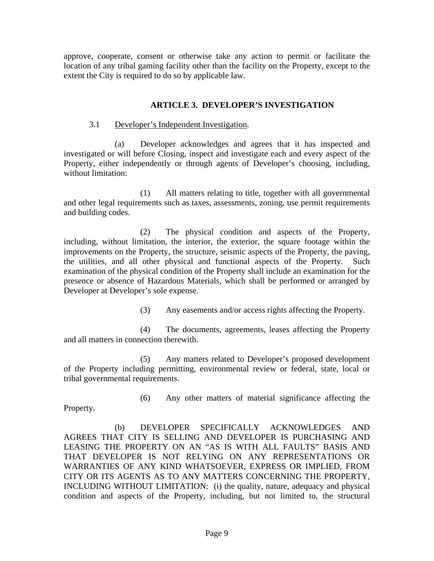approve, cooperate, consent or otherwise take any action to permit or facilitate the location of any tribal gaming facility other than the facility on the Property, except to the extent the City is required to do so by applicable law.

#### **ARTICLE 3. DEVELOPER'S INVESTIGATION**

#### 3.1 Developer's Independent Investigation.

(a) Developer acknowledges and agrees that it has inspected and investigated or will before Closing, inspect and investigate each and every aspect of the Property, either independently or through agents of Developer's choosing, including, without limitation:

 (1) All matters relating to title, together with all governmental and other legal requirements such as taxes, assessments, zoning, use permit requirements and building codes.

 (2) The physical condition and aspects of the Property, including, without limitation, the interior, the exterior, the square footage within the improvements on the Property, the structure, seismic aspects of the Property, the paving, the utilities, and all other physical and functional aspects of the Property. Such examination of the physical condition of the Property shall include an examination for the presence or absence of Hazardous Materials, which shall be performed or arranged by Developer at Developer's sole expense.

(3) Any easements and/or access rights affecting the Property.

 (4) The documents, agreements, leases affecting the Property and all matters in connection therewith.

 (5) Any matters related to Developer's proposed development of the Property including permitting, environmental review or federal, state, local or tribal governmental requirements.

Property.

(6) Any other matters of material significance affecting the

 (b) DEVELOPER SPECIFICALLY ACKNOWLEDGES AND AGREES THAT CITY IS SELLING AND DEVELOPER IS PURCHASING AND LEASING THE PROPERTY ON AN "AS IS WITH ALL FAULTS" BASIS AND THAT DEVELOPER IS NOT RELYING ON ANY REPRESENTATIONS OR WARRANTIES OF ANY KIND WHATSOEVER, EXPRESS OR IMPLIED, FROM CITY OR ITS AGENTS AS TO ANY MATTERS CONCERNING THE PROPERTY, INCLUDING WITHOUT LIMITATION: (i) the quality, nature, adequacy and physical condition and aspects of the Property, including, but not limited to, the structural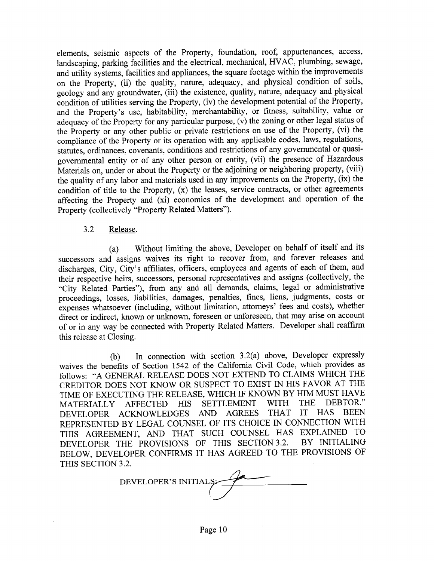elements, seismic aspects of the Property, foundation, roof, appurtenances, access, landscaping, parking facilities and the electrical, mechanical, HVAC, plumbing, sewage, and utility systems, facilities and appliances, the square footage within the improvements on the Property, (ii) the quality, nature, adequacy, and physical condition of soils, geology and any groundwater, (iii) the existence, quality, nature, adequacy and physical condition of utilities serving the Property, (iv) the development potential of the Property, and the Property's use, habitability, merchantability, or fitness, suitability, value or adequacy of the Property for any particular purpose, (v) the zoning or other legal status of the Property or any other public or private restrictions on use of the Property, (vi) the compliance of the Property or its operation with any applicable codes, laws, regulations, statutes, ordinances, covenants, conditions and restrictions of any governmental or quasigovernmental entity or of any other person or entity, (vii) the presence of Hazardous Materials on, under or about the Property or the adjoining or neighboring property, (viii) the quality of any labor and materials used in any improvements on the Property, (ix) the condition of title to the Property, (x) the leases, service contracts, or other agreements affecting the Property and (xi) economics of the development and operation of the Property (collectively "Property Related Matters").

#### $3.2$ Release.

Without limiting the above, Developer on behalf of itself and its  $(a)$ successors and assigns waives its right to recover from, and forever releases and discharges, City, City's affiliates, officers, employees and agents of each of them, and their respective heirs, successors, personal representatives and assigns (collectively, the "City Related Parties"), from any and all demands, claims, legal or administrative proceedings, losses, liabilities, damages, penalties, fines, liens, judgments, costs or expenses whatsoever (including, without limitation, attorneys' fees and costs), whether direct or indirect, known or unknown, foreseen or unforeseen, that may arise on account of or in any way be connected with Property Related Matters. Developer shall reaffirm this release at Closing.

In connection with section 3.2(a) above, Developer expressly  $(b)$ waives the benefits of Section 1542 of the California Civil Code, which provides as follows: "A GENERAL RELEASE DOES NOT EXTEND TO CLAIMS WHICH THE CREDITOR DOES NOT KNOW OR SUSPECT TO EXIST IN HIS FAVOR AT THE TIME OF EXECUTING THE RELEASE, WHICH IF KNOWN BY HIM MUST HAVE DEBTOR." **WITH THE SETTLEMENT MATERIALLY AFFECTED HIS** IT HAS BEEN DEVELOPER ACKNOWLEDGES AND AGREES THAT REPRESENTED BY LEGAL COUNSEL OF ITS CHOICE IN CONNECTION WITH THIS AGREEMENT, AND THAT SUCH COUNSEL HAS EXPLAINED TO DEVELOPER THE PROVISIONS OF THIS SECTION 3.2. BY INITIALING BELOW, DEVELOPER CONFIRMS IT HAS AGREED TO THE PROVISIONS OF THIS SECTION 3.2.

DEVELOPER'S INITIALS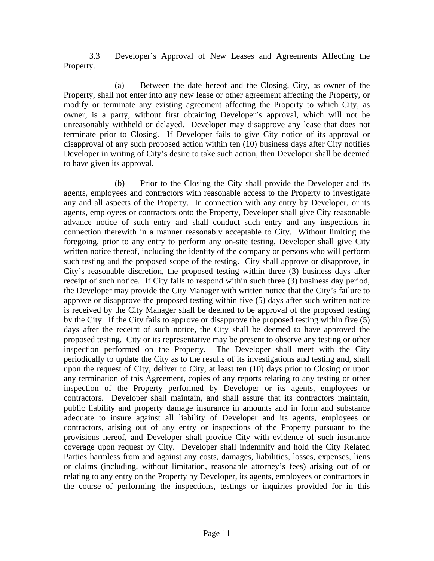#### 3.3 Developer's Approval of New Leases and Agreements Affecting the Property.

(a) Between the date hereof and the Closing, City, as owner of the Property, shall not enter into any new lease or other agreement affecting the Property, or modify or terminate any existing agreement affecting the Property to which City, as owner, is a party, without first obtaining Developer's approval, which will not be unreasonably withheld or delayed. Developer may disapprove any lease that does not terminate prior to Closing. If Developer fails to give City notice of its approval or disapproval of any such proposed action within ten (10) business days after City notifies Developer in writing of City's desire to take such action, then Developer shall be deemed to have given its approval.

(b) Prior to the Closing the City shall provide the Developer and its agents, employees and contractors with reasonable access to the Property to investigate any and all aspects of the Property. In connection with any entry by Developer, or its agents, employees or contractors onto the Property, Developer shall give City reasonable advance notice of such entry and shall conduct such entry and any inspections in connection therewith in a manner reasonably acceptable to City. Without limiting the foregoing, prior to any entry to perform any on-site testing, Developer shall give City written notice thereof, including the identity of the company or persons who will perform such testing and the proposed scope of the testing. City shall approve or disapprove, in City's reasonable discretion, the proposed testing within three (3) business days after receipt of such notice. If City fails to respond within such three (3) business day period, the Developer may provide the City Manager with written notice that the City's failure to approve or disapprove the proposed testing within five (5) days after such written notice is received by the City Manager shall be deemed to be approval of the proposed testing by the City. If the City fails to approve or disapprove the proposed testing within five (5) days after the receipt of such notice, the City shall be deemed to have approved the proposed testing. City or its representative may be present to observe any testing or other inspection performed on the Property. The Developer shall meet with the City periodically to update the City as to the results of its investigations and testing and, shall upon the request of City, deliver to City, at least ten (10) days prior to Closing or upon any termination of this Agreement, copies of any reports relating to any testing or other inspection of the Property performed by Developer or its agents, employees or contractors. Developer shall maintain, and shall assure that its contractors maintain, public liability and property damage insurance in amounts and in form and substance adequate to insure against all liability of Developer and its agents, employees or contractors, arising out of any entry or inspections of the Property pursuant to the provisions hereof, and Developer shall provide City with evidence of such insurance coverage upon request by City. Developer shall indemnify and hold the City Related Parties harmless from and against any costs, damages, liabilities, losses, expenses, liens or claims (including, without limitation, reasonable attorney's fees) arising out of or relating to any entry on the Property by Developer, its agents, employees or contractors in the course of performing the inspections, testings or inquiries provided for in this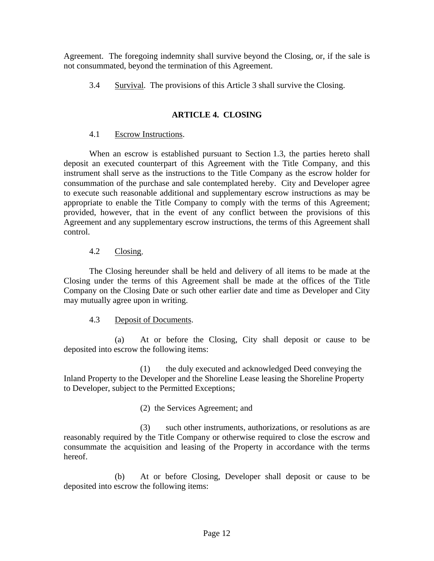Agreement. The foregoing indemnity shall survive beyond the Closing, or, if the sale is not consummated, beyond the termination of this Agreement.

3.4 Survival. The provisions of this Article 3 shall survive the Closing.

### **ARTICLE 4. CLOSING**

#### 4.1 Escrow Instructions.

When an escrow is established pursuant to Section 1.3, the parties hereto shall deposit an executed counterpart of this Agreement with the Title Company, and this instrument shall serve as the instructions to the Title Company as the escrow holder for consummation of the purchase and sale contemplated hereby. City and Developer agree to execute such reasonable additional and supplementary escrow instructions as may be appropriate to enable the Title Company to comply with the terms of this Agreement; provided, however, that in the event of any conflict between the provisions of this Agreement and any supplementary escrow instructions, the terms of this Agreement shall control.

#### 4.2 Closing.

The Closing hereunder shall be held and delivery of all items to be made at the Closing under the terms of this Agreement shall be made at the offices of the Title Company on the Closing Date or such other earlier date and time as Developer and City may mutually agree upon in writing.

#### 4.3 Deposit of Documents.

(a) At or before the Closing, City shall deposit or cause to be deposited into escrow the following items:

(1) the duly executed and acknowledged Deed conveying the Inland Property to the Developer and the Shoreline Lease leasing the Shoreline Property to Developer, subject to the Permitted Exceptions;

(2) the Services Agreement; and

(3) such other instruments, authorizations, or resolutions as are reasonably required by the Title Company or otherwise required to close the escrow and consummate the acquisition and leasing of the Property in accordance with the terms hereof.

(b) At or before Closing, Developer shall deposit or cause to be deposited into escrow the following items: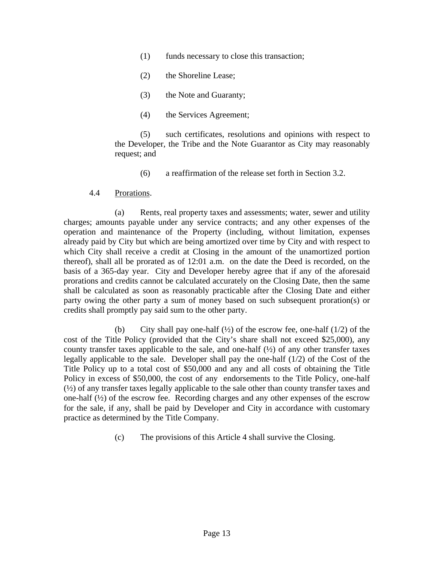- (1) funds necessary to close this transaction;
- (2) the Shoreline Lease;
- (3) the Note and Guaranty;
- (4) the Services Agreement;

(5) such certificates, resolutions and opinions with respect to the Developer, the Tribe and the Note Guarantor as City may reasonably request; and

- (6) a reaffirmation of the release set forth in Section 3.2.
- 4.4 Prorations.

(a) Rents, real property taxes and assessments; water, sewer and utility charges; amounts payable under any service contracts; and any other expenses of the operation and maintenance of the Property (including, without limitation, expenses already paid by City but which are being amortized over time by City and with respect to which City shall receive a credit at Closing in the amount of the unamortized portion thereof), shall all be prorated as of 12:01 a.m. on the date the Deed is recorded, on the basis of a 365-day year. City and Developer hereby agree that if any of the aforesaid prorations and credits cannot be calculated accurately on the Closing Date, then the same shall be calculated as soon as reasonably practicable after the Closing Date and either party owing the other party a sum of money based on such subsequent proration(s) or credits shall promptly pay said sum to the other party.

(b) City shall pay one-half  $(\frac{1}{2})$  of the escrow fee, one-half  $(1/2)$  of the cost of the Title Policy (provided that the City's share shall not exceed \$25,000), any county transfer taxes applicable to the sale, and one-half  $(\frac{1}{2})$  of any other transfer taxes legally applicable to the sale. Developer shall pay the one-half (1/2) of the Cost of the Title Policy up to a total cost of \$50,000 and any and all costs of obtaining the Title Policy in excess of \$50,000, the cost of any endorsements to the Title Policy, one-half (½) of any transfer taxes legally applicable to the sale other than county transfer taxes and one-half  $(\frac{1}{2})$  of the escrow fee. Recording charges and any other expenses of the escrow for the sale, if any, shall be paid by Developer and City in accordance with customary practice as determined by the Title Company.

(c) The provisions of this Article 4 shall survive the Closing.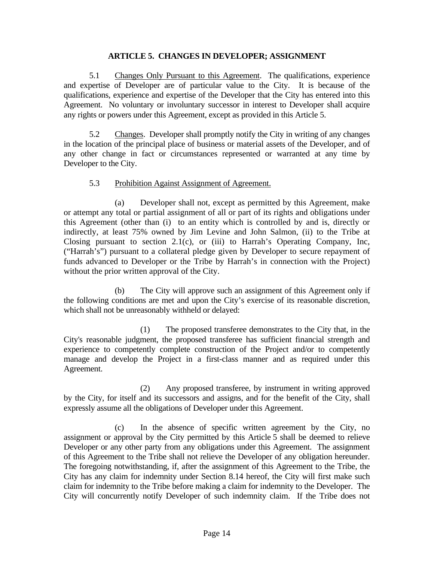#### **ARTICLE 5. CHANGES IN DEVELOPER; ASSIGNMENT**

 5.1 Changes Only Pursuant to this Agreement. The qualifications, experience and expertise of Developer are of particular value to the City. It is because of the qualifications, experience and expertise of the Developer that the City has entered into this Agreement. No voluntary or involuntary successor in interest to Developer shall acquire any rights or powers under this Agreement, except as provided in this Article 5.

 5.2 Changes. Developer shall promptly notify the City in writing of any changes in the location of the principal place of business or material assets of the Developer, and of any other change in fact or circumstances represented or warranted at any time by Developer to the City.

#### 5.3 Prohibition Against Assignment of Agreement.

 (a) Developer shall not, except as permitted by this Agreement, make or attempt any total or partial assignment of all or part of its rights and obligations under this Agreement (other than (i) to an entity which is controlled by and is, directly or indirectly, at least 75% owned by Jim Levine and John Salmon, (ii) to the Tribe at Closing pursuant to section 2.1(c), or (iii) to Harrah's Operating Company, Inc, ("Harrah's") pursuant to a collateral pledge given by Developer to secure repayment of funds advanced to Developer or the Tribe by Harrah's in connection with the Project) without the prior written approval of the City.

 (b) The City will approve such an assignment of this Agreement only if the following conditions are met and upon the City's exercise of its reasonable discretion, which shall not be unreasonably withheld or delayed:

 (1) The proposed transferee demonstrates to the City that, in the City's reasonable judgment, the proposed transferee has sufficient financial strength and experience to competently complete construction of the Project and/or to competently manage and develop the Project in a first-class manner and as required under this Agreement.

 (2) Any proposed transferee, by instrument in writing approved by the City, for itself and its successors and assigns, and for the benefit of the City, shall expressly assume all the obligations of Developer under this Agreement.

 (c) In the absence of specific written agreement by the City, no assignment or approval by the City permitted by this Article 5 shall be deemed to relieve Developer or any other party from any obligations under this Agreement. The assignment of this Agreement to the Tribe shall not relieve the Developer of any obligation hereunder. The foregoing notwithstanding, if, after the assignment of this Agreement to the Tribe, the City has any claim for indemnity under Section 8.14 hereof, the City will first make such claim for indemnity to the Tribe before making a claim for indemnity to the Developer. The City will concurrently notify Developer of such indemnity claim. If the Tribe does not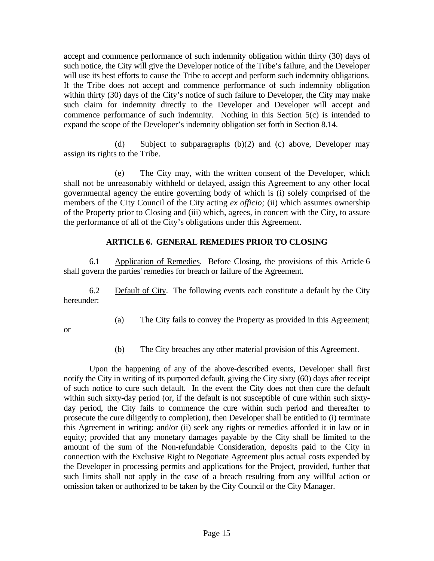accept and commence performance of such indemnity obligation within thirty (30) days of such notice, the City will give the Developer notice of the Tribe's failure, and the Developer will use its best efforts to cause the Tribe to accept and perform such indemnity obligations. If the Tribe does not accept and commence performance of such indemnity obligation within thirty (30) days of the City's notice of such failure to Developer, the City may make such claim for indemnity directly to the Developer and Developer will accept and commence performance of such indemnity. Nothing in this Section 5(c) is intended to expand the scope of the Developer's indemnity obligation set forth in Section 8.14.

 (d) Subject to subparagraphs (b)(2) and (c) above, Developer may assign its rights to the Tribe.

(e) The City may, with the written consent of the Developer, which shall not be unreasonably withheld or delayed, assign this Agreement to any other local governmental agency the entire governing body of which is (i) solely comprised of the members of the City Council of the City acting *ex officio;* (ii) which assumes ownership of the Property prior to Closing and (iii) which, agrees, in concert with the City, to assure the performance of all of the City's obligations under this Agreement.

### **ARTICLE 6. GENERAL REMEDIES PRIOR TO CLOSING**

 6.1 Application of Remedies. Before Closing, the provisions of this Article 6 shall govern the parties' remedies for breach or failure of the Agreement.

 6.2 Default of City. The following events each constitute a default by the City hereunder:

(a) The City fails to convey the Property as provided in this Agreement;

or

(b) The City breaches any other material provision of this Agreement.

 Upon the happening of any of the above-described events, Developer shall first notify the City in writing of its purported default, giving the City sixty (60) days after receipt of such notice to cure such default. In the event the City does not then cure the default within such sixty-day period (or, if the default is not susceptible of cure within such sixtyday period, the City fails to commence the cure within such period and thereafter to prosecute the cure diligently to completion), then Developer shall be entitled to (i) terminate this Agreement in writing; and/or (ii) seek any rights or remedies afforded it in law or in equity; provided that any monetary damages payable by the City shall be limited to the amount of the sum of the Non-refundable Consideration, deposits paid to the City in connection with the Exclusive Right to Negotiate Agreement plus actual costs expended by the Developer in processing permits and applications for the Project, provided, further that such limits shall not apply in the case of a breach resulting from any willful action or omission taken or authorized to be taken by the City Council or the City Manager.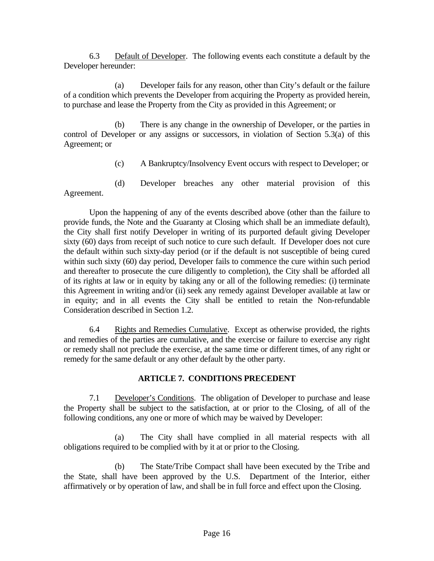6.3 Default of Developer. The following events each constitute a default by the Developer hereunder:

 (a) Developer fails for any reason, other than City's default or the failure of a condition which prevents the Developer from acquiring the Property as provided herein, to purchase and lease the Property from the City as provided in this Agreement; or

 (b) There is any change in the ownership of Developer, or the parties in control of Developer or any assigns or successors, in violation of Section 5.3(a) of this Agreement; or

(c) A Bankruptcy/Insolvency Event occurs with respect to Developer; or

(d) Developer breaches any other material provision of this Agreement.

 Upon the happening of any of the events described above (other than the failure to provide funds, the Note and the Guaranty at Closing which shall be an immediate default), the City shall first notify Developer in writing of its purported default giving Developer sixty (60) days from receipt of such notice to cure such default. If Developer does not cure the default within such sixty-day period (or if the default is not susceptible of being cured within such sixty (60) day period, Developer fails to commence the cure within such period and thereafter to prosecute the cure diligently to completion), the City shall be afforded all of its rights at law or in equity by taking any or all of the following remedies: (i) terminate this Agreement in writing and/or (ii) seek any remedy against Developer available at law or in equity; and in all events the City shall be entitled to retain the Non-refundable Consideration described in Section 1.2.

 6.4 Rights and Remedies Cumulative. Except as otherwise provided, the rights and remedies of the parties are cumulative, and the exercise or failure to exercise any right or remedy shall not preclude the exercise, at the same time or different times, of any right or remedy for the same default or any other default by the other party.

#### **ARTICLE 7. CONDITIONS PRECEDENT**

 7.1 Developer's Conditions. The obligation of Developer to purchase and lease the Property shall be subject to the satisfaction, at or prior to the Closing, of all of the following conditions, any one or more of which may be waived by Developer:

 (a) The City shall have complied in all material respects with all obligations required to be complied with by it at or prior to the Closing.

 (b) The State/Tribe Compact shall have been executed by the Tribe and the State, shall have been approved by the U.S. Department of the Interior, either affirmatively or by operation of law, and shall be in full force and effect upon the Closing.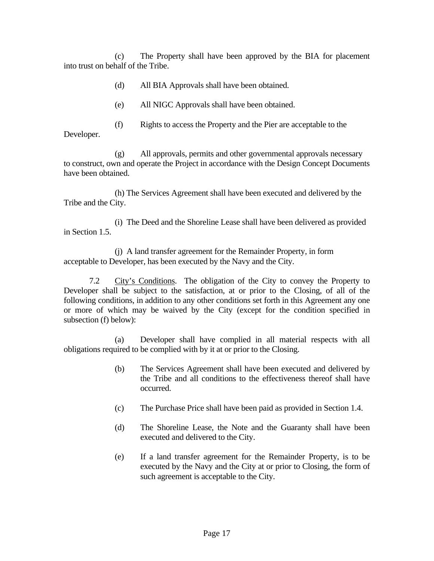(c) The Property shall have been approved by the BIA for placement into trust on behalf of the Tribe.

- (d) All BIA Approvals shall have been obtained.
- (e) All NIGC Approvals shall have been obtained.
- (f) Rights to access the Property and the Pier are acceptable to the Developer.

(g) All approvals, permits and other governmental approvals necessary to construct, own and operate the Project in accordance with the Design Concept Documents have been obtained.

(h) The Services Agreement shall have been executed and delivered by the Tribe and the City.

(i) The Deed and the Shoreline Lease shall have been delivered as provided in Section 1.5.

(j) A land transfer agreement for the Remainder Property, in form acceptable to Developer, has been executed by the Navy and the City.

7.2 City's Conditions. The obligation of the City to convey the Property to Developer shall be subject to the satisfaction, at or prior to the Closing, of all of the following conditions, in addition to any other conditions set forth in this Agreement any one or more of which may be waived by the City (except for the condition specified in subsection (f) below):

 (a) Developer shall have complied in all material respects with all obligations required to be complied with by it at or prior to the Closing.

- (b) The Services Agreement shall have been executed and delivered by the Tribe and all conditions to the effectiveness thereof shall have occurred.
- (c) The Purchase Price shall have been paid as provided in Section 1.4.
- (d) The Shoreline Lease, the Note and the Guaranty shall have been executed and delivered to the City.
- (e) If a land transfer agreement for the Remainder Property, is to be executed by the Navy and the City at or prior to Closing, the form of such agreement is acceptable to the City.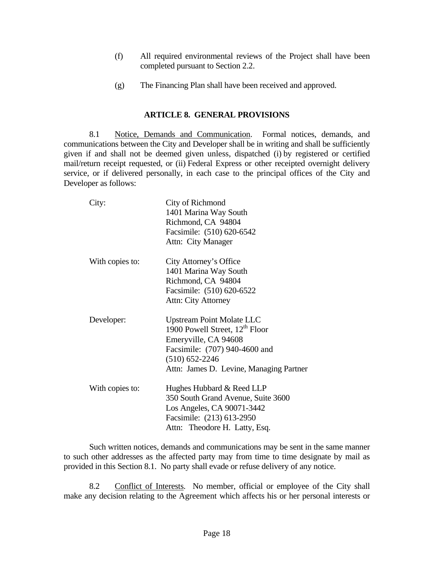- (f) All required environmental reviews of the Project shall have been completed pursuant to Section 2.2.
- (g) The Financing Plan shall have been received and approved.

#### **ARTICLE 8. GENERAL PROVISIONS**

 8.1 Notice, Demands and Communication. Formal notices, demands, and communications between the City and Developer shall be in writing and shall be sufficiently given if and shall not be deemed given unless, dispatched (i) by registered or certified mail/return receipt requested, or (ii) Federal Express or other receipted overnight delivery service, or if delivered personally, in each case to the principal offices of the City and Developer as follows:

| City:           | City of Richmond<br>1401 Marina Way South<br>Richmond, CA 94804<br>Facsimile: (510) 620-6542<br>Attn: City Manager                                                                                       |
|-----------------|----------------------------------------------------------------------------------------------------------------------------------------------------------------------------------------------------------|
| With copies to: | City Attorney's Office<br>1401 Marina Way South<br>Richmond, CA 94804<br>Facsimile: (510) 620-6522<br>Attn: City Attorney                                                                                |
| Developer:      | <b>Upstream Point Molate LLC</b><br>1900 Powell Street, 12 <sup>th</sup> Floor<br>Emeryville, CA 94608<br>Facsimile: (707) 940-4600 and<br>$(510) 652 - 2246$<br>Attn: James D. Levine, Managing Partner |
| With copies to: | Hughes Hubbard & Reed LLP<br>350 South Grand Avenue, Suite 3600<br>Los Angeles, CA 90071-3442<br>Facsimile: (213) 613-2950<br>Attn: Theodore H. Latty, Esq.                                              |

 Such written notices, demands and communications may be sent in the same manner to such other addresses as the affected party may from time to time designate by mail as provided in this Section 8.1. No party shall evade or refuse delivery of any notice.

 8.2 Conflict of Interests. No member, official or employee of the City shall make any decision relating to the Agreement which affects his or her personal interests or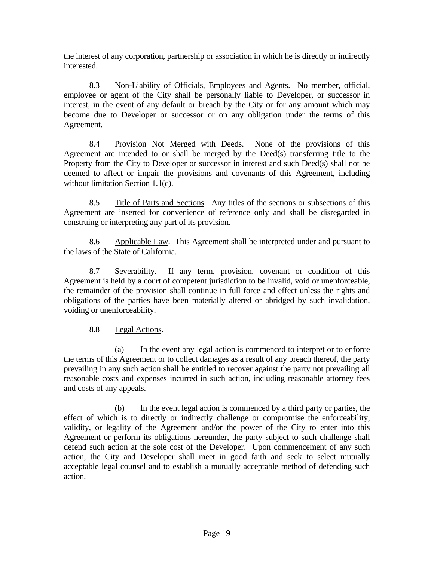the interest of any corporation, partnership or association in which he is directly or indirectly interested.

 8.3 Non-Liability of Officials, Employees and Agents. No member, official, employee or agent of the City shall be personally liable to Developer, or successor in interest, in the event of any default or breach by the City or for any amount which may become due to Developer or successor or on any obligation under the terms of this Agreement.

 8.4 Provision Not Merged with Deeds. None of the provisions of this Agreement are intended to or shall be merged by the Deed(s) transferring title to the Property from the City to Developer or successor in interest and such Deed(s) shall not be deemed to affect or impair the provisions and covenants of this Agreement, including without limitation Section 1.1(c).

 8.5 Title of Parts and Sections. Any titles of the sections or subsections of this Agreement are inserted for convenience of reference only and shall be disregarded in construing or interpreting any part of its provision.

 8.6 Applicable Law. This Agreement shall be interpreted under and pursuant to the laws of the State of California.

 8.7 Severability. If any term, provision, covenant or condition of this Agreement is held by a court of competent jurisdiction to be invalid, void or unenforceable, the remainder of the provision shall continue in full force and effect unless the rights and obligations of the parties have been materially altered or abridged by such invalidation, voiding or unenforceability.

### 8.8 Legal Actions.

 (a) In the event any legal action is commenced to interpret or to enforce the terms of this Agreement or to collect damages as a result of any breach thereof, the party prevailing in any such action shall be entitled to recover against the party not prevailing all reasonable costs and expenses incurred in such action, including reasonable attorney fees and costs of any appeals.

 (b) In the event legal action is commenced by a third party or parties, the effect of which is to directly or indirectly challenge or compromise the enforceability, validity, or legality of the Agreement and/or the power of the City to enter into this Agreement or perform its obligations hereunder, the party subject to such challenge shall defend such action at the sole cost of the Developer. Upon commencement of any such action, the City and Developer shall meet in good faith and seek to select mutually acceptable legal counsel and to establish a mutually acceptable method of defending such action.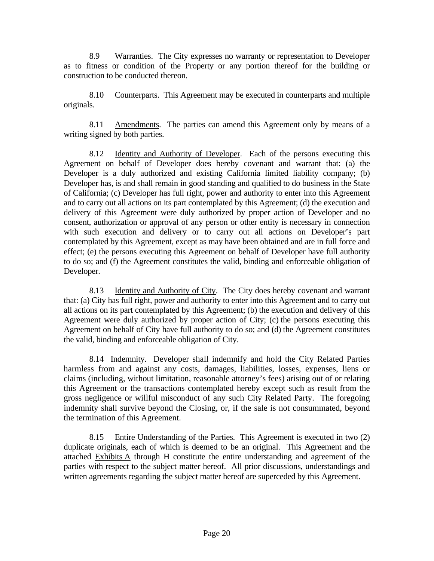8.9 Warranties. The City expresses no warranty or representation to Developer as to fitness or condition of the Property or any portion thereof for the building or construction to be conducted thereon.

 8.10 Counterparts. This Agreement may be executed in counterparts and multiple originals.

 8.11 Amendments. The parties can amend this Agreement only by means of a writing signed by both parties.

8.12 Identity and Authority of Developer. Each of the persons executing this Agreement on behalf of Developer does hereby covenant and warrant that: (a) the Developer is a duly authorized and existing California limited liability company; (b) Developer has, is and shall remain in good standing and qualified to do business in the State of California; (c) Developer has full right, power and authority to enter into this Agreement and to carry out all actions on its part contemplated by this Agreement; (d) the execution and delivery of this Agreement were duly authorized by proper action of Developer and no consent, authorization or approval of any person or other entity is necessary in connection with such execution and delivery or to carry out all actions on Developer's part contemplated by this Agreement, except as may have been obtained and are in full force and effect; (e) the persons executing this Agreement on behalf of Developer have full authority to do so; and (f) the Agreement constitutes the valid, binding and enforceable obligation of Developer.

 8.13 Identity and Authority of City. The City does hereby covenant and warrant that: (a) City has full right, power and authority to enter into this Agreement and to carry out all actions on its part contemplated by this Agreement; (b) the execution and delivery of this Agreement were duly authorized by proper action of City; (c) the persons executing this Agreement on behalf of City have full authority to do so; and (d) the Agreement constitutes the valid, binding and enforceable obligation of City.

 8.14 Indemnity. Developer shall indemnify and hold the City Related Parties harmless from and against any costs, damages, liabilities, losses, expenses, liens or claims (including, without limitation, reasonable attorney's fees) arising out of or relating this Agreement or the transactions contemplated hereby except such as result from the gross negligence or willful misconduct of any such City Related Party. The foregoing indemnity shall survive beyond the Closing, or, if the sale is not consummated, beyond the termination of this Agreement.

 8.15 Entire Understanding of the Parties. This Agreement is executed in two (2) duplicate originals, each of which is deemed to be an original. This Agreement and the attached Exhibits A through H constitute the entire understanding and agreement of the parties with respect to the subject matter hereof. All prior discussions, understandings and written agreements regarding the subject matter hereof are superceded by this Agreement.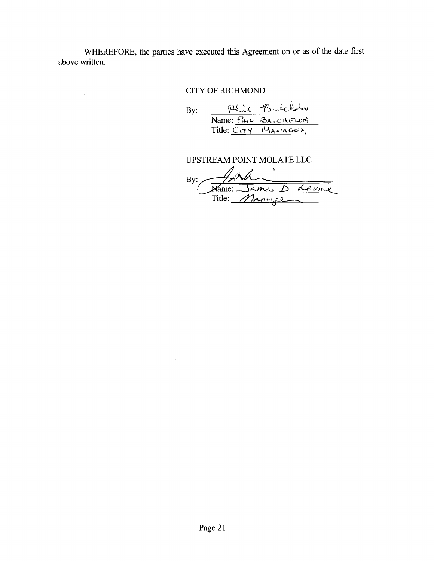WHEREFORE, the parties have executed this Agreement on or as of the date first above written.

 $\bar{z}$ 

### **CITY OF RICHMOND**

Phil Belchely<br>Name: FAIL BATCHELOR  $By:$ 

#### UPSTREAM POINT MOLATE LLC

By: Name: James D. Levine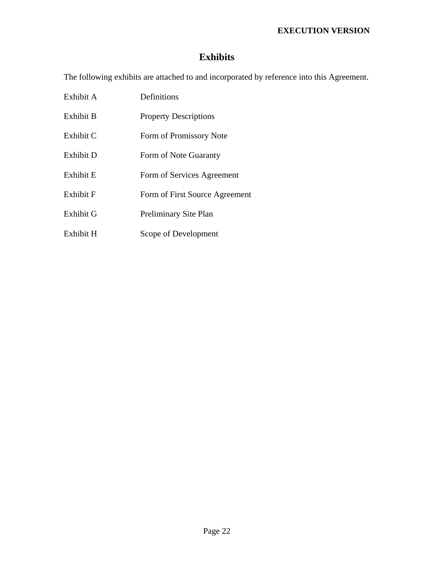### **EXECUTION VERSION**

# **Exhibits**

The following exhibits are attached to and incorporated by reference into this Agreement.

| Exhibit A | Definitions                    |
|-----------|--------------------------------|
| Exhibit B | <b>Property Descriptions</b>   |
| Exhibit C | Form of Promissory Note        |
| Exhibit D | Form of Note Guaranty          |
| Exhibit E | Form of Services Agreement     |
| Exhibit F | Form of First Source Agreement |
| Exhibit G | Preliminary Site Plan          |
| Exhibit H | Scope of Development           |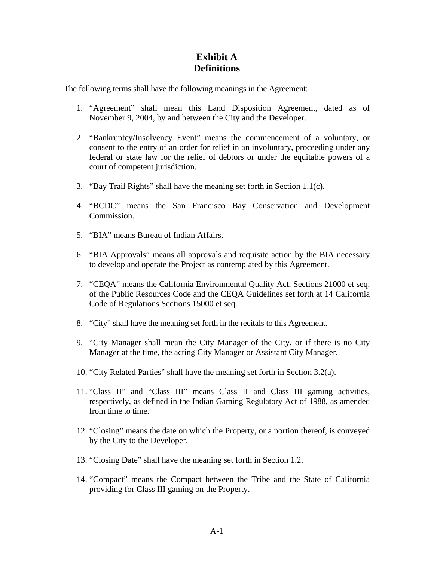### **Exhibit A Definitions**

The following terms shall have the following meanings in the Agreement:

- 1. "Agreement" shall mean this Land Disposition Agreement, dated as of November 9, 2004, by and between the City and the Developer.
- 2. "Bankruptcy/Insolvency Event" means the commencement of a voluntary, or consent to the entry of an order for relief in an involuntary, proceeding under any federal or state law for the relief of debtors or under the equitable powers of a court of competent jurisdiction.
- 3. "Bay Trail Rights" shall have the meaning set forth in Section 1.1(c).
- 4. "BCDC" means the San Francisco Bay Conservation and Development Commission.
- 5. "BIA" means Bureau of Indian Affairs.
- 6. "BIA Approvals" means all approvals and requisite action by the BIA necessary to develop and operate the Project as contemplated by this Agreement.
- 7. "CEQA" means the California Environmental Quality Act, Sections 21000 et seq. of the Public Resources Code and the CEQA Guidelines set forth at 14 California Code of Regulations Sections 15000 et seq.
- 8. "City" shall have the meaning set forth in the recitals to this Agreement.
- 9. "City Manager shall mean the City Manager of the City, or if there is no City Manager at the time, the acting City Manager or Assistant City Manager.
- 10. "City Related Parties" shall have the meaning set forth in Section 3.2(a).
- 11. "Class II" and "Class III" means Class II and Class III gaming activities, respectively, as defined in the Indian Gaming Regulatory Act of 1988, as amended from time to time.
- 12. "Closing" means the date on which the Property, or a portion thereof, is conveyed by the City to the Developer.
- 13. "Closing Date" shall have the meaning set forth in Section 1.2.
- 14. "Compact" means the Compact between the Tribe and the State of California providing for Class III gaming on the Property.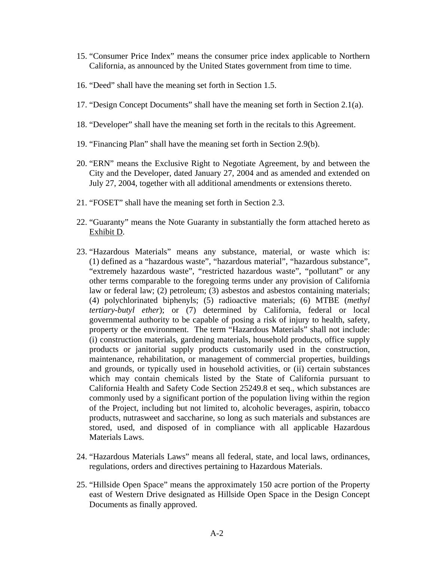- 15. "Consumer Price Index" means the consumer price index applicable to Northern California, as announced by the United States government from time to time.
- 16. "Deed" shall have the meaning set forth in Section 1.5.
- 17. "Design Concept Documents" shall have the meaning set forth in Section 2.1(a).
- 18. "Developer" shall have the meaning set forth in the recitals to this Agreement.
- 19. "Financing Plan" shall have the meaning set forth in Section 2.9(b).
- 20. "ERN" means the Exclusive Right to Negotiate Agreement, by and between the City and the Developer, dated January 27, 2004 and as amended and extended on July 27, 2004, together with all additional amendments or extensions thereto.
- 21. "FOSET" shall have the meaning set forth in Section 2.3.
- 22. "Guaranty" means the Note Guaranty in substantially the form attached hereto as Exhibit D.
- 23. "Hazardous Materials" means any substance, material, or waste which is: (1) defined as a "hazardous waste", "hazardous material", "hazardous substance", "extremely hazardous waste", "restricted hazardous waste", "pollutant" or any other terms comparable to the foregoing terms under any provision of California law or federal law; (2) petroleum; (3) asbestos and asbestos containing materials; (4) polychlorinated biphenyls; (5) radioactive materials; (6) MTBE (*methyl tertiary-butyl ether*); or (7) determined by California, federal or local governmental authority to be capable of posing a risk of injury to health, safety, property or the environment. The term "Hazardous Materials" shall not include: (i) construction materials, gardening materials, household products, office supply products or janitorial supply products customarily used in the construction, maintenance, rehabilitation, or management of commercial properties, buildings and grounds, or typically used in household activities, or (ii) certain substances which may contain chemicals listed by the State of California pursuant to California Health and Safety Code Section 25249.8 et seq., which substances are commonly used by a significant portion of the population living within the region of the Project, including but not limited to, alcoholic beverages, aspirin, tobacco products, nutrasweet and saccharine, so long as such materials and substances are stored, used, and disposed of in compliance with all applicable Hazardous Materials Laws.
- 24. "Hazardous Materials Laws" means all federal, state, and local laws, ordinances, regulations, orders and directives pertaining to Hazardous Materials.
- 25. "Hillside Open Space" means the approximately 150 acre portion of the Property east of Western Drive designated as Hillside Open Space in the Design Concept Documents as finally approved.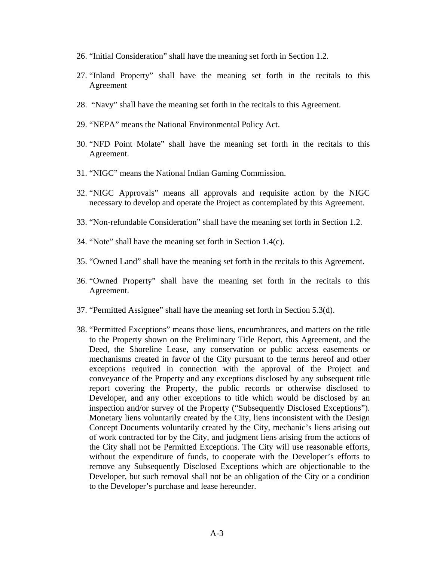- 26. "Initial Consideration" shall have the meaning set forth in Section 1.2.
- 27. "Inland Property" shall have the meaning set forth in the recitals to this Agreement
- 28. "Navy" shall have the meaning set forth in the recitals to this Agreement.
- 29. "NEPA" means the National Environmental Policy Act.
- 30. "NFD Point Molate" shall have the meaning set forth in the recitals to this Agreement.
- 31. "NIGC" means the National Indian Gaming Commission.
- 32. "NIGC Approvals" means all approvals and requisite action by the NIGC necessary to develop and operate the Project as contemplated by this Agreement.
- 33. "Non-refundable Consideration" shall have the meaning set forth in Section 1.2.
- 34. "Note" shall have the meaning set forth in Section 1.4(c).
- 35. "Owned Land" shall have the meaning set forth in the recitals to this Agreement.
- 36. "Owned Property" shall have the meaning set forth in the recitals to this Agreement.
- 37. "Permitted Assignee" shall have the meaning set forth in Section 5.3(d).
- 38. "Permitted Exceptions" means those liens, encumbrances, and matters on the title to the Property shown on the Preliminary Title Report, this Agreement, and the Deed, the Shoreline Lease, any conservation or public access easements or mechanisms created in favor of the City pursuant to the terms hereof and other exceptions required in connection with the approval of the Project and conveyance of the Property and any exceptions disclosed by any subsequent title report covering the Property, the public records or otherwise disclosed to Developer, and any other exceptions to title which would be disclosed by an inspection and/or survey of the Property ("Subsequently Disclosed Exceptions"). Monetary liens voluntarily created by the City, liens inconsistent with the Design Concept Documents voluntarily created by the City, mechanic's liens arising out of work contracted for by the City, and judgment liens arising from the actions of the City shall not be Permitted Exceptions. The City will use reasonable efforts, without the expenditure of funds, to cooperate with the Developer's efforts to remove any Subsequently Disclosed Exceptions which are objectionable to the Developer, but such removal shall not be an obligation of the City or a condition to the Developer's purchase and lease hereunder.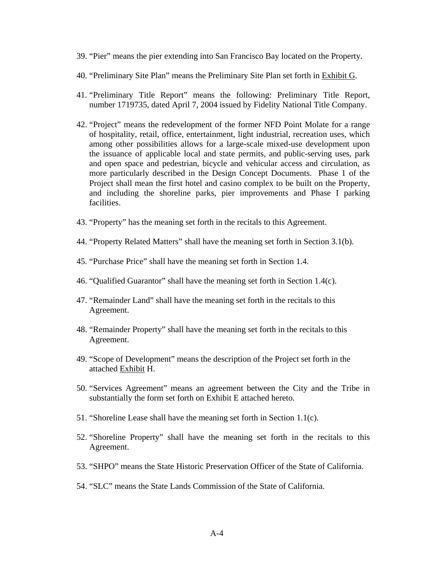- 39. "Pier" means the pier extending into San Francisco Bay located on the Property.
- 40. "Preliminary Site Plan" means the Preliminary Site Plan set forth in Exhibit G.
- 41. "Preliminary Title Report" means the following: Preliminary Title Report, number 1719735, dated April 7, 2004 issued by Fidelity National Title Company.
- 42. "Project" means the redevelopment of the former NFD Point Molate for a range of hospitality, retail, office, entertainment, light industrial, recreation uses, which among other possibilities allows for a large-scale mixed-use development upon the issuance of applicable local and state permits, and public-serving uses, park and open space and pedestrian, bicycle and vehicular access and circulation, as more particularly described in the Design Concept Documents. Phase 1 of the Project shall mean the first hotel and casino complex to be built on the Property, and including the shoreline parks, pier improvements and Phase I parking facilities.
- 43. "Property" has the meaning set forth in the recitals to this Agreement.
- 44. "Property Related Matters" shall have the meaning set forth in Section 3.1(b).
- 45. "Purchase Price" shall have the meaning set forth in Section 1.4.
- 46. "Qualified Guarantor" shall have the meaning set forth in Section 1.4(c).
- 47. "Remainder Land" shall have the meaning set forth in the recitals to this Agreement.
- 48. "Remainder Property" shall have the meaning set forth in the recitals to this Agreement.
- 49. "Scope of Development" means the description of the Project set forth in the attached Exhibit H.
- 50. "Services Agreement" means an agreement between the City and the Tribe in substantially the form set forth on Exhibit E attached hereto.
- 51. "Shoreline Lease shall have the meaning set forth in Section 1.1(c).
- 52. "Shoreline Property" shall have the meaning set forth in the recitals to this Agreement.
- 53. "SHPO" means the State Historic Preservation Officer of the State of California.
- 54. "SLC" means the State Lands Commission of the State of California.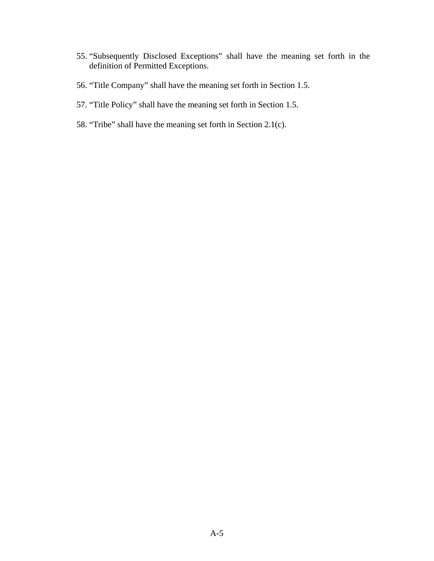- 55. "Subsequently Disclosed Exceptions" shall have the meaning set forth in the definition of Permitted Exceptions.
- 56. "Title Company" shall have the meaning set forth in Section 1.5.
- 57. "Title Policy" shall have the meaning set forth in Section 1.5.
- 58. "Tribe" shall have the meaning set forth in Section 2.1(c).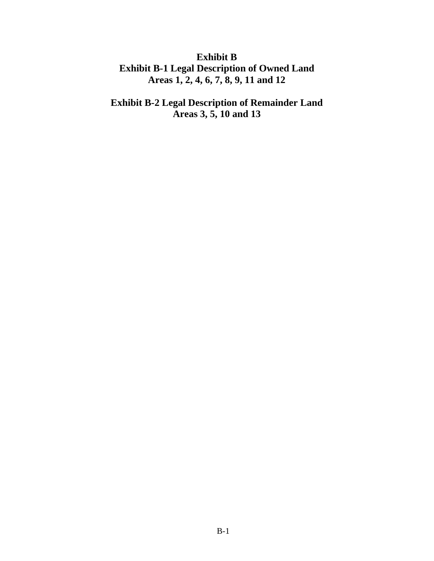## **Exhibit B Exhibit B-1 Legal Description of Owned Land Areas 1, 2, 4, 6, 7, 8, 9, 11 and 12**

# **Exhibit B-2 Legal Description of Remainder Land Areas 3, 5, 10 and 13**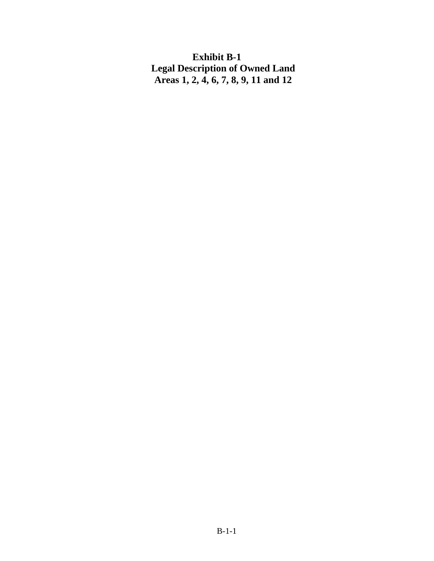**Exhibit B-1 Legal Description of Owned Land Areas 1, 2, 4, 6, 7, 8, 9, 11 and 12**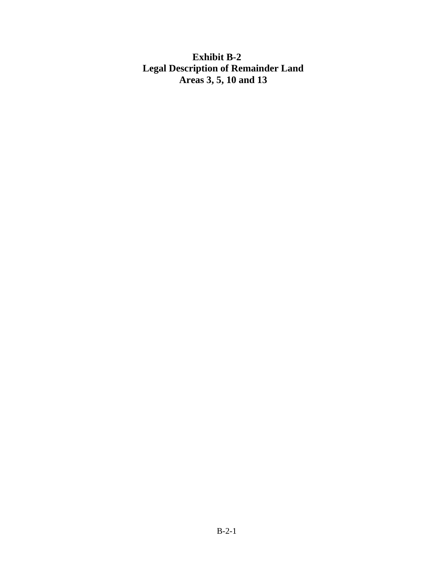## **Exhibit B-2 Legal Description of Remainder Land Areas 3, 5, 10 and 13**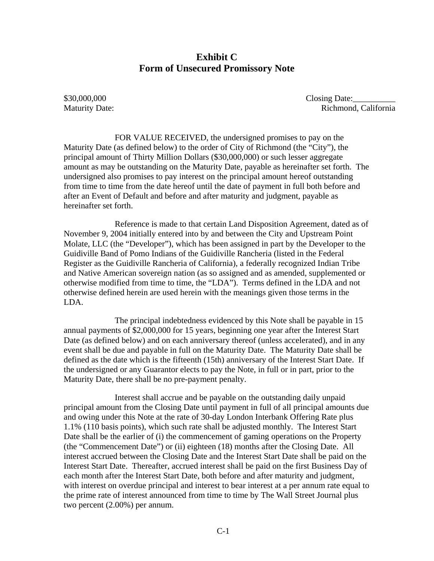### **Exhibit C Form of Unsecured Promissory Note**

\$30,000,000 Closing Date: Maturity Date: Richmond, California

FOR VALUE RECEIVED, the undersigned promises to pay on the Maturity Date (as defined below) to the order of City of Richmond (the "City"), the principal amount of Thirty Million Dollars (\$30,000,000) or such lesser aggregate amount as may be outstanding on the Maturity Date, payable as hereinafter set forth. The undersigned also promises to pay interest on the principal amount hereof outstanding from time to time from the date hereof until the date of payment in full both before and after an Event of Default and before and after maturity and judgment, payable as hereinafter set forth.

Reference is made to that certain Land Disposition Agreement, dated as of November 9, 2004 initially entered into by and between the City and Upstream Point Molate, LLC (the "Developer"), which has been assigned in part by the Developer to the Guidiville Band of Pomo Indians of the Guidiville Rancheria (listed in the Federal Register as the Guidiville Rancheria of California), a federally recognized Indian Tribe and Native American sovereign nation (as so assigned and as amended, supplemented or otherwise modified from time to time, the "LDA"). Terms defined in the LDA and not otherwise defined herein are used herein with the meanings given those terms in the LDA.

The principal indebtedness evidenced by this Note shall be payable in 15 annual payments of \$2,000,000 for 15 years, beginning one year after the Interest Start Date (as defined below) and on each anniversary thereof (unless accelerated), and in any event shall be due and payable in full on the Maturity Date. The Maturity Date shall be defined as the date which is the fifteenth (15th) anniversary of the Interest Start Date. If the undersigned or any Guarantor elects to pay the Note, in full or in part, prior to the Maturity Date, there shall be no pre-payment penalty.

Interest shall accrue and be payable on the outstanding daily unpaid principal amount from the Closing Date until payment in full of all principal amounts due and owing under this Note at the rate of 30-day London Interbank Offering Rate plus 1.1% (110 basis points), which such rate shall be adjusted monthly. The Interest Start Date shall be the earlier of (i) the commencement of gaming operations on the Property (the "Commencement Date") or (ii) eighteen (18) months after the Closing Date. All interest accrued between the Closing Date and the Interest Start Date shall be paid on the Interest Start Date. Thereafter, accrued interest shall be paid on the first Business Day of each month after the Interest Start Date, both before and after maturity and judgment, with interest on overdue principal and interest to bear interest at a per annum rate equal to the prime rate of interest announced from time to time by The Wall Street Journal plus two percent (2.00%) per annum.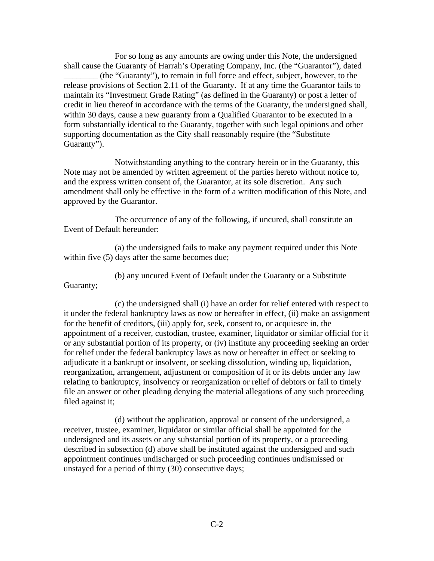For so long as any amounts are owing under this Note, the undersigned shall cause the Guaranty of Harrah's Operating Company, Inc. (the "Guarantor"), dated \_\_\_\_\_\_\_\_ (the "Guaranty"), to remain in full force and effect, subject, however, to the release provisions of Section 2.11 of the Guaranty. If at any time the Guarantor fails to maintain its "Investment Grade Rating" (as defined in the Guaranty) or post a letter of credit in lieu thereof in accordance with the terms of the Guaranty, the undersigned shall, within 30 days, cause a new guaranty from a Qualified Guarantor to be executed in a form substantially identical to the Guaranty, together with such legal opinions and other supporting documentation as the City shall reasonably require (the "Substitute Guaranty").

Notwithstanding anything to the contrary herein or in the Guaranty, this Note may not be amended by written agreement of the parties hereto without notice to, and the express written consent of, the Guarantor, at its sole discretion. Any such amendment shall only be effective in the form of a written modification of this Note, and approved by the Guarantor.

The occurrence of any of the following, if uncured, shall constitute an Event of Default hereunder:

(a) the undersigned fails to make any payment required under this Note within five (5) days after the same becomes due;

(b) any uncured Event of Default under the Guaranty or a Substitute

Guaranty;

(c) the undersigned shall (i) have an order for relief entered with respect to it under the federal bankruptcy laws as now or hereafter in effect, (ii) make an assignment for the benefit of creditors, (iii) apply for, seek, consent to, or acquiesce in, the appointment of a receiver, custodian, trustee, examiner, liquidator or similar official for it or any substantial portion of its property, or (iv) institute any proceeding seeking an order for relief under the federal bankruptcy laws as now or hereafter in effect or seeking to adjudicate it a bankrupt or insolvent, or seeking dissolution, winding up, liquidation, reorganization, arrangement, adjustment or composition of it or its debts under any law relating to bankruptcy, insolvency or reorganization or relief of debtors or fail to timely file an answer or other pleading denying the material allegations of any such proceeding filed against it;

(d) without the application, approval or consent of the undersigned, a receiver, trustee, examiner, liquidator or similar official shall be appointed for the undersigned and its assets or any substantial portion of its property, or a proceeding described in subsection (d) above shall be instituted against the undersigned and such appointment continues undischarged or such proceeding continues undismissed or unstayed for a period of thirty (30) consecutive days;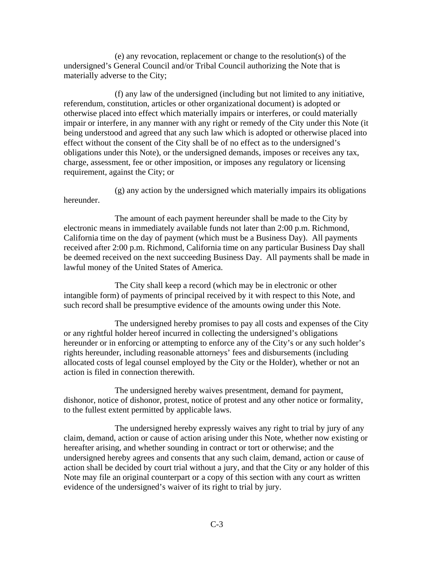(e) any revocation, replacement or change to the resolution(s) of the undersigned's General Council and/or Tribal Council authorizing the Note that is materially adverse to the City;

(f) any law of the undersigned (including but not limited to any initiative, referendum, constitution, articles or other organizational document) is adopted or otherwise placed into effect which materially impairs or interferes, or could materially impair or interfere, in any manner with any right or remedy of the City under this Note (it being understood and agreed that any such law which is adopted or otherwise placed into effect without the consent of the City shall be of no effect as to the undersigned's obligations under this Note), or the undersigned demands, imposes or receives any tax, charge, assessment, fee or other imposition, or imposes any regulatory or licensing requirement, against the City; or

(g) any action by the undersigned which materially impairs its obligations hereunder.

The amount of each payment hereunder shall be made to the City by electronic means in immediately available funds not later than 2:00 p.m. Richmond, California time on the day of payment (which must be a Business Day). All payments received after 2:00 p.m. Richmond, California time on any particular Business Day shall be deemed received on the next succeeding Business Day. All payments shall be made in lawful money of the United States of America.

The City shall keep a record (which may be in electronic or other intangible form) of payments of principal received by it with respect to this Note, and such record shall be presumptive evidence of the amounts owing under this Note.

The undersigned hereby promises to pay all costs and expenses of the City or any rightful holder hereof incurred in collecting the undersigned's obligations hereunder or in enforcing or attempting to enforce any of the City's or any such holder's rights hereunder, including reasonable attorneys' fees and disbursements (including allocated costs of legal counsel employed by the City or the Holder), whether or not an action is filed in connection therewith.

The undersigned hereby waives presentment, demand for payment, dishonor, notice of dishonor, protest, notice of protest and any other notice or formality, to the fullest extent permitted by applicable laws.

The undersigned hereby expressly waives any right to trial by jury of any claim, demand, action or cause of action arising under this Note, whether now existing or hereafter arising, and whether sounding in contract or tort or otherwise; and the undersigned hereby agrees and consents that any such claim, demand, action or cause of action shall be decided by court trial without a jury, and that the City or any holder of this Note may file an original counterpart or a copy of this section with any court as written evidence of the undersigned's waiver of its right to trial by jury.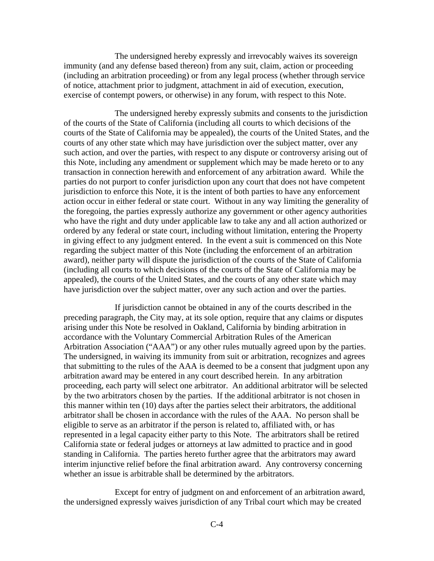The undersigned hereby expressly and irrevocably waives its sovereign immunity (and any defense based thereon) from any suit, claim, action or proceeding (including an arbitration proceeding) or from any legal process (whether through service of notice, attachment prior to judgment, attachment in aid of execution, execution, exercise of contempt powers, or otherwise) in any forum, with respect to this Note.

The undersigned hereby expressly submits and consents to the jurisdiction of the courts of the State of California (including all courts to which decisions of the courts of the State of California may be appealed), the courts of the United States, and the courts of any other state which may have jurisdiction over the subject matter, over any such action, and over the parties, with respect to any dispute or controversy arising out of this Note, including any amendment or supplement which may be made hereto or to any transaction in connection herewith and enforcement of any arbitration award. While the parties do not purport to confer jurisdiction upon any court that does not have competent jurisdiction to enforce this Note, it is the intent of both parties to have any enforcement action occur in either federal or state court. Without in any way limiting the generality of the foregoing, the parties expressly authorize any government or other agency authorities who have the right and duty under applicable law to take any and all action authorized or ordered by any federal or state court, including without limitation, entering the Property in giving effect to any judgment entered. In the event a suit is commenced on this Note regarding the subject matter of this Note (including the enforcement of an arbitration award), neither party will dispute the jurisdiction of the courts of the State of California (including all courts to which decisions of the courts of the State of California may be appealed), the courts of the United States, and the courts of any other state which may have jurisdiction over the subject matter, over any such action and over the parties.

If jurisdiction cannot be obtained in any of the courts described in the preceding paragraph, the City may, at its sole option, require that any claims or disputes arising under this Note be resolved in Oakland, California by binding arbitration in accordance with the Voluntary Commercial Arbitration Rules of the American Arbitration Association ("AAA") or any other rules mutually agreed upon by the parties. The undersigned, in waiving its immunity from suit or arbitration, recognizes and agrees that submitting to the rules of the AAA is deemed to be a consent that judgment upon any arbitration award may be entered in any court described herein. In any arbitration proceeding, each party will select one arbitrator. An additional arbitrator will be selected by the two arbitrators chosen by the parties. If the additional arbitrator is not chosen in this manner within ten (10) days after the parties select their arbitrators, the additional arbitrator shall be chosen in accordance with the rules of the AAA. No person shall be eligible to serve as an arbitrator if the person is related to, affiliated with, or has represented in a legal capacity either party to this Note. The arbitrators shall be retired California state or federal judges or attorneys at law admitted to practice and in good standing in California. The parties hereto further agree that the arbitrators may award interim injunctive relief before the final arbitration award. Any controversy concerning whether an issue is arbitrable shall be determined by the arbitrators.

Except for entry of judgment on and enforcement of an arbitration award, the undersigned expressly waives jurisdiction of any Tribal court which may be created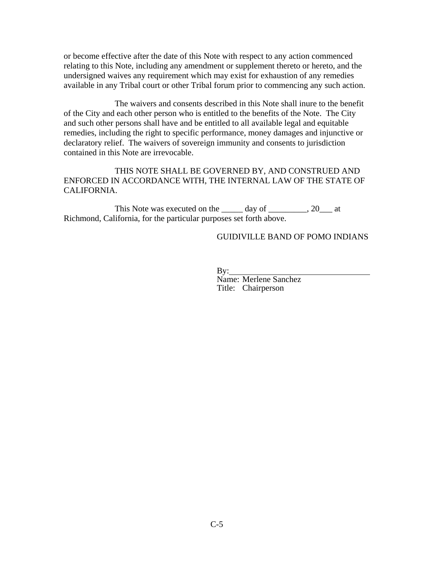or become effective after the date of this Note with respect to any action commenced relating to this Note, including any amendment or supplement thereto or hereto, and the undersigned waives any requirement which may exist for exhaustion of any remedies available in any Tribal court or other Tribal forum prior to commencing any such action.

The waivers and consents described in this Note shall inure to the benefit of the City and each other person who is entitled to the benefits of the Note. The City and such other persons shall have and be entitled to all available legal and equitable remedies, including the right to specific performance, money damages and injunctive or declaratory relief. The waivers of sovereign immunity and consents to jurisdiction contained in this Note are irrevocable.

THIS NOTE SHALL BE GOVERNED BY, AND CONSTRUED AND ENFORCED IN ACCORDANCE WITH, THE INTERNAL LAW OF THE STATE OF CALIFORNIA.

This Note was executed on the day of the  $\qquad \qquad$ , 20 at Richmond, California, for the particular purposes set forth above.

#### GUIDIVILLE BAND OF POMO INDIANS

By:

Name: Merlene Sanchez Title: Chairperson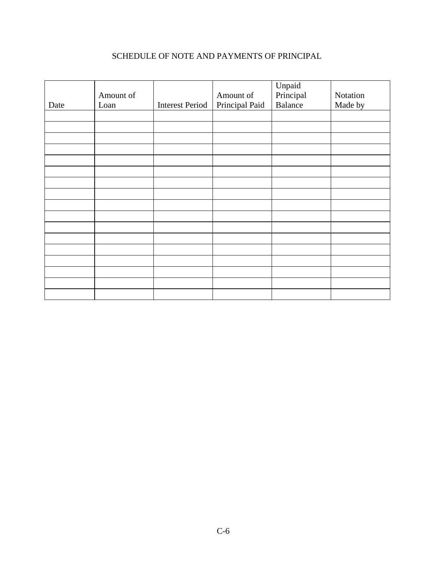### SCHEDULE OF NOTE AND PAYMENTS OF PRINCIPAL

| Date | Amount of<br>Loan | <b>Interest Period</b> | Amount of<br>Principal Paid | Unpaid<br>Principal<br>Balance | Notation<br>Made by |
|------|-------------------|------------------------|-----------------------------|--------------------------------|---------------------|
|      |                   |                        |                             |                                |                     |
|      |                   |                        |                             |                                |                     |
|      |                   |                        |                             |                                |                     |
|      |                   |                        |                             |                                |                     |
|      |                   |                        |                             |                                |                     |
|      |                   |                        |                             |                                |                     |
|      |                   |                        |                             |                                |                     |
|      |                   |                        |                             |                                |                     |
|      |                   |                        |                             |                                |                     |
|      |                   |                        |                             |                                |                     |
|      |                   |                        |                             |                                |                     |
|      |                   |                        |                             |                                |                     |
|      |                   |                        |                             |                                |                     |
|      |                   |                        |                             |                                |                     |
|      |                   |                        |                             |                                |                     |
|      |                   |                        |                             |                                |                     |
|      |                   |                        |                             |                                |                     |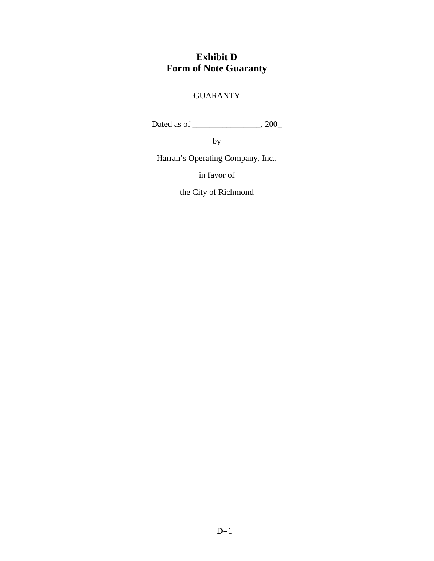# **Exhibit D Form of Note Guaranty**

## GUARANTY

Dated as of \_\_\_\_\_\_\_\_\_\_\_\_\_\_\_\_, 200\_

by

Harrah's Operating Company, Inc.,

in favor of

the City of Richmond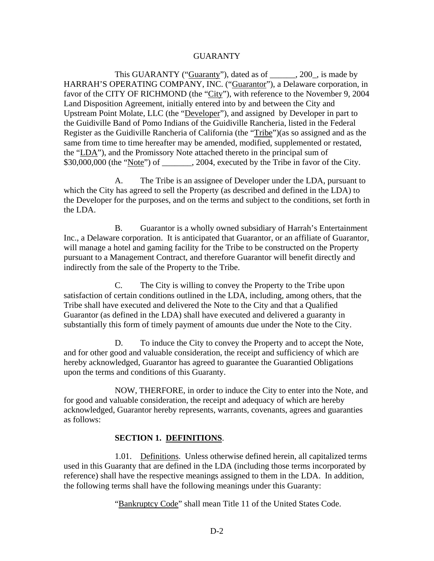#### GUARANTY

This GUARANTY ("Guaranty"), dated as of  $\qquad \qquad$ , 200, is made by HARRAH'S OPERATING COMPANY, INC. ("Guarantor"), a Delaware corporation, in favor of the CITY OF RICHMOND (the "City"), with reference to the November 9, 2004 Land Disposition Agreement, initially entered into by and between the City and Upstream Point Molate, LLC (the "Developer"), and assigned by Developer in part to the Guidiville Band of Pomo Indians of the Guidiville Rancheria, listed in the Federal Register as the Guidiville Rancheria of California (the "Tribe")(as so assigned and as the same from time to time hereafter may be amended, modified, supplemented or restated, the "LDA"), and the Promissory Note attached thereto in the principal sum of  $$30,000,000$  (the "Note") of \_\_\_\_\_\_\_, 2004, executed by the Tribe in favor of the City.

A. The Tribe is an assignee of Developer under the LDA, pursuant to which the City has agreed to sell the Property (as described and defined in the LDA) to the Developer for the purposes, and on the terms and subject to the conditions, set forth in the LDA.

B. Guarantor is a wholly owned subsidiary of Harrah's Entertainment Inc., a Delaware corporation. It is anticipated that Guarantor, or an affiliate of Guarantor, will manage a hotel and gaming facility for the Tribe to be constructed on the Property pursuant to a Management Contract, and therefore Guarantor will benefit directly and indirectly from the sale of the Property to the Tribe.

C. The City is willing to convey the Property to the Tribe upon satisfaction of certain conditions outlined in the LDA, including, among others, that the Tribe shall have executed and delivered the Note to the City and that a Qualified Guarantor (as defined in the LDA) shall have executed and delivered a guaranty in substantially this form of timely payment of amounts due under the Note to the City.

D. To induce the City to convey the Property and to accept the Note, and for other good and valuable consideration, the receipt and sufficiency of which are hereby acknowledged, Guarantor has agreed to guarantee the Guarantied Obligations upon the terms and conditions of this Guaranty.

NOW, THERFORE, in order to induce the City to enter into the Note, and for good and valuable consideration, the receipt and adequacy of which are hereby acknowledged, Guarantor hereby represents, warrants, covenants, agrees and guaranties as follows:

#### **SECTION 1. DEFINITIONS**.

1.01. Definitions. Unless otherwise defined herein, all capitalized terms used in this Guaranty that are defined in the LDA (including those terms incorporated by reference) shall have the respective meanings assigned to them in the LDA. In addition, the following terms shall have the following meanings under this Guaranty:

"Bankruptcy Code" shall mean Title 11 of the United States Code.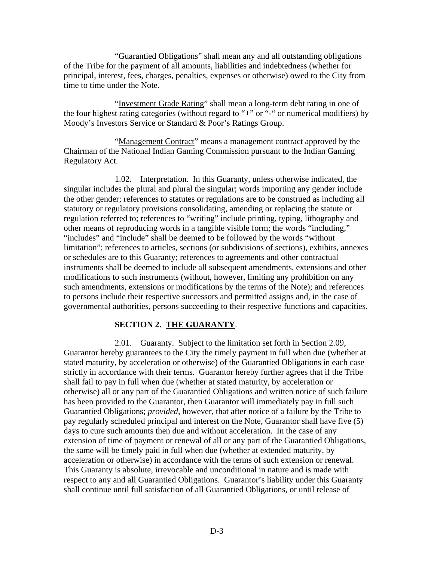"Guarantied Obligations" shall mean any and all outstanding obligations of the Tribe for the payment of all amounts, liabilities and indebtedness (whether for principal, interest, fees, charges, penalties, expenses or otherwise) owed to the City from time to time under the Note.

"Investment Grade Rating" shall mean a long-term debt rating in one of the four highest rating categories (without regard to "+" or "-" or numerical modifiers) by Moody's Investors Service or Standard & Poor's Ratings Group.

"Management Contract" means a management contract approved by the Chairman of the National Indian Gaming Commission pursuant to the Indian Gaming Regulatory Act.

1.02. Interpretation. In this Guaranty, unless otherwise indicated, the singular includes the plural and plural the singular; words importing any gender include the other gender; references to statutes or regulations are to be construed as including all statutory or regulatory provisions consolidating, amending or replacing the statute or regulation referred to; references to "writing" include printing, typing, lithography and other means of reproducing words in a tangible visible form; the words "including," "includes" and "include" shall be deemed to be followed by the words "without limitation"; references to articles, sections (or subdivisions of sections), exhibits, annexes or schedules are to this Guaranty; references to agreements and other contractual instruments shall be deemed to include all subsequent amendments, extensions and other modifications to such instruments (without, however, limiting any prohibition on any such amendments, extensions or modifications by the terms of the Note); and references to persons include their respective successors and permitted assigns and, in the case of governmental authorities, persons succeeding to their respective functions and capacities.

#### **SECTION 2. THE GUARANTY**.

2.01. Guaranty. Subject to the limitation set forth in Section 2.09, Guarantor hereby guarantees to the City the timely payment in full when due (whether at stated maturity, by acceleration or otherwise) of the Guarantied Obligations in each case strictly in accordance with their terms. Guarantor hereby further agrees that if the Tribe shall fail to pay in full when due (whether at stated maturity, by acceleration or otherwise) all or any part of the Guarantied Obligations and written notice of such failure has been provided to the Guarantor, then Guarantor will immediately pay in full such Guarantied Obligations; *provided*, however, that after notice of a failure by the Tribe to pay regularly scheduled principal and interest on the Note, Guarantor shall have five (5) days to cure such amounts then due and without acceleration. In the case of any extension of time of payment or renewal of all or any part of the Guarantied Obligations, the same will be timely paid in full when due (whether at extended maturity, by acceleration or otherwise) in accordance with the terms of such extension or renewal. This Guaranty is absolute, irrevocable and unconditional in nature and is made with respect to any and all Guarantied Obligations. Guarantor's liability under this Guaranty shall continue until full satisfaction of all Guarantied Obligations, or until release of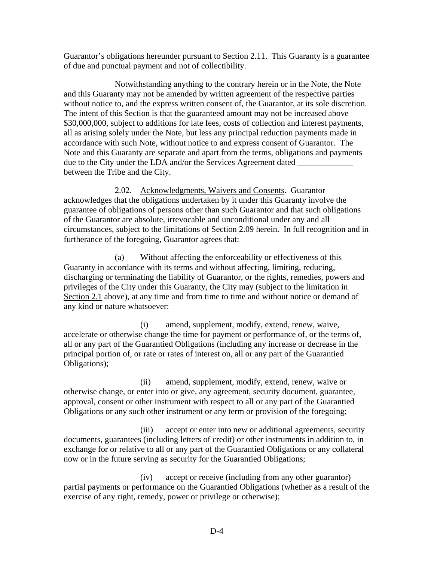Guarantor's obligations hereunder pursuant to Section 2.11. This Guaranty is a guarantee of due and punctual payment and not of collectibility.

Notwithstanding anything to the contrary herein or in the Note, the Note and this Guaranty may not be amended by written agreement of the respective parties without notice to, and the express written consent of, the Guarantor, at its sole discretion. The intent of this Section is that the guaranteed amount may not be increased above \$30,000,000, subject to additions for late fees, costs of collection and interest payments, all as arising solely under the Note, but less any principal reduction payments made in accordance with such Note, without notice to and express consent of Guarantor. The Note and this Guaranty are separate and apart from the terms, obligations and payments due to the City under the LDA and/or the Services Agreement dated between the Tribe and the City.

2.02. Acknowledgments, Waivers and Consents. Guarantor acknowledges that the obligations undertaken by it under this Guaranty involve the guarantee of obligations of persons other than such Guarantor and that such obligations of the Guarantor are absolute, irrevocable and unconditional under any and all circumstances, subject to the limitations of Section 2.09 herein. In full recognition and in furtherance of the foregoing, Guarantor agrees that:

(a) Without affecting the enforceability or effectiveness of this Guaranty in accordance with its terms and without affecting, limiting, reducing, discharging or terminating the liability of Guarantor, or the rights, remedies, powers and privileges of the City under this Guaranty, the City may (subject to the limitation in Section 2.1 above), at any time and from time to time and without notice or demand of any kind or nature whatsoever:

(i) amend, supplement, modify, extend, renew, waive, accelerate or otherwise change the time for payment or performance of, or the terms of, all or any part of the Guarantied Obligations (including any increase or decrease in the principal portion of, or rate or rates of interest on, all or any part of the Guarantied Obligations);

(ii) amend, supplement, modify, extend, renew, waive or otherwise change, or enter into or give, any agreement, security document, guarantee, approval, consent or other instrument with respect to all or any part of the Guarantied Obligations or any such other instrument or any term or provision of the foregoing;

(iii) accept or enter into new or additional agreements, security documents, guarantees (including letters of credit) or other instruments in addition to, in exchange for or relative to all or any part of the Guarantied Obligations or any collateral now or in the future serving as security for the Guarantied Obligations;

(iv) accept or receive (including from any other guarantor) partial payments or performance on the Guarantied Obligations (whether as a result of the exercise of any right, remedy, power or privilege or otherwise);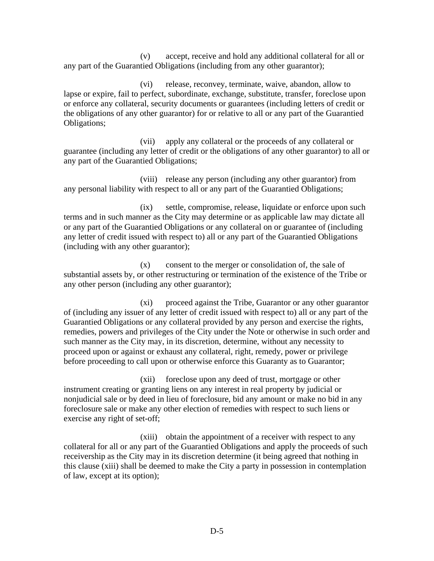(v) accept, receive and hold any additional collateral for all or any part of the Guarantied Obligations (including from any other guarantor);

(vi) release, reconvey, terminate, waive, abandon, allow to lapse or expire, fail to perfect, subordinate, exchange, substitute, transfer, foreclose upon or enforce any collateral, security documents or guarantees (including letters of credit or the obligations of any other guarantor) for or relative to all or any part of the Guarantied Obligations;

(vii) apply any collateral or the proceeds of any collateral or guarantee (including any letter of credit or the obligations of any other guarantor) to all or any part of the Guarantied Obligations;

(viii) release any person (including any other guarantor) from any personal liability with respect to all or any part of the Guarantied Obligations;

(ix) settle, compromise, release, liquidate or enforce upon such terms and in such manner as the City may determine or as applicable law may dictate all or any part of the Guarantied Obligations or any collateral on or guarantee of (including any letter of credit issued with respect to) all or any part of the Guarantied Obligations (including with any other guarantor);

(x) consent to the merger or consolidation of, the sale of substantial assets by, or other restructuring or termination of the existence of the Tribe or any other person (including any other guarantor);

(xi) proceed against the Tribe, Guarantor or any other guarantor of (including any issuer of any letter of credit issued with respect to) all or any part of the Guarantied Obligations or any collateral provided by any person and exercise the rights, remedies, powers and privileges of the City under the Note or otherwise in such order and such manner as the City may, in its discretion, determine, without any necessity to proceed upon or against or exhaust any collateral, right, remedy, power or privilege before proceeding to call upon or otherwise enforce this Guaranty as to Guarantor;

(xii) foreclose upon any deed of trust, mortgage or other instrument creating or granting liens on any interest in real property by judicial or nonjudicial sale or by deed in lieu of foreclosure, bid any amount or make no bid in any foreclosure sale or make any other election of remedies with respect to such liens or exercise any right of set-off;

(xiii) obtain the appointment of a receiver with respect to any collateral for all or any part of the Guarantied Obligations and apply the proceeds of such receivership as the City may in its discretion determine (it being agreed that nothing in this clause (xiii) shall be deemed to make the City a party in possession in contemplation of law, except at its option);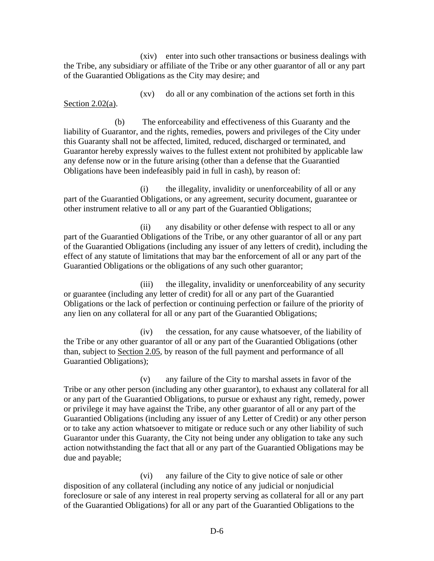(xiv) enter into such other transactions or business dealings with the Tribe, any subsidiary or affiliate of the Tribe or any other guarantor of all or any part of the Guarantied Obligations as the City may desire; and

(xv) do all or any combination of the actions set forth in this Section 2.02(a).

(b) The enforceability and effectiveness of this Guaranty and the liability of Guarantor, and the rights, remedies, powers and privileges of the City under this Guaranty shall not be affected, limited, reduced, discharged or terminated, and Guarantor hereby expressly waives to the fullest extent not prohibited by applicable law any defense now or in the future arising (other than a defense that the Guarantied Obligations have been indefeasibly paid in full in cash), by reason of:

(i) the illegality, invalidity or unenforceability of all or any part of the Guarantied Obligations, or any agreement, security document, guarantee or other instrument relative to all or any part of the Guarantied Obligations;

(ii) any disability or other defense with respect to all or any part of the Guarantied Obligations of the Tribe, or any other guarantor of all or any part of the Guarantied Obligations (including any issuer of any letters of credit), including the effect of any statute of limitations that may bar the enforcement of all or any part of the Guarantied Obligations or the obligations of any such other guarantor;

(iii) the illegality, invalidity or unenforceability of any security or guarantee (including any letter of credit) for all or any part of the Guarantied Obligations or the lack of perfection or continuing perfection or failure of the priority of any lien on any collateral for all or any part of the Guarantied Obligations;

(iv) the cessation, for any cause whatsoever, of the liability of the Tribe or any other guarantor of all or any part of the Guarantied Obligations (other than, subject to Section 2.05, by reason of the full payment and performance of all Guarantied Obligations);

(v) any failure of the City to marshal assets in favor of the Tribe or any other person (including any other guarantor), to exhaust any collateral for all or any part of the Guarantied Obligations, to pursue or exhaust any right, remedy, power or privilege it may have against the Tribe, any other guarantor of all or any part of the Guarantied Obligations (including any issuer of any Letter of Credit) or any other person or to take any action whatsoever to mitigate or reduce such or any other liability of such Guarantor under this Guaranty, the City not being under any obligation to take any such action notwithstanding the fact that all or any part of the Guarantied Obligations may be due and payable;

(vi) any failure of the City to give notice of sale or other disposition of any collateral (including any notice of any judicial or nonjudicial foreclosure or sale of any interest in real property serving as collateral for all or any part of the Guarantied Obligations) for all or any part of the Guarantied Obligations to the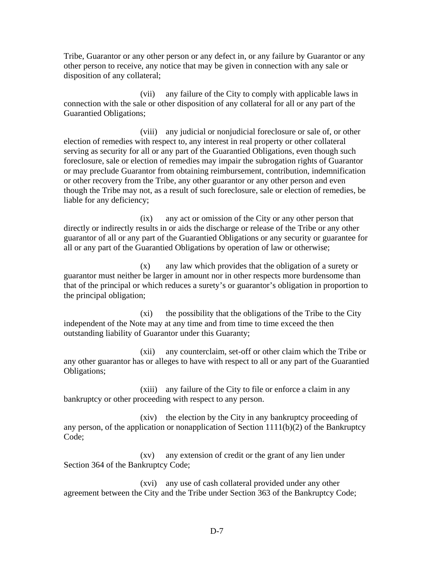Tribe, Guarantor or any other person or any defect in, or any failure by Guarantor or any other person to receive, any notice that may be given in connection with any sale or disposition of any collateral;

(vii) any failure of the City to comply with applicable laws in connection with the sale or other disposition of any collateral for all or any part of the Guarantied Obligations;

(viii) any judicial or nonjudicial foreclosure or sale of, or other election of remedies with respect to, any interest in real property or other collateral serving as security for all or any part of the Guarantied Obligations, even though such foreclosure, sale or election of remedies may impair the subrogation rights of Guarantor or may preclude Guarantor from obtaining reimbursement, contribution, indemnification or other recovery from the Tribe, any other guarantor or any other person and even though the Tribe may not, as a result of such foreclosure, sale or election of remedies, be liable for any deficiency;

(ix) any act or omission of the City or any other person that directly or indirectly results in or aids the discharge or release of the Tribe or any other guarantor of all or any part of the Guarantied Obligations or any security or guarantee for all or any part of the Guarantied Obligations by operation of law or otherwise;

(x) any law which provides that the obligation of a surety or guarantor must neither be larger in amount nor in other respects more burdensome than that of the principal or which reduces a surety's or guarantor's obligation in proportion to the principal obligation;

(xi) the possibility that the obligations of the Tribe to the City independent of the Note may at any time and from time to time exceed the then outstanding liability of Guarantor under this Guaranty;

(xii) any counterclaim, set-off or other claim which the Tribe or any other guarantor has or alleges to have with respect to all or any part of the Guarantied Obligations;

(xiii) any failure of the City to file or enforce a claim in any bankruptcy or other proceeding with respect to any person.

(xiv) the election by the City in any bankruptcy proceeding of any person, of the application or nonapplication of Section  $1111(b)(2)$  of the Bankruptcy Code;

(xv) any extension of credit or the grant of any lien under Section 364 of the Bankruptcy Code;

(xvi) any use of cash collateral provided under any other agreement between the City and the Tribe under Section 363 of the Bankruptcy Code;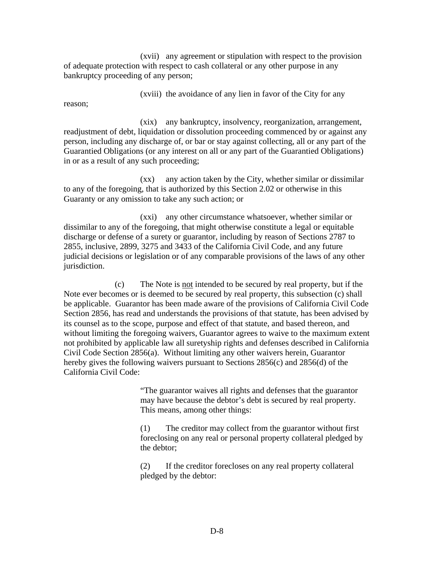(xvii) any agreement or stipulation with respect to the provision of adequate protection with respect to cash collateral or any other purpose in any bankruptcy proceeding of any person;

(xviii) the avoidance of any lien in favor of the City for any

reason;

(xix) any bankruptcy, insolvency, reorganization, arrangement, readjustment of debt, liquidation or dissolution proceeding commenced by or against any person, including any discharge of, or bar or stay against collecting, all or any part of the Guarantied Obligations (or any interest on all or any part of the Guarantied Obligations) in or as a result of any such proceeding;

(xx) any action taken by the City, whether similar or dissimilar to any of the foregoing, that is authorized by this Section 2.02 or otherwise in this Guaranty or any omission to take any such action; or

(xxi) any other circumstance whatsoever, whether similar or dissimilar to any of the foregoing, that might otherwise constitute a legal or equitable discharge or defense of a surety or guarantor, including by reason of Sections 2787 to 2855, inclusive, 2899, 3275 and 3433 of the California Civil Code, and any future judicial decisions or legislation or of any comparable provisions of the laws of any other jurisdiction.

(c) The Note is not intended to be secured by real property, but if the Note ever becomes or is deemed to be secured by real property, this subsection (c) shall be applicable. Guarantor has been made aware of the provisions of California Civil Code Section 2856, has read and understands the provisions of that statute, has been advised by its counsel as to the scope, purpose and effect of that statute, and based thereon, and without limiting the foregoing waivers, Guarantor agrees to waive to the maximum extent not prohibited by applicable law all suretyship rights and defenses described in California Civil Code Section 2856(a). Without limiting any other waivers herein, Guarantor hereby gives the following waivers pursuant to Sections 2856(c) and 2856(d) of the California Civil Code:

> "The guarantor waives all rights and defenses that the guarantor may have because the debtor's debt is secured by real property. This means, among other things:

(1) The creditor may collect from the guarantor without first foreclosing on any real or personal property collateral pledged by the debtor;

(2) If the creditor forecloses on any real property collateral pledged by the debtor: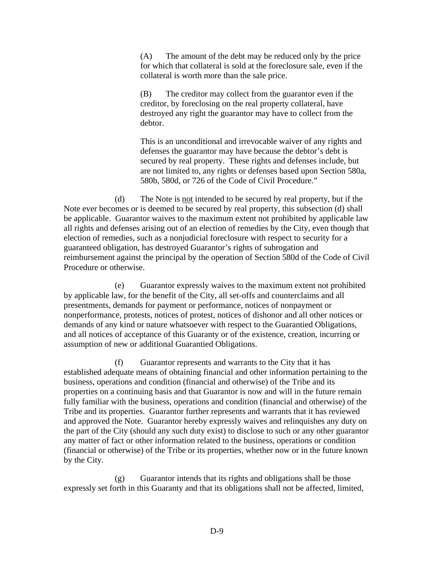(A) The amount of the debt may be reduced only by the price for which that collateral is sold at the foreclosure sale, even if the collateral is worth more than the sale price.

(B) The creditor may collect from the guarantor even if the creditor, by foreclosing on the real property collateral, have destroyed any right the guarantor may have to collect from the debtor.

This is an unconditional and irrevocable waiver of any rights and defenses the guarantor may have because the debtor's debt is secured by real property. These rights and defenses include, but are not limited to, any rights or defenses based upon Section 580a, 580b, 580d, or 726 of the Code of Civil Procedure."

(d) The Note is not intended to be secured by real property, but if the Note ever becomes or is deemed to be secured by real property, this subsection (d) shall be applicable. Guarantor waives to the maximum extent not prohibited by applicable law all rights and defenses arising out of an election of remedies by the City, even though that election of remedies, such as a nonjudicial foreclosure with respect to security for a guaranteed obligation, has destroyed Guarantor's rights of subrogation and reimbursement against the principal by the operation of Section 580d of the Code of Civil Procedure or otherwise.

(e) Guarantor expressly waives to the maximum extent not prohibited by applicable law, for the benefit of the City, all set-offs and counterclaims and all presentments, demands for payment or performance, notices of nonpayment or nonperformance, protests, notices of protest, notices of dishonor and all other notices or demands of any kind or nature whatsoever with respect to the Guarantied Obligations, and all notices of acceptance of this Guaranty or of the existence, creation, incurring or assumption of new or additional Guarantied Obligations.

(f) Guarantor represents and warrants to the City that it has established adequate means of obtaining financial and other information pertaining to the business, operations and condition (financial and otherwise) of the Tribe and its properties on a continuing basis and that Guarantor is now and will in the future remain fully familiar with the business, operations and condition (financial and otherwise) of the Tribe and its properties. Guarantor further represents and warrants that it has reviewed and approved the Note. Guarantor hereby expressly waives and relinquishes any duty on the part of the City (should any such duty exist) to disclose to such or any other guarantor any matter of fact or other information related to the business, operations or condition (financial or otherwise) of the Tribe or its properties, whether now or in the future known by the City.

(g) Guarantor intends that its rights and obligations shall be those expressly set forth in this Guaranty and that its obligations shall not be affected, limited,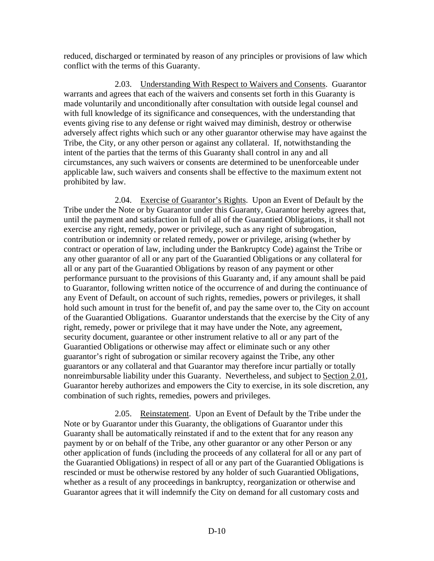reduced, discharged or terminated by reason of any principles or provisions of law which conflict with the terms of this Guaranty.

2.03. Understanding With Respect to Waivers and Consents. Guarantor warrants and agrees that each of the waivers and consents set forth in this Guaranty is made voluntarily and unconditionally after consultation with outside legal counsel and with full knowledge of its significance and consequences, with the understanding that events giving rise to any defense or right waived may diminish, destroy or otherwise adversely affect rights which such or any other guarantor otherwise may have against the Tribe, the City, or any other person or against any collateral. If, notwithstanding the intent of the parties that the terms of this Guaranty shall control in any and all circumstances, any such waivers or consents are determined to be unenforceable under applicable law, such waivers and consents shall be effective to the maximum extent not prohibited by law.

2.04. Exercise of Guarantor's Rights. Upon an Event of Default by the Tribe under the Note or by Guarantor under this Guaranty, Guarantor hereby agrees that, until the payment and satisfaction in full of all of the Guarantied Obligations, it shall not exercise any right, remedy, power or privilege, such as any right of subrogation, contribution or indemnity or related remedy, power or privilege, arising (whether by contract or operation of law, including under the Bankruptcy Code) against the Tribe or any other guarantor of all or any part of the Guarantied Obligations or any collateral for all or any part of the Guarantied Obligations by reason of any payment or other performance pursuant to the provisions of this Guaranty and, if any amount shall be paid to Guarantor, following written notice of the occurrence of and during the continuance of any Event of Default, on account of such rights, remedies, powers or privileges, it shall hold such amount in trust for the benefit of, and pay the same over to, the City on account of the Guarantied Obligations. Guarantor understands that the exercise by the City of any right, remedy, power or privilege that it may have under the Note, any agreement, security document, guarantee or other instrument relative to all or any part of the Guarantied Obligations or otherwise may affect or eliminate such or any other guarantor's right of subrogation or similar recovery against the Tribe, any other guarantors or any collateral and that Guarantor may therefore incur partially or totally nonreimbursable liability under this Guaranty. Nevertheless, and subject to Section 2.01, Guarantor hereby authorizes and empowers the City to exercise, in its sole discretion, any combination of such rights, remedies, powers and privileges.

2.05. Reinstatement. Upon an Event of Default by the Tribe under the Note or by Guarantor under this Guaranty, the obligations of Guarantor under this Guaranty shall be automatically reinstated if and to the extent that for any reason any payment by or on behalf of the Tribe, any other guarantor or any other Person or any other application of funds (including the proceeds of any collateral for all or any part of the Guarantied Obligations) in respect of all or any part of the Guarantied Obligations is rescinded or must be otherwise restored by any holder of such Guarantied Obligations, whether as a result of any proceedings in bankruptcy, reorganization or otherwise and Guarantor agrees that it will indemnify the City on demand for all customary costs and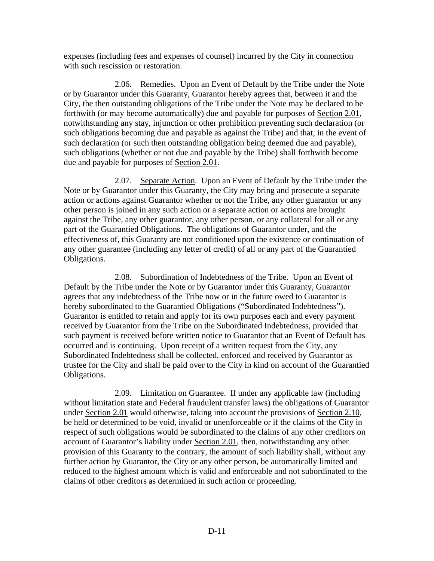expenses (including fees and expenses of counsel) incurred by the City in connection with such rescission or restoration.

2.06. Remedies. Upon an Event of Default by the Tribe under the Note or by Guarantor under this Guaranty, Guarantor hereby agrees that, between it and the City, the then outstanding obligations of the Tribe under the Note may be declared to be forthwith (or may become automatically) due and payable for purposes of Section 2.01, notwithstanding any stay, injunction or other prohibition preventing such declaration (or such obligations becoming due and payable as against the Tribe) and that, in the event of such declaration (or such then outstanding obligation being deemed due and payable), such obligations (whether or not due and payable by the Tribe) shall forthwith become due and payable for purposes of Section 2.01.

2.07. Separate Action. Upon an Event of Default by the Tribe under the Note or by Guarantor under this Guaranty, the City may bring and prosecute a separate action or actions against Guarantor whether or not the Tribe, any other guarantor or any other person is joined in any such action or a separate action or actions are brought against the Tribe, any other guarantor, any other person, or any collateral for all or any part of the Guarantied Obligations. The obligations of Guarantor under, and the effectiveness of, this Guaranty are not conditioned upon the existence or continuation of any other guarantee (including any letter of credit) of all or any part of the Guarantied Obligations.

2.08. Subordination of Indebtedness of the Tribe. Upon an Event of Default by the Tribe under the Note or by Guarantor under this Guaranty, Guarantor agrees that any indebtedness of the Tribe now or in the future owed to Guarantor is hereby subordinated to the Guarantied Obligations ("Subordinated Indebtedness"). Guarantor is entitled to retain and apply for its own purposes each and every payment received by Guarantor from the Tribe on the Subordinated Indebtedness, provided that such payment is received before written notice to Guarantor that an Event of Default has occurred and is continuing. Upon receipt of a written request from the City, any Subordinated Indebtedness shall be collected, enforced and received by Guarantor as trustee for the City and shall be paid over to the City in kind on account of the Guarantied Obligations.

2.09. Limitation on Guarantee. If under any applicable law (including without limitation state and Federal fraudulent transfer laws) the obligations of Guarantor under Section 2.01 would otherwise, taking into account the provisions of Section 2.10, be held or determined to be void, invalid or unenforceable or if the claims of the City in respect of such obligations would be subordinated to the claims of any other creditors on account of Guarantor's liability under Section 2.01, then, notwithstanding any other provision of this Guaranty to the contrary, the amount of such liability shall, without any further action by Guarantor, the City or any other person, be automatically limited and reduced to the highest amount which is valid and enforceable and not subordinated to the claims of other creditors as determined in such action or proceeding.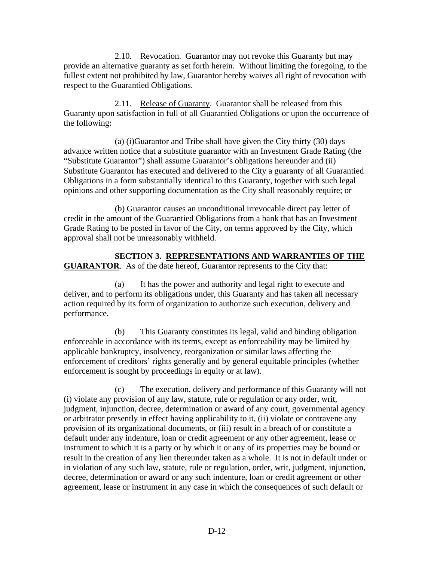2.10. Revocation. Guarantor may not revoke this Guaranty but may provide an alternative guaranty as set forth herein. Without limiting the foregoing, to the fullest extent not prohibited by law, Guarantor hereby waives all right of revocation with respect to the Guarantied Obligations.

2.11. Release of Guaranty. Guarantor shall be released from this Guaranty upon satisfaction in full of all Guarantied Obligations or upon the occurrence of the following:

(a) (i)Guarantor and Tribe shall have given the City thirty (30) days advance written notice that a substitute guarantor with an Investment Grade Rating (the "Substitute Guarantor") shall assume Guarantor's obligations hereunder and (ii) Substitute Guarantor has executed and delivered to the City a guaranty of all Guarantied Obligations in a form substantially identical to this Guaranty, together with such legal opinions and other supporting documentation as the City shall reasonably require; or

(b) Guarantor causes an unconditional irrevocable direct pay letter of credit in the amount of the Guarantied Obligations from a bank that has an Investment Grade Rating to be posted in favor of the City, on terms approved by the City, which approval shall not be unreasonably withheld.

**SECTION 3. REPRESENTATIONS AND WARRANTIES OF THE GUARANTOR**. As of the date hereof, Guarantor represents to the City that:

(a) It has the power and authority and legal right to execute and deliver, and to perform its obligations under, this Guaranty and has taken all necessary action required by its form of organization to authorize such execution, delivery and performance.

(b) This Guaranty constitutes its legal, valid and binding obligation enforceable in accordance with its terms, except as enforceability may be limited by applicable bankruptcy, insolvency, reorganization or similar laws affecting the enforcement of creditors' rights generally and by general equitable principles (whether enforcement is sought by proceedings in equity or at law).

(c) The execution, delivery and performance of this Guaranty will not (i) violate any provision of any law, statute, rule or regulation or any order, writ, judgment, injunction, decree, determination or award of any court, governmental agency or arbitrator presently in effect having applicability to it, (ii) violate or contravene any provision of its organizational documents, or (iii) result in a breach of or constitute a default under any indenture, loan or credit agreement or any other agreement, lease or instrument to which it is a party or by which it or any of its properties may be bound or result in the creation of any lien thereunder taken as a whole. It is not in default under or in violation of any such law, statute, rule or regulation, order, writ, judgment, injunction, decree, determination or award or any such indenture, loan or credit agreement or other agreement, lease or instrument in any case in which the consequences of such default or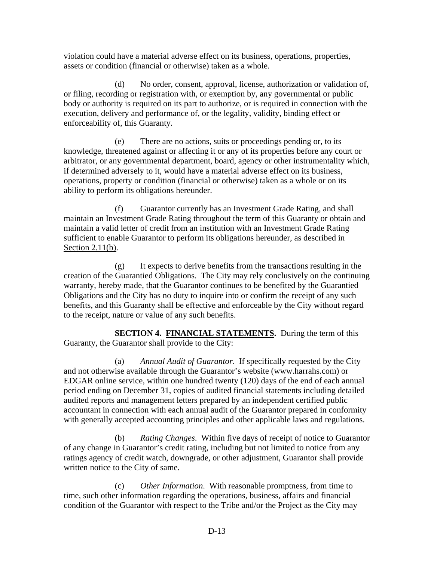violation could have a material adverse effect on its business, operations, properties, assets or condition (financial or otherwise) taken as a whole.

(d) No order, consent, approval, license, authorization or validation of, or filing, recording or registration with, or exemption by, any governmental or public body or authority is required on its part to authorize, or is required in connection with the execution, delivery and performance of, or the legality, validity, binding effect or enforceability of, this Guaranty.

(e) There are no actions, suits or proceedings pending or, to its knowledge, threatened against or affecting it or any of its properties before any court or arbitrator, or any governmental department, board, agency or other instrumentality which, if determined adversely to it, would have a material adverse effect on its business, operations, property or condition (financial or otherwise) taken as a whole or on its ability to perform its obligations hereunder.

(f) Guarantor currently has an Investment Grade Rating, and shall maintain an Investment Grade Rating throughout the term of this Guaranty or obtain and maintain a valid letter of credit from an institution with an Investment Grade Rating sufficient to enable Guarantor to perform its obligations hereunder, as described in Section 2.11(b).

(g) It expects to derive benefits from the transactions resulting in the creation of the Guarantied Obligations. The City may rely conclusively on the continuing warranty, hereby made, that the Guarantor continues to be benefited by the Guarantied Obligations and the City has no duty to inquire into or confirm the receipt of any such benefits, and this Guaranty shall be effective and enforceable by the City without regard to the receipt, nature or value of any such benefits.

**SECTION 4. FINANCIAL STATEMENTS.** During the term of this Guaranty, the Guarantor shall provide to the City:

(a) *Annual Audit of Guarantor*. If specifically requested by the City and not otherwise available through the Guarantor's website (www.harrahs.com) or EDGAR online service, within one hundred twenty (120) days of the end of each annual period ending on December 31, copies of audited financial statements including detailed audited reports and management letters prepared by an independent certified public accountant in connection with each annual audit of the Guarantor prepared in conformity with generally accepted accounting principles and other applicable laws and regulations.

(b) *Rating Changes*. Within five days of receipt of notice to Guarantor of any change in Guarantor's credit rating, including but not limited to notice from any ratings agency of credit watch, downgrade, or other adjustment, Guarantor shall provide written notice to the City of same.

(c) *Other Information*. With reasonable promptness, from time to time, such other information regarding the operations, business, affairs and financial condition of the Guarantor with respect to the Tribe and/or the Project as the City may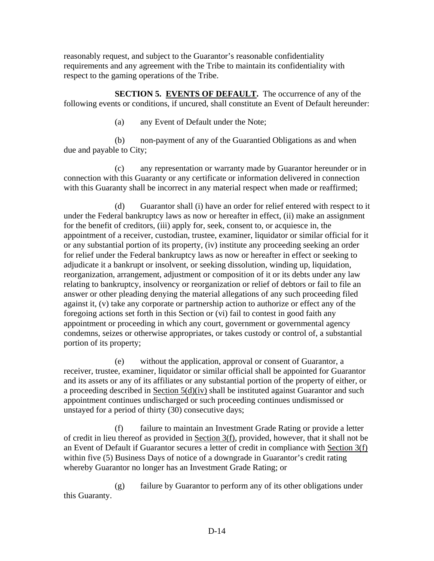reasonably request, and subject to the Guarantor's reasonable confidentiality requirements and any agreement with the Tribe to maintain its confidentiality with respect to the gaming operations of the Tribe.

**SECTION 5. EVENTS OF DEFAULT.** The occurrence of any of the following events or conditions, if uncured, shall constitute an Event of Default hereunder:

(a) any Event of Default under the Note;

(b) non-payment of any of the Guarantied Obligations as and when due and payable to City;

(c) any representation or warranty made by Guarantor hereunder or in connection with this Guaranty or any certificate or information delivered in connection with this Guaranty shall be incorrect in any material respect when made or reaffirmed;

(d) Guarantor shall (i) have an order for relief entered with respect to it under the Federal bankruptcy laws as now or hereafter in effect, (ii) make an assignment for the benefit of creditors, (iii) apply for, seek, consent to, or acquiesce in, the appointment of a receiver, custodian, trustee, examiner, liquidator or similar official for it or any substantial portion of its property, (iv) institute any proceeding seeking an order for relief under the Federal bankruptcy laws as now or hereafter in effect or seeking to adjudicate it a bankrupt or insolvent, or seeking dissolution, winding up, liquidation, reorganization, arrangement, adjustment or composition of it or its debts under any law relating to bankruptcy, insolvency or reorganization or relief of debtors or fail to file an answer or other pleading denying the material allegations of any such proceeding filed against it, (v) take any corporate or partnership action to authorize or effect any of the foregoing actions set forth in this Section or (vi) fail to contest in good faith any appointment or proceeding in which any court, government or governmental agency condemns, seizes or otherwise appropriates, or takes custody or control of, a substantial portion of its property;

(e) without the application, approval or consent of Guarantor, a receiver, trustee, examiner, liquidator or similar official shall be appointed for Guarantor and its assets or any of its affiliates or any substantial portion of the property of either, or a proceeding described in Section 5(d)(iv) shall be instituted against Guarantor and such appointment continues undischarged or such proceeding continues undismissed or unstayed for a period of thirty (30) consecutive days;

(f) failure to maintain an Investment Grade Rating or provide a letter of credit in lieu thereof as provided in Section 3(f), provided, however, that it shall not be an Event of Default if Guarantor secures a letter of credit in compliance with Section 3(f) within five (5) Business Days of notice of a downgrade in Guarantor's credit rating whereby Guarantor no longer has an Investment Grade Rating; or

(g) failure by Guarantor to perform any of its other obligations under this Guaranty.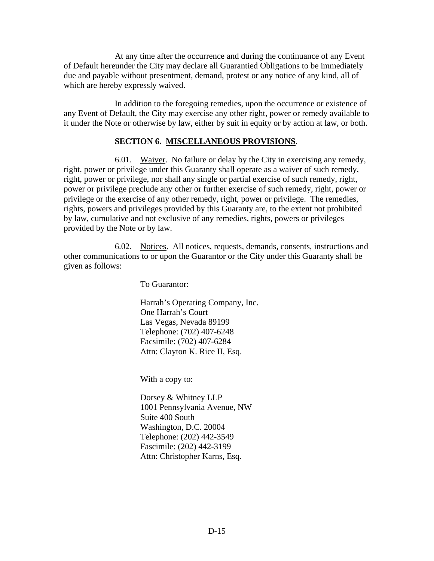At any time after the occurrence and during the continuance of any Event of Default hereunder the City may declare all Guarantied Obligations to be immediately due and payable without presentment, demand, protest or any notice of any kind, all of which are hereby expressly waived.

In addition to the foregoing remedies, upon the occurrence or existence of any Event of Default, the City may exercise any other right, power or remedy available to it under the Note or otherwise by law, either by suit in equity or by action at law, or both.

#### **SECTION 6. MISCELLANEOUS PROVISIONS**.

6.01. Waiver. No failure or delay by the City in exercising any remedy, right, power or privilege under this Guaranty shall operate as a waiver of such remedy, right, power or privilege, nor shall any single or partial exercise of such remedy, right, power or privilege preclude any other or further exercise of such remedy, right, power or privilege or the exercise of any other remedy, right, power or privilege. The remedies, rights, powers and privileges provided by this Guaranty are, to the extent not prohibited by law, cumulative and not exclusive of any remedies, rights, powers or privileges provided by the Note or by law.

6.02. Notices. All notices, requests, demands, consents, instructions and other communications to or upon the Guarantor or the City under this Guaranty shall be given as follows:

To Guarantor:

Harrah's Operating Company, Inc. One Harrah's Court Las Vegas, Nevada 89199 Telephone: (702) 407-6248 Facsimile: (702) 407-6284 Attn: Clayton K. Rice II, Esq.

With a copy to:

Dorsey & Whitney LLP 1001 Pennsylvania Avenue, NW Suite 400 South Washington, D.C. 20004 Telephone: (202) 442-3549 Fascimile: (202) 442-3199 Attn: Christopher Karns, Esq.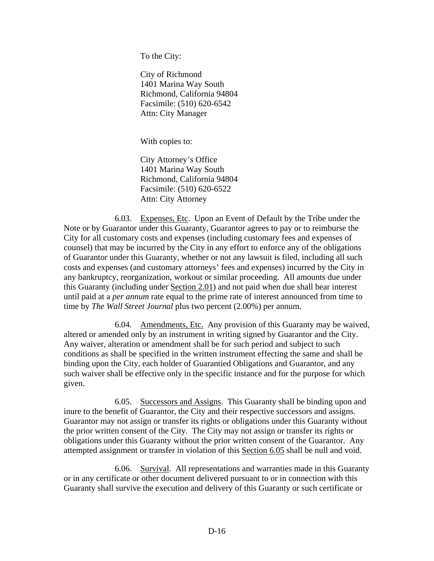To the City:

City of Richmond 1401 Marina Way South Richmond, California 94804 Facsimile: (510) 620-6542 Attn: City Manager

With copies to:

City Attorney's Office 1401 Marina Way South Richmond, California 94804 Facsimile: (510) 620-6522 Attn: City Attorney

6.03. Expenses, Etc. Upon an Event of Default by the Tribe under the Note or by Guarantor under this Guaranty, Guarantor agrees to pay or to reimburse the City for all customary costs and expenses (including customary fees and expenses of counsel) that may be incurred by the City in any effort to enforce any of the obligations of Guarantor under this Guaranty, whether or not any lawsuit is filed, including all such costs and expenses (and customary attorneys' fees and expenses) incurred by the City in any bankruptcy, reorganization, workout or similar proceeding. All amounts due under this Guaranty (including under Section 2.01) and not paid when due shall bear interest until paid at a *per annum* rate equal to the prime rate of interest announced from time to time by *The Wall Street Journal* plus two percent (2.00%) per annum.

6.04. Amendments, Etc. Any provision of this Guaranty may be waived, altered or amended only by an instrument in writing signed by Guarantor and the City. Any waiver, alteration or amendment shall be for such period and subject to such conditions as shall be specified in the written instrument effecting the same and shall be binding upon the City, each holder of Guarantied Obligations and Guarantor, and any such waiver shall be effective only in the specific instance and for the purpose for which given.

6.05. Successors and Assigns. This Guaranty shall be binding upon and inure to the benefit of Guarantor, the City and their respective successors and assigns. Guarantor may not assign or transfer its rights or obligations under this Guaranty without the prior written consent of the City. The City may not assign or transfer its rights or obligations under this Guaranty without the prior written consent of the Guarantor. Any attempted assignment or transfer in violation of this Section 6.05 shall be null and void.

6.06. Survival. All representations and warranties made in this Guaranty or in any certificate or other document delivered pursuant to or in connection with this Guaranty shall survive the execution and delivery of this Guaranty or such certificate or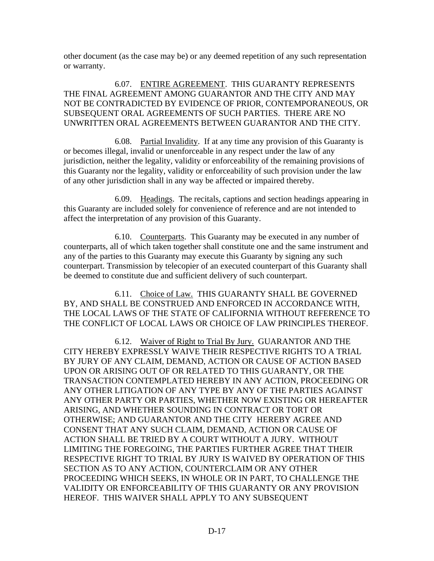other document (as the case may be) or any deemed repetition of any such representation or warranty.

6.07. ENTIRE AGREEMENT. THIS GUARANTY REPRESENTS THE FINAL AGREEMENT AMONG GUARANTOR AND THE CITY AND MAY NOT BE CONTRADICTED BY EVIDENCE OF PRIOR, CONTEMPORANEOUS, OR SUBSEQUENT ORAL AGREEMENTS OF SUCH PARTIES. THERE ARE NO UNWRITTEN ORAL AGREEMENTS BETWEEN GUARANTOR AND THE CITY.

6.08. Partial Invalidity. If at any time any provision of this Guaranty is or becomes illegal, invalid or unenforceable in any respect under the law of any jurisdiction, neither the legality, validity or enforceability of the remaining provisions of this Guaranty nor the legality, validity or enforceability of such provision under the law of any other jurisdiction shall in any way be affected or impaired thereby.

6.09. Headings. The recitals, captions and section headings appearing in this Guaranty are included solely for convenience of reference and are not intended to affect the interpretation of any provision of this Guaranty.

6.10. Counterparts. This Guaranty may be executed in any number of counterparts, all of which taken together shall constitute one and the same instrument and any of the parties to this Guaranty may execute this Guaranty by signing any such counterpart. Transmission by telecopier of an executed counterpart of this Guaranty shall be deemed to constitute due and sufficient delivery of such counterpart.

6.11. Choice of Law. THIS GUARANTY SHALL BE GOVERNED BY, AND SHALL BE CONSTRUED AND ENFORCED IN ACCORDANCE WITH, THE LOCAL LAWS OF THE STATE OF CALIFORNIA WITHOUT REFERENCE TO THE CONFLICT OF LOCAL LAWS OR CHOICE OF LAW PRINCIPLES THEREOF.

6.12. Waiver of Right to Trial By Jury. GUARANTOR AND THE CITY HEREBY EXPRESSLY WAIVE THEIR RESPECTIVE RIGHTS TO A TRIAL BY JURY OF ANY CLAIM, DEMAND, ACTION OR CAUSE OF ACTION BASED UPON OR ARISING OUT OF OR RELATED TO THIS GUARANTY, OR THE TRANSACTION CONTEMPLATED HEREBY IN ANY ACTION, PROCEEDING OR ANY OTHER LITIGATION OF ANY TYPE BY ANY OF THE PARTIES AGAINST ANY OTHER PARTY OR PARTIES, WHETHER NOW EXISTING OR HEREAFTER ARISING, AND WHETHER SOUNDING IN CONTRACT OR TORT OR OTHERWISE; AND GUARANTOR AND THE CITY HEREBY AGREE AND CONSENT THAT ANY SUCH CLAIM, DEMAND, ACTION OR CAUSE OF ACTION SHALL BE TRIED BY A COURT WITHOUT A JURY. WITHOUT LIMITING THE FOREGOING, THE PARTIES FURTHER AGREE THAT THEIR RESPECTIVE RIGHT TO TRIAL BY JURY IS WAIVED BY OPERATION OF THIS SECTION AS TO ANY ACTION, COUNTERCLAIM OR ANY OTHER PROCEEDING WHICH SEEKS, IN WHOLE OR IN PART, TO CHALLENGE THE VALIDITY OR ENFORCEABILITY OF THIS GUARANTY OR ANY PROVISION HEREOF. THIS WAIVER SHALL APPLY TO ANY SUBSEQUENT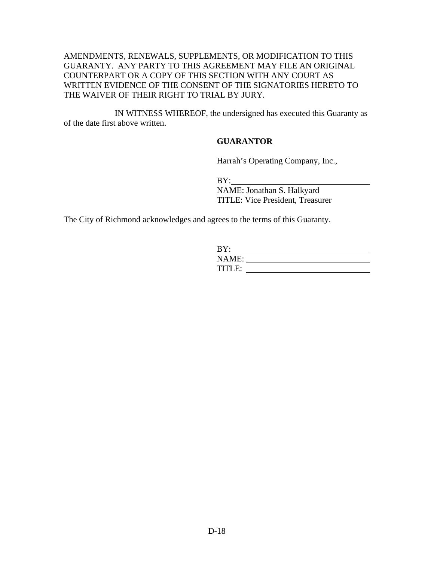#### AMENDMENTS, RENEWALS, SUPPLEMENTS, OR MODIFICATION TO THIS GUARANTY. ANY PARTY TO THIS AGREEMENT MAY FILE AN ORIGINAL COUNTERPART OR A COPY OF THIS SECTION WITH ANY COURT AS WRITTEN EVIDENCE OF THE CONSENT OF THE SIGNATORIES HERETO TO THE WAIVER OF THEIR RIGHT TO TRIAL BY JURY.

IN WITNESS WHEREOF, the undersigned has executed this Guaranty as of the date first above written.

#### **GUARANTOR**

Harrah's Operating Company, Inc.,

BY:

NAME: Jonathan S. Halkyard TITLE: Vice President, Treasurer

The City of Richmond acknowledges and agrees to the terms of this Guaranty.

| BY:           |  |
|---------------|--|
| NAME:         |  |
| <b>TITLE:</b> |  |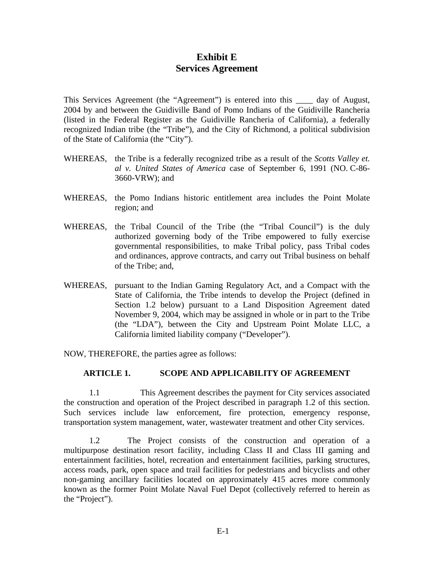## **Exhibit E Services Agreement**

This Services Agreement (the "Agreement") is entered into this \_\_\_\_ day of August, 2004 by and between the Guidiville Band of Pomo Indians of the Guidiville Rancheria (listed in the Federal Register as the Guidiville Rancheria of California), a federally recognized Indian tribe (the "Tribe"), and the City of Richmond, a political subdivision of the State of California (the "City").

- WHEREAS, the Tribe is a federally recognized tribe as a result of the *Scotts Valley et. al v. United States of America* case of September 6, 1991 (NO. C-86- 3660-VRW); and
- WHEREAS, the Pomo Indians historic entitlement area includes the Point Molate region; and
- WHEREAS, the Tribal Council of the Tribe (the "Tribal Council") is the duly authorized governing body of the Tribe empowered to fully exercise governmental responsibilities, to make Tribal policy, pass Tribal codes and ordinances, approve contracts, and carry out Tribal business on behalf of the Tribe; and,
- WHEREAS, pursuant to the Indian Gaming Regulatory Act, and a Compact with the State of California, the Tribe intends to develop the Project (defined in Section 1.2 below) pursuant to a Land Disposition Agreement dated November 9, 2004, which may be assigned in whole or in part to the Tribe (the "LDA"), between the City and Upstream Point Molate LLC, a California limited liability company ("Developer").

NOW, THEREFORE, the parties agree as follows:

#### **ARTICLE 1. SCOPE AND APPLICABILITY OF AGREEMENT**

1.1 This Agreement describes the payment for City services associated the construction and operation of the Project described in paragraph 1.2 of this section. Such services include law enforcement, fire protection, emergency response, transportation system management, water, wastewater treatment and other City services.

1.2 The Project consists of the construction and operation of a multipurpose destination resort facility, including Class II and Class III gaming and entertainment facilities, hotel, recreation and entertainment facilities, parking structures, access roads, park, open space and trail facilities for pedestrians and bicyclists and other non-gaming ancillary facilities located on approximately 415 acres more commonly known as the former Point Molate Naval Fuel Depot (collectively referred to herein as the "Project").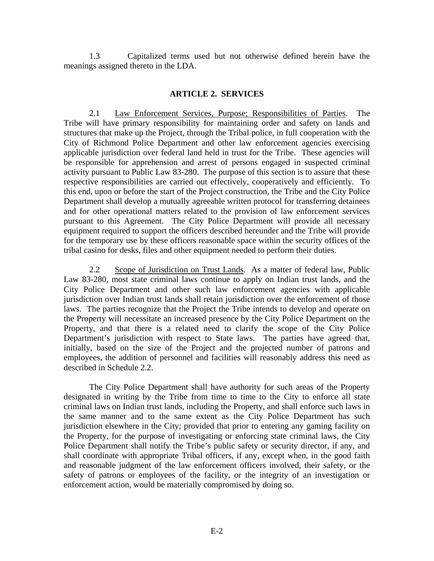1.3 Capitalized terms used but not otherwise defined herein have the meanings assigned thereto in the LDA.

#### **ARTICLE 2. SERVICES**

 2.1 Law Enforcement Services, Purpose; Responsibilities of Parties. The Tribe will have primary responsibility for maintaining order and safety on lands and structures that make up the Project, through the Tribal police, in full cooperation with the City of Richmond Police Department and other law enforcement agencies exercising applicable jurisdiction over federal land held in trust for the Tribe. These agencies will be responsible for apprehension and arrest of persons engaged in suspected criminal activity pursuant to Public Law 83-280. The purpose of this section is to assure that these respective responsibilities are carried out effectively, cooperatively and efficiently. To this end, upon or before the start of the Project construction, the Tribe and the City Police Department shall develop a mutually agreeable written protocol for transferring detainees and for other operational matters related to the provision of law enforcement services pursuant to this Agreement. The City Police Department will provide all necessary equipment required to support the officers described hereunder and the Tribe will provide for the temporary use by these officers reasonable space within the security offices of the tribal casino for desks, files and other equipment needed to perform their duties.

2.2 Scope of Jurisdiction on Trust Lands. As a matter of federal law, Public Law 83-280, most state criminal laws continue to apply on Indian trust lands, and the City Police Department and other such law enforcement agencies with applicable jurisdiction over Indian trust lands shall retain jurisdiction over the enforcement of those laws. The parties recognize that the Project the Tribe intends to develop and operate on the Property will necessitate an increased presence by the City Police Department on the Property, and that there is a related need to clarify the scope of the City Police Department's jurisdiction with respect to State laws. The parties have agreed that, initially, based on the size of the Project and the projected number of patrons and employees, the addition of personnel and facilities will reasonably address this need as described in Schedule 2.2.

The City Police Department shall have authority for such areas of the Property designated in writing by the Tribe from time to time to the City to enforce all state criminal laws on Indian trust lands, including the Property, and shall enforce such laws in the same manner and to the same extent as the City Police Department has such jurisdiction elsewhere in the City; provided that prior to entering any gaming facility on the Property, for the purpose of investigating or enforcing state criminal laws, the City Police Department shall notify the Tribe's public safety or security director, if any, and shall coordinate with appropriate Tribal officers, if any, except when, in the good faith and reasonable judgment of the law enforcement officers involved, their safety, or the safety of patrons or employees of the facility, or the integrity of an investigation or enforcement action, would be materially compromised by doing so.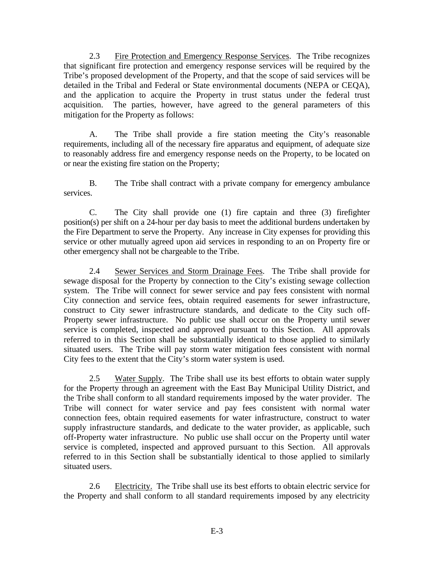2.3 Fire Protection and Emergency Response Services. The Tribe recognizes that significant fire protection and emergency response services will be required by the Tribe's proposed development of the Property, and that the scope of said services will be detailed in the Tribal and Federal or State environmental documents (NEPA or CEQA), and the application to acquire the Property in trust status under the federal trust acquisition. The parties, however, have agreed to the general parameters of this mitigation for the Property as follows:

A. The Tribe shall provide a fire station meeting the City's reasonable requirements, including all of the necessary fire apparatus and equipment, of adequate size to reasonably address fire and emergency response needs on the Property, to be located on or near the existing fire station on the Property;

B. The Tribe shall contract with a private company for emergency ambulance services.

C. The City shall provide one (1) fire captain and three (3) firefighter position(s) per shift on a 24-hour per day basis to meet the additional burdens undertaken by the Fire Department to serve the Property. Any increase in City expenses for providing this service or other mutually agreed upon aid services in responding to an on Property fire or other emergency shall not be chargeable to the Tribe.

2.4 Sewer Services and Storm Drainage Fees. The Tribe shall provide for sewage disposal for the Property by connection to the City's existing sewage collection system. The Tribe will connect for sewer service and pay fees consistent with normal City connection and service fees, obtain required easements for sewer infrastructure, construct to City sewer infrastructure standards, and dedicate to the City such off-Property sewer infrastructure. No public use shall occur on the Property until sewer service is completed, inspected and approved pursuant to this Section. All approvals referred to in this Section shall be substantially identical to those applied to similarly situated users. The Tribe will pay storm water mitigation fees consistent with normal City fees to the extent that the City's storm water system is used.

2.5 Water Supply. The Tribe shall use its best efforts to obtain water supply for the Property through an agreement with the East Bay Municipal Utility District, and the Tribe shall conform to all standard requirements imposed by the water provider. The Tribe will connect for water service and pay fees consistent with normal water connection fees, obtain required easements for water infrastructure, construct to water supply infrastructure standards, and dedicate to the water provider, as applicable, such off-Property water infrastructure. No public use shall occur on the Property until water service is completed, inspected and approved pursuant to this Section. All approvals referred to in this Section shall be substantially identical to those applied to similarly situated users.

2.6 Electricity. The Tribe shall use its best efforts to obtain electric service for the Property and shall conform to all standard requirements imposed by any electricity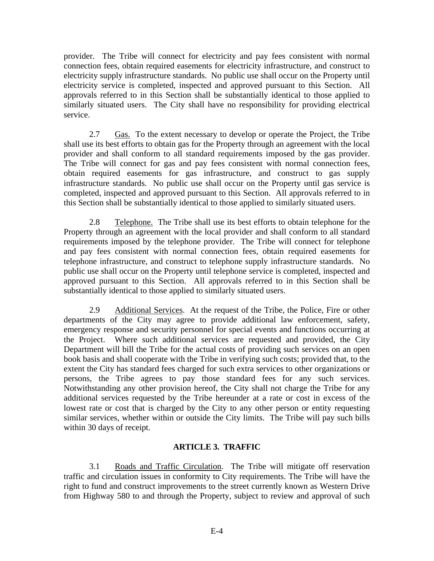provider. The Tribe will connect for electricity and pay fees consistent with normal connection fees, obtain required easements for electricity infrastructure, and construct to electricity supply infrastructure standards. No public use shall occur on the Property until electricity service is completed, inspected and approved pursuant to this Section. All approvals referred to in this Section shall be substantially identical to those applied to similarly situated users. The City shall have no responsibility for providing electrical service.

2.7 Gas. To the extent necessary to develop or operate the Project, the Tribe shall use its best efforts to obtain gas for the Property through an agreement with the local provider and shall conform to all standard requirements imposed by the gas provider. The Tribe will connect for gas and pay fees consistent with normal connection fees, obtain required easements for gas infrastructure, and construct to gas supply infrastructure standards. No public use shall occur on the Property until gas service is completed, inspected and approved pursuant to this Section. All approvals referred to in this Section shall be substantially identical to those applied to similarly situated users.

2.8 Telephone. The Tribe shall use its best efforts to obtain telephone for the Property through an agreement with the local provider and shall conform to all standard requirements imposed by the telephone provider. The Tribe will connect for telephone and pay fees consistent with normal connection fees, obtain required easements for telephone infrastructure, and construct to telephone supply infrastructure standards. No public use shall occur on the Property until telephone service is completed, inspected and approved pursuant to this Section. All approvals referred to in this Section shall be substantially identical to those applied to similarly situated users.

2.9 Additional Services. At the request of the Tribe, the Police, Fire or other departments of the City may agree to provide additional law enforcement, safety, emergency response and security personnel for special events and functions occurring at the Project. Where such additional services are requested and provided, the City Department will bill the Tribe for the actual costs of providing such services on an open book basis and shall cooperate with the Tribe in verifying such costs; provided that, to the extent the City has standard fees charged for such extra services to other organizations or persons, the Tribe agrees to pay those standard fees for any such services. Notwithstanding any other provision hereof, the City shall not charge the Tribe for any additional services requested by the Tribe hereunder at a rate or cost in excess of the lowest rate or cost that is charged by the City to any other person or entity requesting similar services, whether within or outside the City limits. The Tribe will pay such bills within 30 days of receipt.

#### **ARTICLE 3. TRAFFIC**

3.1 Roads and Traffic Circulation. The Tribe will mitigate off reservation traffic and circulation issues in conformity to City requirements. The Tribe will have the right to fund and construct improvements to the street currently known as Western Drive from Highway 580 to and through the Property, subject to review and approval of such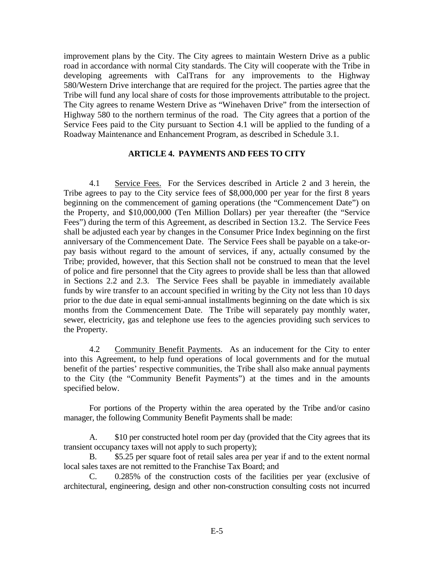improvement plans by the City. The City agrees to maintain Western Drive as a public road in accordance with normal City standards. The City will cooperate with the Tribe in developing agreements with CalTrans for any improvements to the Highway 580/Western Drive interchange that are required for the project. The parties agree that the Tribe will fund any local share of costs for those improvements attributable to the project. The City agrees to rename Western Drive as "Winehaven Drive" from the intersection of Highway 580 to the northern terminus of the road. The City agrees that a portion of the Service Fees paid to the City pursuant to Section 4.1 will be applied to the funding of a Roadway Maintenance and Enhancement Program, as described in Schedule 3.1.

#### **ARTICLE 4. PAYMENTS AND FEES TO CITY**

 4.1 Service Fees. For the Services described in Article 2 and 3 herein, the Tribe agrees to pay to the City service fees of \$8,000,000 per year for the first 8 years beginning on the commencement of gaming operations (the "Commencement Date") on the Property, and \$10,000,000 (Ten Million Dollars) per year thereafter (the "Service Fees") during the term of this Agreement, as described in Section 13.2. The Service Fees shall be adjusted each year by changes in the Consumer Price Index beginning on the first anniversary of the Commencement Date. The Service Fees shall be payable on a take-orpay basis without regard to the amount of services, if any, actually consumed by the Tribe; provided, however, that this Section shall not be construed to mean that the level of police and fire personnel that the City agrees to provide shall be less than that allowed in Sections 2.2 and 2.3. The Service Fees shall be payable in immediately available funds by wire transfer to an account specified in writing by the City not less than 10 days prior to the due date in equal semi-annual installments beginning on the date which is six months from the Commencement Date. The Tribe will separately pay monthly water, sewer, electricity, gas and telephone use fees to the agencies providing such services to the Property.

4.2 Community Benefit Payments. As an inducement for the City to enter into this Agreement, to help fund operations of local governments and for the mutual benefit of the parties' respective communities, the Tribe shall also make annual payments to the City (the "Community Benefit Payments") at the times and in the amounts specified below.

 For portions of the Property within the area operated by the Tribe and/or casino manager, the following Community Benefit Payments shall be made:

 A. \$10 per constructed hotel room per day (provided that the City agrees that its transient occupancy taxes will not apply to such property);

 B. \$5.25 per square foot of retail sales area per year if and to the extent normal local sales taxes are not remitted to the Franchise Tax Board; and

 C. 0.285% of the construction costs of the facilities per year (exclusive of architectural, engineering, design and other non-construction consulting costs not incurred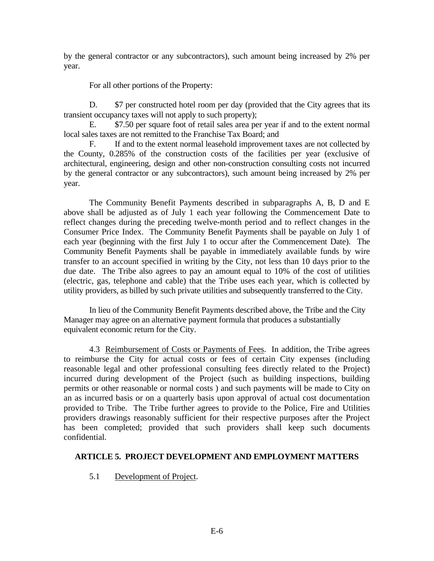by the general contractor or any subcontractors), such amount being increased by 2% per year.

For all other portions of the Property:

D. \$7 per constructed hotel room per day (provided that the City agrees that its transient occupancy taxes will not apply to such property);

 E. \$7.50 per square foot of retail sales area per year if and to the extent normal local sales taxes are not remitted to the Franchise Tax Board; and

 F. If and to the extent normal leasehold improvement taxes are not collected by the County, 0.285% of the construction costs of the facilities per year (exclusive of architectural, engineering, design and other non-construction consulting costs not incurred by the general contractor or any subcontractors), such amount being increased by 2% per year.

 The Community Benefit Payments described in subparagraphs A, B, D and E above shall be adjusted as of July 1 each year following the Commencement Date to reflect changes during the preceding twelve-month period and to reflect changes in the Consumer Price Index. The Community Benefit Payments shall be payable on July 1 of each year (beginning with the first July 1 to occur after the Commencement Date). The Community Benefit Payments shall be payable in immediately available funds by wire transfer to an account specified in writing by the City, not less than 10 days prior to the due date. The Tribe also agrees to pay an amount equal to 10% of the cost of utilities (electric, gas, telephone and cable) that the Tribe uses each year, which is collected by utility providers, as billed by such private utilities and subsequently transferred to the City.

In lieu of the Community Benefit Payments described above, the Tribe and the City Manager may agree on an alternative payment formula that produces a substantially equivalent economic return for the City.

 4.3 Reimbursement of Costs or Payments of Fees. In addition, the Tribe agrees to reimburse the City for actual costs or fees of certain City expenses (including reasonable legal and other professional consulting fees directly related to the Project) incurred during development of the Project (such as building inspections, building permits or other reasonable or normal costs ) and such payments will be made to City on an as incurred basis or on a quarterly basis upon approval of actual cost documentation provided to Tribe. The Tribe further agrees to provide to the Police, Fire and Utilities providers drawings reasonably sufficient for their respective purposes after the Project has been completed; provided that such providers shall keep such documents confidential.

## **ARTICLE 5. PROJECT DEVELOPMENT AND EMPLOYMENT MATTERS**

5.1 Development of Project.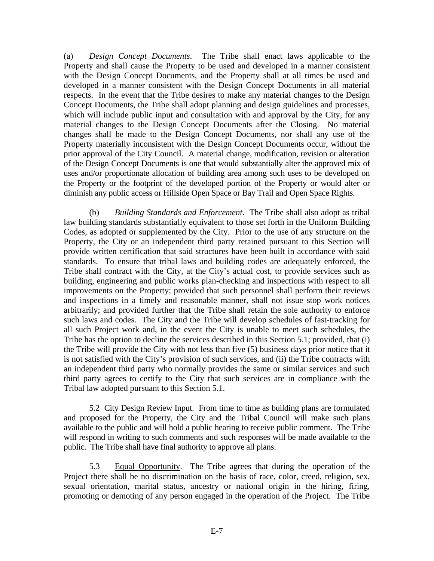(a) *Design Concept Documents*. The Tribe shall enact laws applicable to the Property and shall cause the Property to be used and developed in a manner consistent with the Design Concept Documents, and the Property shall at all times be used and developed in a manner consistent with the Design Concept Documents in all material respects. In the event that the Tribe desires to make any material changes to the Design Concept Documents, the Tribe shall adopt planning and design guidelines and processes, which will include public input and consultation with and approval by the City, for any material changes to the Design Concept Documents after the Closing. No material changes shall be made to the Design Concept Documents, nor shall any use of the Property materially inconsistent with the Design Concept Documents occur, without the prior approval of the City Council. A material change, modification, revision or alteration of the Design Concept Documents is one that would substantially alter the approved mix of uses and/or proportionate allocation of building area among such uses to be developed on the Property or the footprint of the developed portion of the Property or would alter or diminish any public access or Hillside Open Space or Bay Trail and Open Space Rights.

(b) *Building Standards and Enforcement*. The Tribe shall also adopt as tribal law building standards substantially equivalent to those set forth in the Uniform Building Codes, as adopted or supplemented by the City. Prior to the use of any structure on the Property, the City or an independent third party retained pursuant to this Section will provide written certification that said structures have been built in accordance with said standards. To ensure that tribal laws and building codes are adequately enforced, the Tribe shall contract with the City, at the City's actual cost, to provide services such as building, engineering and public works plan-checking and inspections with respect to all improvements on the Property; provided that such personnel shall perform their reviews and inspections in a timely and reasonable manner, shall not issue stop work notices arbitrarily; and provided further that the Tribe shall retain the sole authority to enforce such laws and codes. The City and the Tribe will develop schedules of fast-tracking for all such Project work and, in the event the City is unable to meet such schedules, the Tribe has the option to decline the services described in this Section 5.1; provided, that (i) the Tribe will provide the City with not less than five (5) business days prior notice that it is not satisfied with the City's provision of such services, and (ii) the Tribe contracts with an independent third party who normally provides the same or similar services and such third party agrees to certify to the City that such services are in compliance with the Tribal law adopted pursuant to this Section 5.1.

5.2 City Design Review Input. From time to time as building plans are formulated and proposed for the Property, the City and the Tribal Council will make such plans available to the public and will hold a public hearing to receive public comment. The Tribe will respond in writing to such comments and such responses will be made available to the public. The Tribe shall have final authority to approve all plans.

5.3 Equal Opportunity. The Tribe agrees that during the operation of the Project there shall be no discrimination on the basis of race, color, creed, religion, sex, sexual orientation, marital status, ancestry or national origin in the hiring, firing, promoting or demoting of any person engaged in the operation of the Project. The Tribe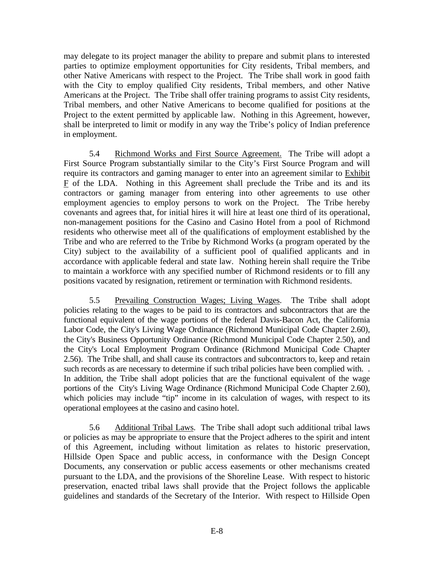may delegate to its project manager the ability to prepare and submit plans to interested parties to optimize employment opportunities for City residents, Tribal members, and other Native Americans with respect to the Project. The Tribe shall work in good faith with the City to employ qualified City residents, Tribal members, and other Native Americans at the Project. The Tribe shall offer training programs to assist City residents, Tribal members, and other Native Americans to become qualified for positions at the Project to the extent permitted by applicable law. Nothing in this Agreement, however, shall be interpreted to limit or modify in any way the Tribe's policy of Indian preference in employment.

 5.4 Richmond Works and First Source Agreement. The Tribe will adopt a First Source Program substantially similar to the City's First Source Program and will require its contractors and gaming manager to enter into an agreement similar to Exhibit F of the LDA. Nothing in this Agreement shall preclude the Tribe and its and its contractors or gaming manager from entering into other agreements to use other employment agencies to employ persons to work on the Project. The Tribe hereby covenants and agrees that, for initial hires it will hire at least one third of its operational, non-management positions for the Casino and Casino Hotel from a pool of Richmond residents who otherwise meet all of the qualifications of employment established by the Tribe and who are referred to the Tribe by Richmond Works (a program operated by the City) subject to the availability of a sufficient pool of qualified applicants and in accordance with applicable federal and state law. Nothing herein shall require the Tribe to maintain a workforce with any specified number of Richmond residents or to fill any positions vacated by resignation, retirement or termination with Richmond residents.

5.5 Prevailing Construction Wages; Living Wages. The Tribe shall adopt policies relating to the wages to be paid to its contractors and subcontractors that are the functional equivalent of the wage portions of the federal Davis-Bacon Act, the California Labor Code, the City's Living Wage Ordinance (Richmond Municipal Code Chapter 2.60), the City's Business Opportunity Ordinance (Richmond Municipal Code Chapter 2.50), and the City's Local Employment Program Ordinance (Richmond Municipal Code Chapter 2.56). The Tribe shall, and shall cause its contractors and subcontractors to, keep and retain such records as are necessary to determine if such tribal policies have been complied with. . In addition, the Tribe shall adopt policies that are the functional equivalent of the wage portions of the City's Living Wage Ordinance (Richmond Municipal Code Chapter 2.60), which policies may include "tip" income in its calculation of wages, with respect to its operational employees at the casino and casino hotel.

5.6 Additional Tribal Laws. The Tribe shall adopt such additional tribal laws or policies as may be appropriate to ensure that the Project adheres to the spirit and intent of this Agreement, including without limitation as relates to historic preservation, Hillside Open Space and public access, in conformance with the Design Concept Documents, any conservation or public access easements or other mechanisms created pursuant to the LDA, and the provisions of the Shoreline Lease. With respect to historic preservation, enacted tribal laws shall provide that the Project follows the applicable guidelines and standards of the Secretary of the Interior. With respect to Hillside Open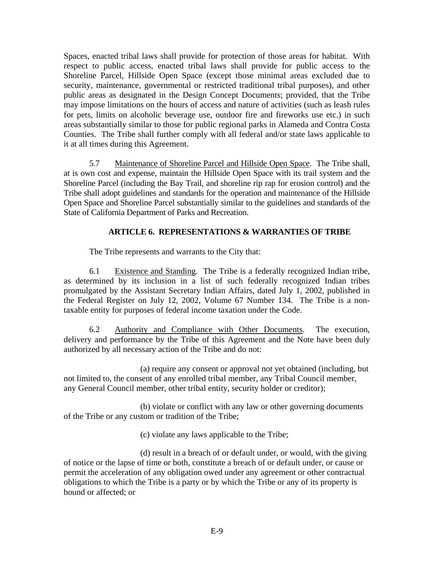Spaces, enacted tribal laws shall provide for protection of those areas for habitat. With respect to public access, enacted tribal laws shall provide for public access to the Shoreline Parcel, Hillside Open Space (except those minimal areas excluded due to security, maintenance, governmental or restricted traditional tribal purposes), and other public areas as designated in the Design Concept Documents; provided, that the Tribe may impose limitations on the hours of access and nature of activities (such as leash rules for pets, limits on alcoholic beverage use, outdoor fire and fireworks use etc.) in such areas substantially similar to those for public regional parks in Alameda and Contra Costa Counties. The Tribe shall further comply with all federal and/or state laws applicable to it at all times during this Agreement.

5.7 Maintenance of Shoreline Parcel and Hillside Open Space. The Tribe shall, at is own cost and expense, maintain the Hillside Open Space with its trail system and the Shoreline Parcel (including the Bay Trail, and shoreline rip rap for erosion control) and the Tribe shall adopt guidelines and standards for the operation and maintenance of the Hillside Open Space and Shoreline Parcel substantially similar to the guidelines and standards of the State of California Department of Parks and Recreation.

## **ARTICLE 6. REPRESENTATIONS & WARRANTIES OF TRIBE**

The Tribe represents and warrants to the City that:

6.1 Existence and Standing. The Tribe is a federally recognized Indian tribe, as determined by its inclusion in a list of such federally recognized Indian tribes promulgated by the Assistant Secretary Indian Affairs, dated July 1, 2002, published in the Federal Register on July 12, 2002, Volume 67 Number 134. The Tribe is a nontaxable entity for purposes of federal income taxation under the Code.

6.2 Authority and Compliance with Other Documents. The execution, delivery and performance by the Tribe of this Agreement and the Note have been duly authorized by all necessary action of the Tribe and do not:

(a) require any consent or approval not yet obtained (including, but not limited to, the consent of any enrolled tribal member, any Tribal Council member, any General Council member, other tribal entity, security holder or creditor);

(b) violate or conflict with any law or other governing documents of the Tribe or any custom or tradition of the Tribe;

(c) violate any laws applicable to the Tribe;

(d) result in a breach of or default under, or would, with the giving of notice or the lapse of time or both, constitute a breach of or default under, or cause or permit the acceleration of any obligation owed under any agreement or other contractual obligations to which the Tribe is a party or by which the Tribe or any of its property is bound or affected; or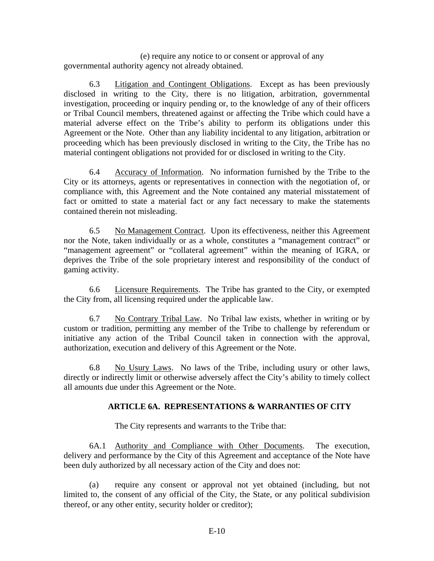(e) require any notice to or consent or approval of any governmental authority agency not already obtained.

6.3 Litigation and Contingent Obligations. Except as has been previously disclosed in writing to the City, there is no litigation, arbitration, governmental investigation, proceeding or inquiry pending or, to the knowledge of any of their officers or Tribal Council members, threatened against or affecting the Tribe which could have a material adverse effect on the Tribe's ability to perform its obligations under this Agreement or the Note. Other than any liability incidental to any litigation, arbitration or proceeding which has been previously disclosed in writing to the City, the Tribe has no material contingent obligations not provided for or disclosed in writing to the City.

6.4 Accuracy of Information. No information furnished by the Tribe to the City or its attorneys, agents or representatives in connection with the negotiation of, or compliance with, this Agreement and the Note contained any material misstatement of fact or omitted to state a material fact or any fact necessary to make the statements contained therein not misleading.

6.5 No Management Contract. Upon its effectiveness, neither this Agreement nor the Note, taken individually or as a whole, constitutes a "management contract" or "management agreement" or "collateral agreement" within the meaning of IGRA, or deprives the Tribe of the sole proprietary interest and responsibility of the conduct of gaming activity.

6.6 Licensure Requirements. The Tribe has granted to the City, or exempted the City from, all licensing required under the applicable law.

6.7 No Contrary Tribal Law. No Tribal law exists, whether in writing or by custom or tradition, permitting any member of the Tribe to challenge by referendum or initiative any action of the Tribal Council taken in connection with the approval, authorization, execution and delivery of this Agreement or the Note.

6.8 No Usury Laws. No laws of the Tribe, including usury or other laws, directly or indirectly limit or otherwise adversely affect the City's ability to timely collect all amounts due under this Agreement or the Note.

## **ARTICLE 6A. REPRESENTATIONS & WARRANTIES OF CITY**

The City represents and warrants to the Tribe that:

6A.1 Authority and Compliance with Other Documents. The execution, delivery and performance by the City of this Agreement and acceptance of the Note have been duly authorized by all necessary action of the City and does not:

(a) require any consent or approval not yet obtained (including, but not limited to, the consent of any official of the City, the State, or any political subdivision thereof, or any other entity, security holder or creditor);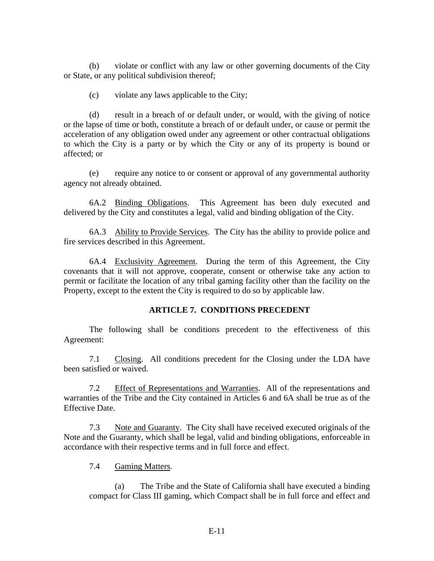(b) violate or conflict with any law or other governing documents of the City or State, or any political subdivision thereof;

(c) violate any laws applicable to the City;

(d) result in a breach of or default under, or would, with the giving of notice or the lapse of time or both, constitute a breach of or default under, or cause or permit the acceleration of any obligation owed under any agreement or other contractual obligations to which the City is a party or by which the City or any of its property is bound or affected; or

(e) require any notice to or consent or approval of any governmental authority agency not already obtained.

6A.2 Binding Obligations. This Agreement has been duly executed and delivered by the City and constitutes a legal, valid and binding obligation of the City.

6A.3 Ability to Provide Services. The City has the ability to provide police and fire services described in this Agreement.

6A.4 Exclusivity Agreement. During the term of this Agreement, the City covenants that it will not approve, cooperate, consent or otherwise take any action to permit or facilitate the location of any tribal gaming facility other than the facility on the Property, except to the extent the City is required to do so by applicable law.

#### **ARTICLE 7. CONDITIONS PRECEDENT**

The following shall be conditions precedent to the effectiveness of this Agreement:

7.1 Closing. All conditions precedent for the Closing under the LDA have been satisfied or waived.

7.2 Effect of Representations and Warranties. All of the representations and warranties of the Tribe and the City contained in Articles 6 and 6A shall be true as of the Effective Date.

7.3 Note and Guaranty. The City shall have received executed originals of the Note and the Guaranty, which shall be legal, valid and binding obligations, enforceable in accordance with their respective terms and in full force and effect.

7.4 Gaming Matters.

(a) The Tribe and the State of California shall have executed a binding compact for Class III gaming, which Compact shall be in full force and effect and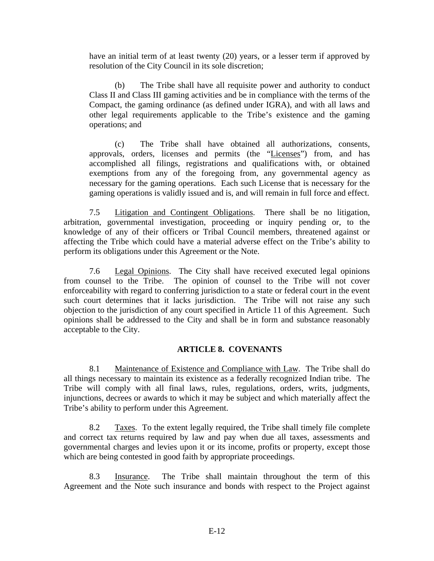have an initial term of at least twenty (20) years, or a lesser term if approved by resolution of the City Council in its sole discretion;

(b) The Tribe shall have all requisite power and authority to conduct Class II and Class III gaming activities and be in compliance with the terms of the Compact, the gaming ordinance (as defined under IGRA), and with all laws and other legal requirements applicable to the Tribe's existence and the gaming operations; and

(c) The Tribe shall have obtained all authorizations, consents, approvals, orders, licenses and permits (the "Licenses") from, and has accomplished all filings, registrations and qualifications with, or obtained exemptions from any of the foregoing from, any governmental agency as necessary for the gaming operations. Each such License that is necessary for the gaming operations is validly issued and is, and will remain in full force and effect.

7.5 Litigation and Contingent Obligations. There shall be no litigation, arbitration, governmental investigation, proceeding or inquiry pending or, to the knowledge of any of their officers or Tribal Council members, threatened against or affecting the Tribe which could have a material adverse effect on the Tribe's ability to perform its obligations under this Agreement or the Note.

7.6 Legal Opinions. The City shall have received executed legal opinions from counsel to the Tribe. The opinion of counsel to the Tribe will not cover enforceability with regard to conferring jurisdiction to a state or federal court in the event such court determines that it lacks jurisdiction. The Tribe will not raise any such objection to the jurisdiction of any court specified in Article 11 of this Agreement. Such opinions shall be addressed to the City and shall be in form and substance reasonably acceptable to the City.

#### **ARTICLE 8. COVENANTS**

8.1 Maintenance of Existence and Compliance with Law. The Tribe shall do all things necessary to maintain its existence as a federally recognized Indian tribe. The Tribe will comply with all final laws, rules, regulations, orders, writs, judgments, injunctions, decrees or awards to which it may be subject and which materially affect the Tribe's ability to perform under this Agreement.

8.2 Taxes. To the extent legally required, the Tribe shall timely file complete and correct tax returns required by law and pay when due all taxes, assessments and governmental charges and levies upon it or its income, profits or property, except those which are being contested in good faith by appropriate proceedings.

8.3 Insurance. The Tribe shall maintain throughout the term of this Agreement and the Note such insurance and bonds with respect to the Project against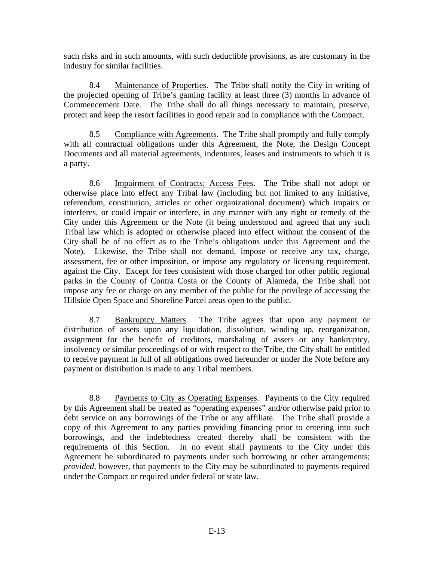such risks and in such amounts, with such deductible provisions, as are customary in the industry for similar facilities.

8.4 Maintenance of Properties. The Tribe shall notify the City in writing of the projected opening of Tribe's gaming facility at least three (3) months in advance of Commencement Date. The Tribe shall do all things necessary to maintain, preserve, protect and keep the resort facilities in good repair and in compliance with the Compact.

8.5 Compliance with Agreements. The Tribe shall promptly and fully comply with all contractual obligations under this Agreement, the Note, the Design Concept Documents and all material agreements, indentures, leases and instruments to which it is a party.

8.6 Impairment of Contracts; Access Fees. The Tribe shall not adopt or otherwise place into effect any Tribal law (including but not limited to any initiative, referendum, constitution, articles or other organizational document) which impairs or interferes, or could impair or interfere, in any manner with any right or remedy of the City under this Agreement or the Note (it being understood and agreed that any such Tribal law which is adopted or otherwise placed into effect without the consent of the City shall be of no effect as to the Tribe's obligations under this Agreement and the Note). Likewise, the Tribe shall not demand, impose or receive any tax, charge, assessment, fee or other imposition, or impose any regulatory or licensing requirement, against the City. Except for fees consistent with those charged for other public regional parks in the County of Contra Costa or the County of Alameda, the Tribe shall not impose any fee or charge on any member of the public for the privilege of accessing the Hillside Open Space and Shoreline Parcel areas open to the public.

8.7 Bankruptcy Matters. The Tribe agrees that upon any payment or distribution of assets upon any liquidation, dissolution, winding up, reorganization, assignment for the benefit of creditors, marshaling of assets or any bankruptcy, insolvency or similar proceedings of or with respect to the Tribe, the City shall be entitled to receive payment in full of all obligations owed hereunder or under the Note before any payment or distribution is made to any Tribal members.

8.8 Payments to City as Operating Expenses. Payments to the City required by this Agreement shall be treated as "operating expenses" and/or otherwise paid prior to debt service on any borrowings of the Tribe or any affiliate. The Tribe shall provide a copy of this Agreement to any parties providing financing prior to entering into such borrowings, and the indebtedness created thereby shall be consistent with the requirements of this Section. In no event shall payments to the City under this Agreement be subordinated to payments under such borrowing or other arrangements; *provided*, however, that payments to the City may be subordinated to payments required under the Compact or required under federal or state law.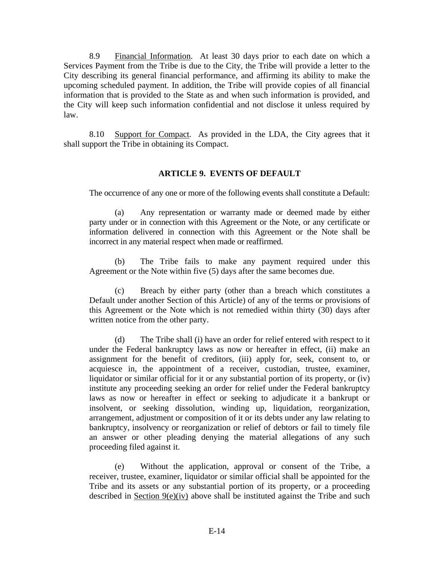8.9 Financial Information. At least 30 days prior to each date on which a Services Payment from the Tribe is due to the City, the Tribe will provide a letter to the City describing its general financial performance, and affirming its ability to make the upcoming scheduled payment. In addition, the Tribe will provide copies of all financial information that is provided to the State as and when such information is provided, and the City will keep such information confidential and not disclose it unless required by law.

8.10 Support for Compact. As provided in the LDA, the City agrees that it shall support the Tribe in obtaining its Compact.

#### **ARTICLE 9. EVENTS OF DEFAULT**

The occurrence of any one or more of the following events shall constitute a Default:

(a) Any representation or warranty made or deemed made by either party under or in connection with this Agreement or the Note, or any certificate or information delivered in connection with this Agreement or the Note shall be incorrect in any material respect when made or reaffirmed.

(b) The Tribe fails to make any payment required under this Agreement or the Note within five (5) days after the same becomes due.

(c) Breach by either party (other than a breach which constitutes a Default under another Section of this Article) of any of the terms or provisions of this Agreement or the Note which is not remedied within thirty (30) days after written notice from the other party.

(d) The Tribe shall (i) have an order for relief entered with respect to it under the Federal bankruptcy laws as now or hereafter in effect, (ii) make an assignment for the benefit of creditors, (iii) apply for, seek, consent to, or acquiesce in, the appointment of a receiver, custodian, trustee, examiner, liquidator or similar official for it or any substantial portion of its property, or (iv) institute any proceeding seeking an order for relief under the Federal bankruptcy laws as now or hereafter in effect or seeking to adjudicate it a bankrupt or insolvent, or seeking dissolution, winding up, liquidation, reorganization, arrangement, adjustment or composition of it or its debts under any law relating to bankruptcy, insolvency or reorganization or relief of debtors or fail to timely file an answer or other pleading denying the material allegations of any such proceeding filed against it.

(e) Without the application, approval or consent of the Tribe, a receiver, trustee, examiner, liquidator or similar official shall be appointed for the Tribe and its assets or any substantial portion of its property, or a proceeding described in Section 9(e)(iv) above shall be instituted against the Tribe and such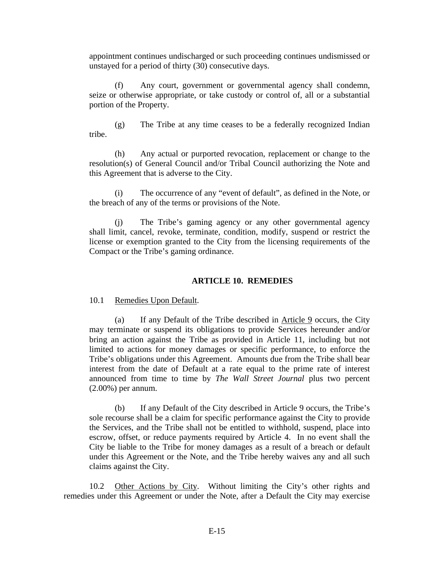appointment continues undischarged or such proceeding continues undismissed or unstayed for a period of thirty (30) consecutive days.

(f) Any court, government or governmental agency shall condemn, seize or otherwise appropriate, or take custody or control of, all or a substantial portion of the Property.

(g) The Tribe at any time ceases to be a federally recognized Indian tribe.

(h) Any actual or purported revocation, replacement or change to the resolution(s) of General Council and/or Tribal Council authorizing the Note and this Agreement that is adverse to the City.

(i) The occurrence of any "event of default", as defined in the Note, or the breach of any of the terms or provisions of the Note.

(j) The Tribe's gaming agency or any other governmental agency shall limit, cancel, revoke, terminate, condition, modify, suspend or restrict the license or exemption granted to the City from the licensing requirements of the Compact or the Tribe's gaming ordinance.

#### **ARTICLE 10. REMEDIES**

10.1 Remedies Upon Default.

(a) If any Default of the Tribe described in Article 9 occurs, the City may terminate or suspend its obligations to provide Services hereunder and/or bring an action against the Tribe as provided in Article 11, including but not limited to actions for money damages or specific performance, to enforce the Tribe's obligations under this Agreement. Amounts due from the Tribe shall bear interest from the date of Default at a rate equal to the prime rate of interest announced from time to time by *The Wall Street Journal* plus two percent (2.00%) per annum.

(b) If any Default of the City described in Article 9 occurs, the Tribe's sole recourse shall be a claim for specific performance against the City to provide the Services, and the Tribe shall not be entitled to withhold, suspend, place into escrow, offset, or reduce payments required by Article 4. In no event shall the City be liable to the Tribe for money damages as a result of a breach or default under this Agreement or the Note, and the Tribe hereby waives any and all such claims against the City.

10.2 Other Actions by City. Without limiting the City's other rights and remedies under this Agreement or under the Note, after a Default the City may exercise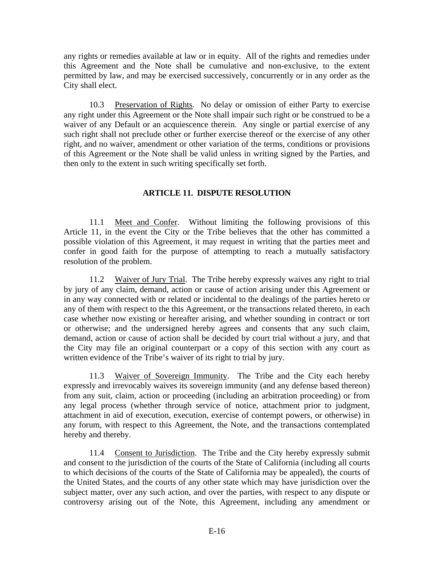any rights or remedies available at law or in equity. All of the rights and remedies under this Agreement and the Note shall be cumulative and non-exclusive, to the extent permitted by law, and may be exercised successively, concurrently or in any order as the City shall elect.

10.3 Preservation of Rights. No delay or omission of either Party to exercise any right under this Agreement or the Note shall impair such right or be construed to be a waiver of any Default or an acquiescence therein. Any single or partial exercise of any such right shall not preclude other or further exercise thereof or the exercise of any other right, and no waiver, amendment or other variation of the terms, conditions or provisions of this Agreement or the Note shall be valid unless in writing signed by the Parties, and then only to the extent in such writing specifically set forth.

## **ARTICLE 11. DISPUTE RESOLUTION**

11.1 Meet and Confer. Without limiting the following provisions of this Article 11, in the event the City or the Tribe believes that the other has committed a possible violation of this Agreement, it may request in writing that the parties meet and confer in good faith for the purpose of attempting to reach a mutually satisfactory resolution of the problem.

11.2 Waiver of Jury Trial. The Tribe hereby expressly waives any right to trial by jury of any claim, demand, action or cause of action arising under this Agreement or in any way connected with or related or incidental to the dealings of the parties hereto or any of them with respect to the this Agreement, or the transactions related thereto, in each case whether now existing or hereafter arising, and whether sounding in contract or tort or otherwise; and the undersigned hereby agrees and consents that any such claim, demand, action or cause of action shall be decided by court trial without a jury, and that the City may file an original counterpart or a copy of this section with any court as written evidence of the Tribe's waiver of its right to trial by jury.

11.3 Waiver of Sovereign Immunity. The Tribe and the City each hereby expressly and irrevocably waives its sovereign immunity (and any defense based thereon) from any suit, claim, action or proceeding (including an arbitration proceeding) or from any legal process (whether through service of notice, attachment prior to judgment, attachment in aid of execution, execution, exercise of contempt powers, or otherwise) in any forum, with respect to this Agreement, the Note, and the transactions contemplated hereby and thereby.

11.4 Consent to Jurisdiction. The Tribe and the City hereby expressly submit and consent to the jurisdiction of the courts of the State of California (including all courts to which decisions of the courts of the State of California may be appealed), the courts of the United States, and the courts of any other state which may have jurisdiction over the subject matter, over any such action, and over the parties, with respect to any dispute or controversy arising out of the Note, this Agreement, including any amendment or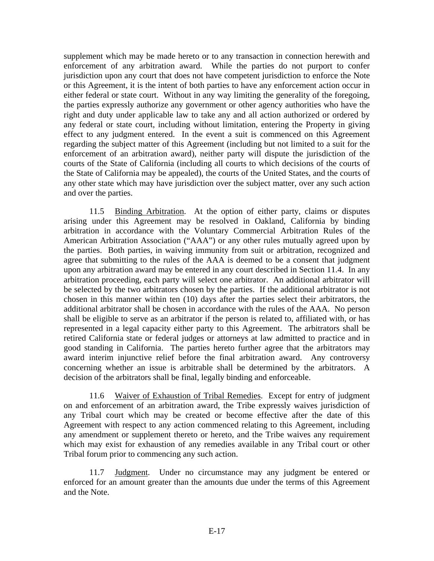supplement which may be made hereto or to any transaction in connection herewith and enforcement of any arbitration award. While the parties do not purport to confer jurisdiction upon any court that does not have competent jurisdiction to enforce the Note or this Agreement, it is the intent of both parties to have any enforcement action occur in either federal or state court. Without in any way limiting the generality of the foregoing, the parties expressly authorize any government or other agency authorities who have the right and duty under applicable law to take any and all action authorized or ordered by any federal or state court, including without limitation, entering the Property in giving effect to any judgment entered. In the event a suit is commenced on this Agreement regarding the subject matter of this Agreement (including but not limited to a suit for the enforcement of an arbitration award), neither party will dispute the jurisdiction of the courts of the State of California (including all courts to which decisions of the courts of the State of California may be appealed), the courts of the United States, and the courts of any other state which may have jurisdiction over the subject matter, over any such action and over the parties.

11.5 Binding Arbitration. At the option of either party, claims or disputes arising under this Agreement may be resolved in Oakland, California by binding arbitration in accordance with the Voluntary Commercial Arbitration Rules of the American Arbitration Association ("AAA") or any other rules mutually agreed upon by the parties. Both parties, in waiving immunity from suit or arbitration, recognized and agree that submitting to the rules of the AAA is deemed to be a consent that judgment upon any arbitration award may be entered in any court described in Section 11.4. In any arbitration proceeding, each party will select one arbitrator. An additional arbitrator will be selected by the two arbitrators chosen by the parties. If the additional arbitrator is not chosen in this manner within ten (10) days after the parties select their arbitrators, the additional arbitrator shall be chosen in accordance with the rules of the AAA. No person shall be eligible to serve as an arbitrator if the person is related to, affiliated with, or has represented in a legal capacity either party to this Agreement. The arbitrators shall be retired California state or federal judges or attorneys at law admitted to practice and in good standing in California. The parties hereto further agree that the arbitrators may award interim injunctive relief before the final arbitration award. Any controversy concerning whether an issue is arbitrable shall be determined by the arbitrators. A decision of the arbitrators shall be final, legally binding and enforceable.

11.6 Waiver of Exhaustion of Tribal Remedies. Except for entry of judgment on and enforcement of an arbitration award, the Tribe expressly waives jurisdiction of any Tribal court which may be created or become effective after the date of this Agreement with respect to any action commenced relating to this Agreement, including any amendment or supplement thereto or hereto, and the Tribe waives any requirement which may exist for exhaustion of any remedies available in any Tribal court or other Tribal forum prior to commencing any such action.

11.7 Judgment. Under no circumstance may any judgment be entered or enforced for an amount greater than the amounts due under the terms of this Agreement and the Note.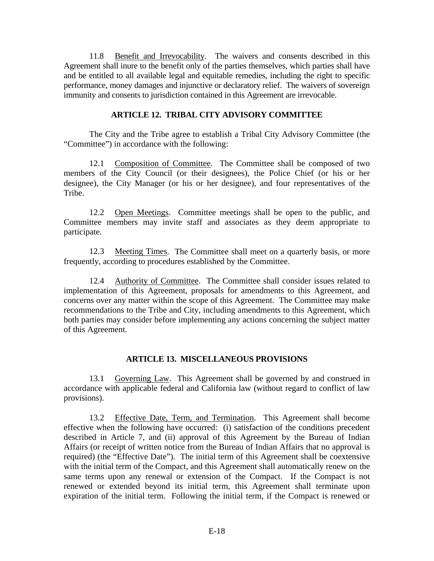11.8 Benefit and Irrevocability. The waivers and consents described in this Agreement shall inure to the benefit only of the parties themselves, which parties shall have and be entitled to all available legal and equitable remedies, including the right to specific performance, money damages and injunctive or declaratory relief. The waivers of sovereign immunity and consents to jurisdiction contained in this Agreement are irrevocable.

#### **ARTICLE 12. TRIBAL CITY ADVISORY COMMITTEE**

The City and the Tribe agree to establish a Tribal City Advisory Committee (the "Committee") in accordance with the following:

12.1 Composition of Committee. The Committee shall be composed of two members of the City Council (or their designees), the Police Chief (or his or her designee), the City Manager (or his or her designee), and four representatives of the Tribe.

12.2 Open Meetings. Committee meetings shall be open to the public, and Committee members may invite staff and associates as they deem appropriate to participate.

12.3 Meeting Times. The Committee shall meet on a quarterly basis, or more frequently, according to procedures established by the Committee.

12.4 Authority of Committee. The Committee shall consider issues related to implementation of this Agreement, proposals for amendments to this Agreement, and concerns over any matter within the scope of this Agreement. The Committee may make recommendations to the Tribe and City, including amendments to this Agreement, which both parties may consider before implementing any actions concerning the subject matter of this Agreement.

#### **ARTICLE 13. MISCELLANEOUS PROVISIONS**

13.1 Governing Law. This Agreement shall be governed by and construed in accordance with applicable federal and California law (without regard to conflict of law provisions).

13.2 Effective Date, Term, and Termination. This Agreement shall become effective when the following have occurred: (i) satisfaction of the conditions precedent described in Article 7, and (ii) approval of this Agreement by the Bureau of Indian Affairs (or receipt of written notice from the Bureau of Indian Affairs that no approval is required) (the "Effective Date"). The initial term of this Agreement shall be coextensive with the initial term of the Compact, and this Agreement shall automatically renew on the same terms upon any renewal or extension of the Compact. If the Compact is not renewed or extended beyond its initial term, this Agreement shall terminate upon expiration of the initial term. Following the initial term, if the Compact is renewed or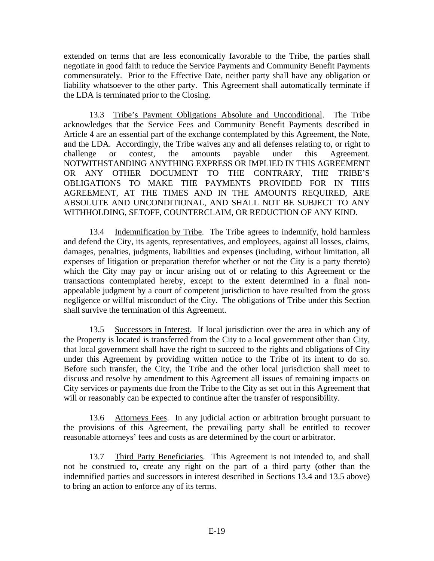extended on terms that are less economically favorable to the Tribe, the parties shall negotiate in good faith to reduce the Service Payments and Community Benefit Payments commensurately. Prior to the Effective Date, neither party shall have any obligation or liability whatsoever to the other party. This Agreement shall automatically terminate if the LDA is terminated prior to the Closing.

13.3 Tribe's Payment Obligations Absolute and Unconditional. The Tribe acknowledges that the Service Fees and Community Benefit Payments described in Article 4 are an essential part of the exchange contemplated by this Agreement, the Note, and the LDA. Accordingly, the Tribe waives any and all defenses relating to, or right to challenge or contest, the amounts payable under this Agreement. NOTWITHSTANDING ANYTHING EXPRESS OR IMPLIED IN THIS AGREEMENT OR ANY OTHER DOCUMENT TO THE CONTRARY, THE TRIBE'S OBLIGATIONS TO MAKE THE PAYMENTS PROVIDED FOR IN THIS AGREEMENT, AT THE TIMES AND IN THE AMOUNTS REQUIRED, ARE ABSOLUTE AND UNCONDITIONAL, AND SHALL NOT BE SUBJECT TO ANY WITHHOLDING, SETOFF, COUNTERCLAIM, OR REDUCTION OF ANY KIND.

13.4 Indemnification by Tribe. The Tribe agrees to indemnify, hold harmless and defend the City, its agents, representatives, and employees, against all losses, claims, damages, penalties, judgments, liabilities and expenses (including, without limitation, all expenses of litigation or preparation therefor whether or not the City is a party thereto) which the City may pay or incur arising out of or relating to this Agreement or the transactions contemplated hereby, except to the extent determined in a final nonappealable judgment by a court of competent jurisdiction to have resulted from the gross negligence or willful misconduct of the City. The obligations of Tribe under this Section shall survive the termination of this Agreement.

13.5 Successors in Interest. If local jurisdiction over the area in which any of the Property is located is transferred from the City to a local government other than City, that local government shall have the right to succeed to the rights and obligations of City under this Agreement by providing written notice to the Tribe of its intent to do so. Before such transfer, the City, the Tribe and the other local jurisdiction shall meet to discuss and resolve by amendment to this Agreement all issues of remaining impacts on City services or payments due from the Tribe to the City as set out in this Agreement that will or reasonably can be expected to continue after the transfer of responsibility.

13.6 Attorneys Fees. In any judicial action or arbitration brought pursuant to the provisions of this Agreement, the prevailing party shall be entitled to recover reasonable attorneys' fees and costs as are determined by the court or arbitrator.

13.7 Third Party Beneficiaries. This Agreement is not intended to, and shall not be construed to, create any right on the part of a third party (other than the indemnified parties and successors in interest described in Sections 13.4 and 13.5 above) to bring an action to enforce any of its terms.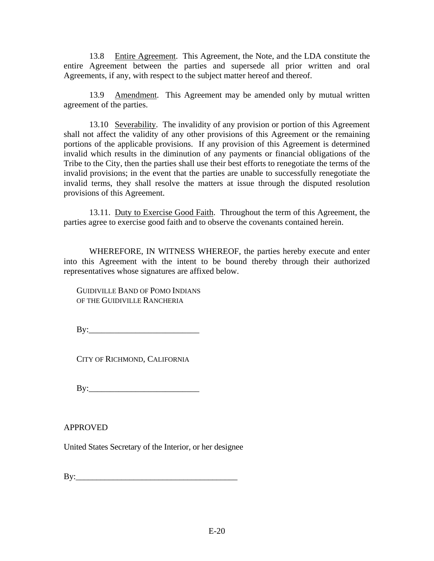13.8 Entire Agreement. This Agreement, the Note, and the LDA constitute the entire Agreement between the parties and supersede all prior written and oral Agreements, if any, with respect to the subject matter hereof and thereof.

13.9 Amendment. This Agreement may be amended only by mutual written agreement of the parties.

13.10 Severability. The invalidity of any provision or portion of this Agreement shall not affect the validity of any other provisions of this Agreement or the remaining portions of the applicable provisions. If any provision of this Agreement is determined invalid which results in the diminution of any payments or financial obligations of the Tribe to the City, then the parties shall use their best efforts to renegotiate the terms of the invalid provisions; in the event that the parties are unable to successfully renegotiate the invalid terms, they shall resolve the matters at issue through the disputed resolution provisions of this Agreement.

13.11. Duty to Exercise Good Faith. Throughout the term of this Agreement, the parties agree to exercise good faith and to observe the covenants contained herein.

WHEREFORE, IN WITNESS WHEREOF, the parties hereby execute and enter into this Agreement with the intent to be bound thereby through their authorized representatives whose signatures are affixed below.

GUIDIVILLE BAND OF POMO INDIANS OF THE GUIDIVILLE RANCHERIA

By:\_\_\_\_\_\_\_\_\_\_\_\_\_\_\_\_\_\_\_\_\_\_\_\_\_\_

CITY OF RICHMOND, CALIFORNIA

By:\_\_\_\_\_\_\_\_\_\_\_\_\_\_\_\_\_\_\_\_\_\_\_\_\_\_

APPROVED

United States Secretary of the Interior, or her designee

 $\mathbf{B} \mathbf{v}$ :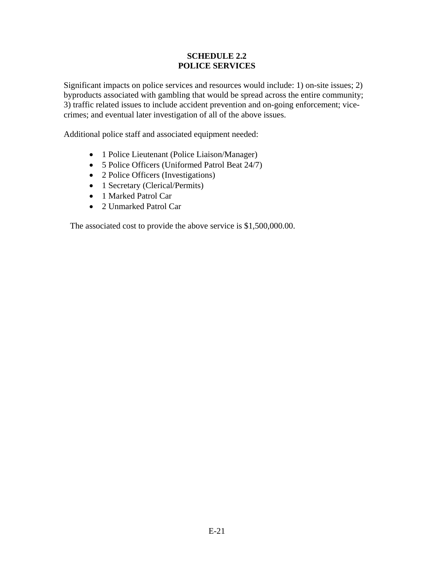#### **SCHEDULE 2.2 POLICE SERVICES**

Significant impacts on police services and resources would include: 1) on-site issues; 2) byproducts associated with gambling that would be spread across the entire community; 3) traffic related issues to include accident prevention and on-going enforcement; vicecrimes; and eventual later investigation of all of the above issues.

Additional police staff and associated equipment needed:

- 1 Police Lieutenant (Police Liaison/Manager)
- 5 Police Officers (Uniformed Patrol Beat 24/7)
- 2 Police Officers (Investigations)
- 1 Secretary (Clerical/Permits)
- 1 Marked Patrol Car
- 2 Unmarked Patrol Car

The associated cost to provide the above service is \$1,500,000.00.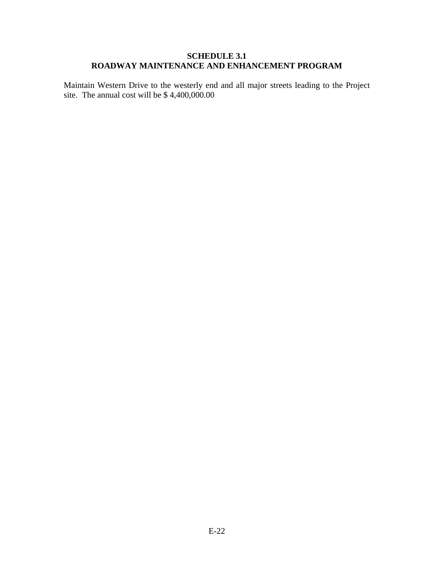#### **SCHEDULE 3.1 ROADWAY MAINTENANCE AND ENHANCEMENT PROGRAM**

Maintain Western Drive to the westerly end and all major streets leading to the Project site. The annual cost will be \$ 4,400,000.00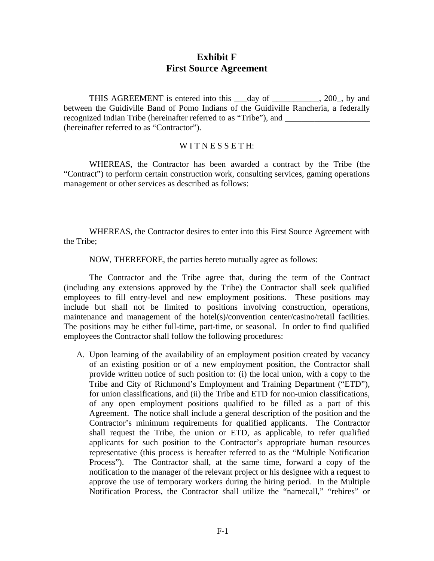### **Exhibit F First Source Agreement**

THIS AGREEMENT is entered into this day of 300, by and between the Guidiville Band of Pomo Indians of the Guidiville Rancheria, a federally recognized Indian Tribe (hereinafter referred to as "Tribe"), and (hereinafter referred to as "Contractor").

#### WITNESSETH:

WHEREAS, the Contractor has been awarded a contract by the Tribe (the "Contract") to perform certain construction work, consulting services, gaming operations management or other services as described as follows:

WHEREAS, the Contractor desires to enter into this First Source Agreement with the Tribe;

NOW, THEREFORE, the parties hereto mutually agree as follows:

The Contractor and the Tribe agree that, during the term of the Contract (including any extensions approved by the Tribe) the Contractor shall seek qualified employees to fill entry-level and new employment positions. These positions may include but shall not be limited to positions involving construction, operations, maintenance and management of the hotel(s)/convention center/casino/retail facilities. The positions may be either full-time, part-time, or seasonal. In order to find qualified employees the Contractor shall follow the following procedures:

A. Upon learning of the availability of an employment position created by vacancy of an existing position or of a new employment position, the Contractor shall provide written notice of such position to: (i) the local union, with a copy to the Tribe and City of Richmond's Employment and Training Department ("ETD"), for union classifications, and (ii) the Tribe and ETD for non-union classifications, of any open employment positions qualified to be filled as a part of this Agreement. The notice shall include a general description of the position and the Contractor's minimum requirements for qualified applicants. The Contractor shall request the Tribe, the union or ETD, as applicable, to refer qualified applicants for such position to the Contractor's appropriate human resources representative (this process is hereafter referred to as the "Multiple Notification Process"). The Contractor shall, at the same time, forward a copy of the notification to the manager of the relevant project or his designee with a request to approve the use of temporary workers during the hiring period. In the Multiple Notification Process, the Contractor shall utilize the "namecall," "rehires" or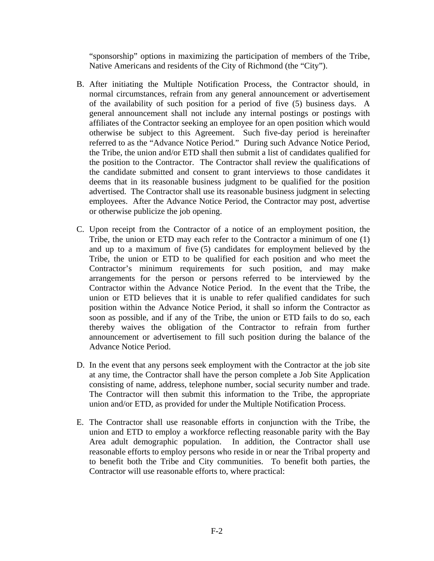"sponsorship" options in maximizing the participation of members of the Tribe, Native Americans and residents of the City of Richmond (the "City").

- B. After initiating the Multiple Notification Process, the Contractor should, in normal circumstances, refrain from any general announcement or advertisement of the availability of such position for a period of five (5) business days. A general announcement shall not include any internal postings or postings with affiliates of the Contractor seeking an employee for an open position which would otherwise be subject to this Agreement. Such five-day period is hereinafter referred to as the "Advance Notice Period." During such Advance Notice Period, the Tribe, the union and/or ETD shall then submit a list of candidates qualified for the position to the Contractor. The Contractor shall review the qualifications of the candidate submitted and consent to grant interviews to those candidates it deems that in its reasonable business judgment to be qualified for the position advertised. The Contractor shall use its reasonable business judgment in selecting employees. After the Advance Notice Period, the Contractor may post, advertise or otherwise publicize the job opening.
- C. Upon receipt from the Contractor of a notice of an employment position, the Tribe, the union or ETD may each refer to the Contractor a minimum of one (1) and up to a maximum of five (5) candidates for employment believed by the Tribe, the union or ETD to be qualified for each position and who meet the Contractor's minimum requirements for such position, and may make arrangements for the person or persons referred to be interviewed by the Contractor within the Advance Notice Period. In the event that the Tribe, the union or ETD believes that it is unable to refer qualified candidates for such position within the Advance Notice Period, it shall so inform the Contractor as soon as possible, and if any of the Tribe, the union or ETD fails to do so, each thereby waives the obligation of the Contractor to refrain from further announcement or advertisement to fill such position during the balance of the Advance Notice Period.
- D. In the event that any persons seek employment with the Contractor at the job site at any time, the Contractor shall have the person complete a Job Site Application consisting of name, address, telephone number, social security number and trade. The Contractor will then submit this information to the Tribe, the appropriate union and/or ETD, as provided for under the Multiple Notification Process.
- E. The Contractor shall use reasonable efforts in conjunction with the Tribe, the union and ETD to employ a workforce reflecting reasonable parity with the Bay Area adult demographic population. In addition, the Contractor shall use reasonable efforts to employ persons who reside in or near the Tribal property and to benefit both the Tribe and City communities. To benefit both parties, the Contractor will use reasonable efforts to, where practical: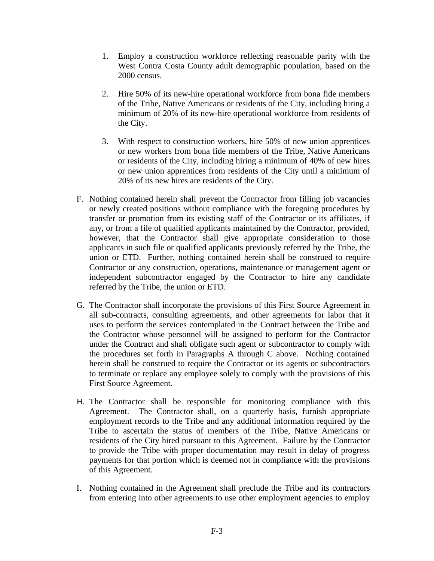- 1. Employ a construction workforce reflecting reasonable parity with the West Contra Costa County adult demographic population, based on the 2000 census.
- 2. Hire 50% of its new-hire operational workforce from bona fide members of the Tribe, Native Americans or residents of the City, including hiring a minimum of 20% of its new-hire operational workforce from residents of the City.
- 3. With respect to construction workers, hire 50% of new union apprentices or new workers from bona fide members of the Tribe, Native Americans or residents of the City, including hiring a minimum of 40% of new hires or new union apprentices from residents of the City until a minimum of 20% of its new hires are residents of the City.
- F. Nothing contained herein shall prevent the Contractor from filling job vacancies or newly created positions without compliance with the foregoing procedures by transfer or promotion from its existing staff of the Contractor or its affiliates, if any, or from a file of qualified applicants maintained by the Contractor, provided, however, that the Contractor shall give appropriate consideration to those applicants in such file or qualified applicants previously referred by the Tribe, the union or ETD. Further, nothing contained herein shall be construed to require Contractor or any construction, operations, maintenance or management agent or independent subcontractor engaged by the Contractor to hire any candidate referred by the Tribe, the union or ETD.
- G. The Contractor shall incorporate the provisions of this First Source Agreement in all sub-contracts, consulting agreements, and other agreements for labor that it uses to perform the services contemplated in the Contract between the Tribe and the Contractor whose personnel will be assigned to perform for the Contractor under the Contract and shall obligate such agent or subcontractor to comply with the procedures set forth in Paragraphs A through C above. Nothing contained herein shall be construed to require the Contractor or its agents or subcontractors to terminate or replace any employee solely to comply with the provisions of this First Source Agreement.
- H. The Contractor shall be responsible for monitoring compliance with this Agreement. The Contractor shall, on a quarterly basis, furnish appropriate employment records to the Tribe and any additional information required by the Tribe to ascertain the status of members of the Tribe, Native Americans or residents of the City hired pursuant to this Agreement. Failure by the Contractor to provide the Tribe with proper documentation may result in delay of progress payments for that portion which is deemed not in compliance with the provisions of this Agreement.
- I. Nothing contained in the Agreement shall preclude the Tribe and its contractors from entering into other agreements to use other employment agencies to employ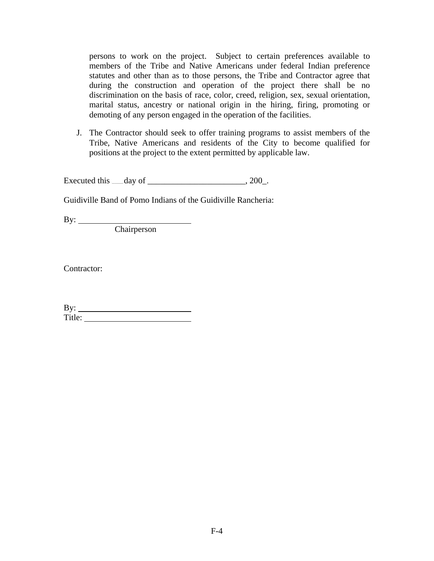persons to work on the project. Subject to certain preferences available to members of the Tribe and Native Americans under federal Indian preference statutes and other than as to those persons, the Tribe and Contractor agree that during the construction and operation of the project there shall be no discrimination on the basis of race, color, creed, religion, sex, sexual orientation, marital status, ancestry or national origin in the hiring, firing, promoting or demoting of any person engaged in the operation of the facilities.

J. The Contractor should seek to offer training programs to assist members of the Tribe, Native Americans and residents of the City to become qualified for positions at the project to the extent permitted by applicable law.

Executed this  $\_\_$  day of  $\_\_$ , 200.

Guidiville Band of Pomo Indians of the Guidiville Rancheria:

By:

**Chairperson** 

Contractor:

| $\mathbf{v}$<br>by: |  |
|---------------------|--|
| $T_{\rm it}$ le.    |  |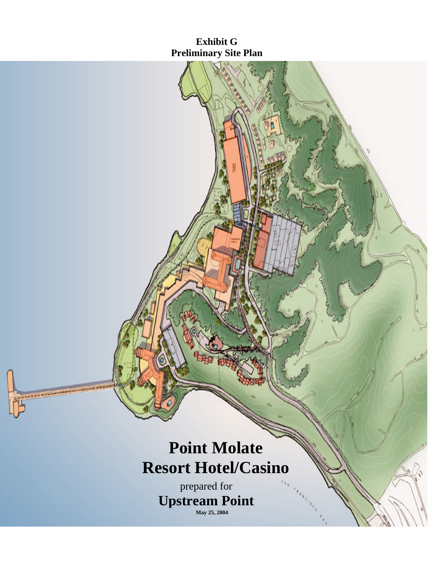# **Exhibit G Preliminary Site Plan**

# **Point Molate Resort Hotel/Casino**

prepared for **Upstream Point May 25, 2004**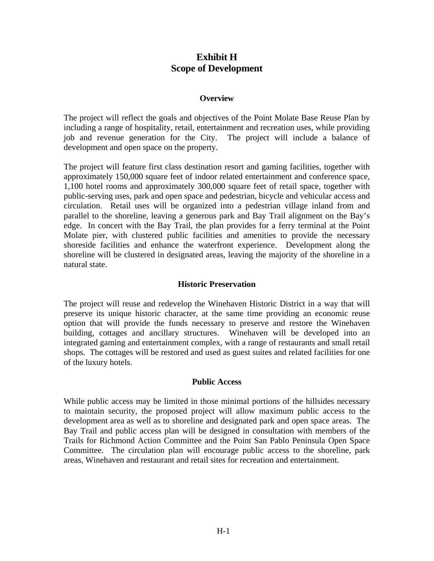## **Exhibit H Scope of Development**

#### **Overview**

The project will reflect the goals and objectives of the Point Molate Base Reuse Plan by including a range of hospitality, retail, entertainment and recreation uses, while providing job and revenue generation for the City. The project will include a balance of development and open space on the property.

The project will feature first class destination resort and gaming facilities, together with approximately 150,000 square feet of indoor related entertainment and conference space, 1,100 hotel rooms and approximately 300,000 square feet of retail space, together with public-serving uses, park and open space and pedestrian, bicycle and vehicular access and circulation. Retail uses will be organized into a pedestrian village inland from and parallel to the shoreline, leaving a generous park and Bay Trail alignment on the Bay's edge. In concert with the Bay Trail, the plan provides for a ferry terminal at the Point Molate pier, with clustered public facilities and amenities to provide the necessary shoreside facilities and enhance the waterfront experience. Development along the shoreline will be clustered in designated areas, leaving the majority of the shoreline in a natural state.

#### **Historic Preservation**

The project will reuse and redevelop the Winehaven Historic District in a way that will preserve its unique historic character, at the same time providing an economic reuse option that will provide the funds necessary to preserve and restore the Winehaven building, cottages and ancillary structures. Winehaven will be developed into an integrated gaming and entertainment complex, with a range of restaurants and small retail shops. The cottages will be restored and used as guest suites and related facilities for one of the luxury hotels.

#### **Public Access**

While public access may be limited in those minimal portions of the hillsides necessary to maintain security, the proposed project will allow maximum public access to the development area as well as to shoreline and designated park and open space areas. The Bay Trail and public access plan will be designed in consultation with members of the Trails for Richmond Action Committee and the Point San Pablo Peninsula Open Space Committee. The circulation plan will encourage public access to the shoreline, park areas, Winehaven and restaurant and retail sites for recreation and entertainment.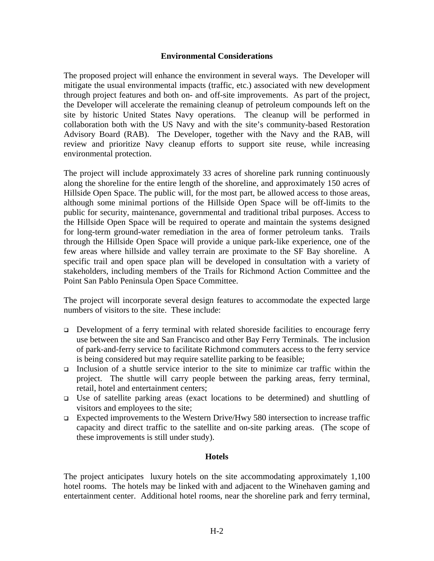#### **Environmental Considerations**

The proposed project will enhance the environment in several ways. The Developer will mitigate the usual environmental impacts (traffic, etc.) associated with new development through project features and both on- and off-site improvements. As part of the project, the Developer will accelerate the remaining cleanup of petroleum compounds left on the site by historic United States Navy operations. The cleanup will be performed in collaboration both with the US Navy and with the site's community-based Restoration Advisory Board (RAB). The Developer, together with the Navy and the RAB, will review and prioritize Navy cleanup efforts to support site reuse, while increasing environmental protection.

The project will include approximately 33 acres of shoreline park running continuously along the shoreline for the entire length of the shoreline, and approximately 150 acres of Hillside Open Space. The public will, for the most part, be allowed access to those areas, although some minimal portions of the Hillside Open Space will be off-limits to the public for security, maintenance, governmental and traditional tribal purposes. Access to the Hillside Open Space will be required to operate and maintain the systems designed for long-term ground-water remediation in the area of former petroleum tanks. Trails through the Hillside Open Space will provide a unique park-like experience, one of the few areas where hillside and valley terrain are proximate to the SF Bay shoreline. A specific trail and open space plan will be developed in consultation with a variety of stakeholders, including members of the Trails for Richmond Action Committee and the Point San Pablo Peninsula Open Space Committee.

The project will incorporate several design features to accommodate the expected large numbers of visitors to the site. These include:

- Development of a ferry terminal with related shoreside facilities to encourage ferry use between the site and San Francisco and other Bay Ferry Terminals. The inclusion of park-and-ferry service to facilitate Richmond commuters access to the ferry service is being considered but may require satellite parking to be feasible;
- Inclusion of a shuttle service interior to the site to minimize car traffic within the project. The shuttle will carry people between the parking areas, ferry terminal, retail, hotel and entertainment centers;
- Use of satellite parking areas (exact locations to be determined) and shuttling of visitors and employees to the site;
- Expected improvements to the Western Drive/Hwy 580 intersection to increase traffic capacity and direct traffic to the satellite and on-site parking areas. (The scope of these improvements is still under study).

#### **Hotels**

The project anticipates luxury hotels on the site accommodating approximately 1,100 hotel rooms. The hotels may be linked with and adjacent to the Winehaven gaming and entertainment center. Additional hotel rooms, near the shoreline park and ferry terminal,